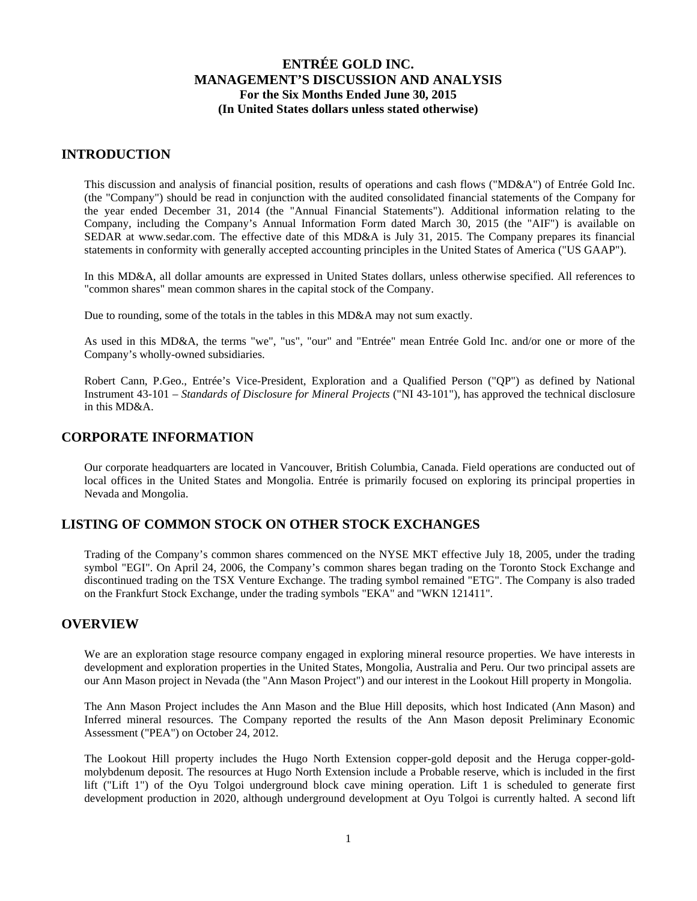### **INTRODUCTION**

This discussion and analysis of financial position, results of operations and cash flows ("MD&A") of Entrée Gold Inc. (the "Company") should be read in conjunction with the audited consolidated financial statements of the Company for the year ended December 31, 2014 (the "Annual Financial Statements"). Additional information relating to the Company, including the Company's Annual Information Form dated March 30, 2015 (the "AIF") is available on SEDAR at www.sedar.com. The effective date of this MD&A is July 31, 2015. The Company prepares its financial statements in conformity with generally accepted accounting principles in the United States of America ("US GAAP").

In this MD&A, all dollar amounts are expressed in United States dollars, unless otherwise specified. All references to "common shares" mean common shares in the capital stock of the Company.

Due to rounding, some of the totals in the tables in this MD&A may not sum exactly.

As used in this MD&A, the terms "we", "us", "our" and "Entrée" mean Entrée Gold Inc. and/or one or more of the Company's wholly-owned subsidiaries.

Robert Cann, P.Geo., Entrée's Vice-President, Exploration and a Qualified Person ("QP") as defined by National Instrument 43-101 – *Standards of Disclosure for Mineral Projects* ("NI 43-101"), has approved the technical disclosure in this MD&A.

### **CORPORATE INFORMATION**

Our corporate headquarters are located in Vancouver, British Columbia, Canada. Field operations are conducted out of local offices in the United States and Mongolia. Entrée is primarily focused on exploring its principal properties in Nevada and Mongolia.

### **LISTING OF COMMON STOCK ON OTHER STOCK EXCHANGES**

Trading of the Company's common shares commenced on the NYSE MKT effective July 18, 2005, under the trading symbol "EGI". On April 24, 2006, the Company's common shares began trading on the Toronto Stock Exchange and discontinued trading on the TSX Venture Exchange. The trading symbol remained "ETG". The Company is also traded on the Frankfurt Stock Exchange, under the trading symbols "EKA" and "WKN 121411".

#### **OVERVIEW**

We are an exploration stage resource company engaged in exploring mineral resource properties. We have interests in development and exploration properties in the United States, Mongolia, Australia and Peru. Our two principal assets are our Ann Mason project in Nevada (the "Ann Mason Project") and our interest in the Lookout Hill property in Mongolia.

The Ann Mason Project includes the Ann Mason and the Blue Hill deposits, which host Indicated (Ann Mason) and Inferred mineral resources. The Company reported the results of the Ann Mason deposit Preliminary Economic Assessment ("PEA") on October 24, 2012.

The Lookout Hill property includes the Hugo North Extension copper-gold deposit and the Heruga copper-goldmolybdenum deposit. The resources at Hugo North Extension include a Probable reserve, which is included in the first lift ("Lift 1") of the Oyu Tolgoi underground block cave mining operation. Lift 1 is scheduled to generate first development production in 2020, although underground development at Oyu Tolgoi is currently halted. A second lift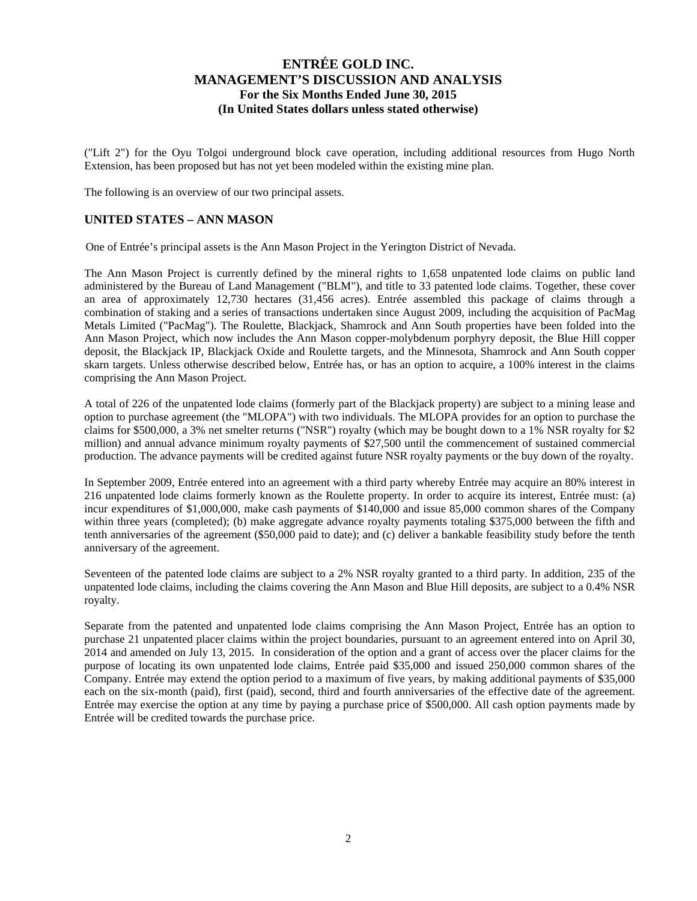("Lift 2") for the Oyu Tolgoi underground block cave operation, including additional resources from Hugo North Extension, has been proposed but has not yet been modeled within the existing mine plan.

The following is an overview of our two principal assets.

### **UNITED STATES – ANN MASON**

One of Entrée's principal assets is the Ann Mason Project in the Yerington District of Nevada.

The Ann Mason Project is currently defined by the mineral rights to 1,658 unpatented lode claims on public land administered by the Bureau of Land Management ("BLM"), and title to 33 patented lode claims. Together, these cover an area of approximately 12,730 hectares (31,456 acres). Entrée assembled this package of claims through a combination of staking and a series of transactions undertaken since August 2009, including the acquisition of PacMag Metals Limited ("PacMag"). The Roulette, Blackjack, Shamrock and Ann South properties have been folded into the Ann Mason Project, which now includes the Ann Mason copper-molybdenum porphyry deposit, the Blue Hill copper deposit, the Blackjack IP, Blackjack Oxide and Roulette targets, and the Minnesota, Shamrock and Ann South copper skarn targets. Unless otherwise described below, Entrée has, or has an option to acquire, a 100% interest in the claims comprising the Ann Mason Project.

A total of 226 of the unpatented lode claims (formerly part of the Blackjack property) are subject to a mining lease and option to purchase agreement (the "MLOPA") with two individuals. The MLOPA provides for an option to purchase the claims for \$500,000, a 3% net smelter returns ("NSR") royalty (which may be bought down to a 1% NSR royalty for \$2 million) and annual advance minimum royalty payments of \$27,500 until the commencement of sustained commercial production. The advance payments will be credited against future NSR royalty payments or the buy down of the royalty.

In September 2009, Entrée entered into an agreement with a third party whereby Entrée may acquire an 80% interest in 216 unpatented lode claims formerly known as the Roulette property. In order to acquire its interest, Entrée must: (a) incur expenditures of \$1,000,000, make cash payments of \$140,000 and issue 85,000 common shares of the Company within three years (completed); (b) make aggregate advance royalty payments totaling \$375,000 between the fifth and tenth anniversaries of the agreement (\$50,000 paid to date); and (c) deliver a bankable feasibility study before the tenth anniversary of the agreement.

Seventeen of the patented lode claims are subject to a 2% NSR royalty granted to a third party. In addition, 235 of the unpatented lode claims, including the claims covering the Ann Mason and Blue Hill deposits, are subject to a 0.4% NSR royalty.

Separate from the patented and unpatented lode claims comprising the Ann Mason Project, Entrée has an option to purchase 21 unpatented placer claims within the project boundaries, pursuant to an agreement entered into on April 30, 2014 and amended on July 13, 2015. In consideration of the option and a grant of access over the placer claims for the purpose of locating its own unpatented lode claims, Entrée paid \$35,000 and issued 250,000 common shares of the Company. Entrée may extend the option period to a maximum of five years, by making additional payments of \$35,000 each on the six-month (paid), first (paid), second, third and fourth anniversaries of the effective date of the agreement. Entrée may exercise the option at any time by paying a purchase price of \$500,000. All cash option payments made by Entrée will be credited towards the purchase price.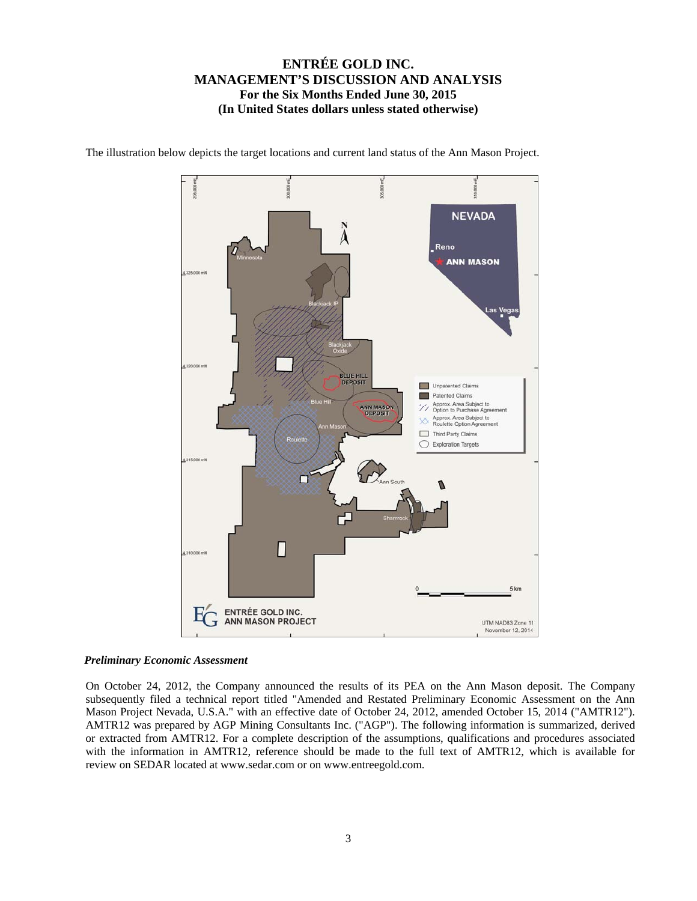

The illustration below depicts the target locations and current land status of the Ann Mason Project.

#### *Preliminary Economic Assessment*

On October 24, 2012, the Company announced the results of its PEA on the Ann Mason deposit. The Company subsequently filed a technical report titled "Amended and Restated Preliminary Economic Assessment on the Ann Mason Project Nevada, U.S.A." with an effective date of October 24, 2012, amended October 15, 2014 ("AMTR12"). AMTR12 was prepared by AGP Mining Consultants Inc. ("AGP"). The following information is summarized, derived or extracted from AMTR12. For a complete description of the assumptions, qualifications and procedures associated with the information in AMTR12, reference should be made to the full text of AMTR12, which is available for review on SEDAR located at www.sedar.com or on www.entreegold.com.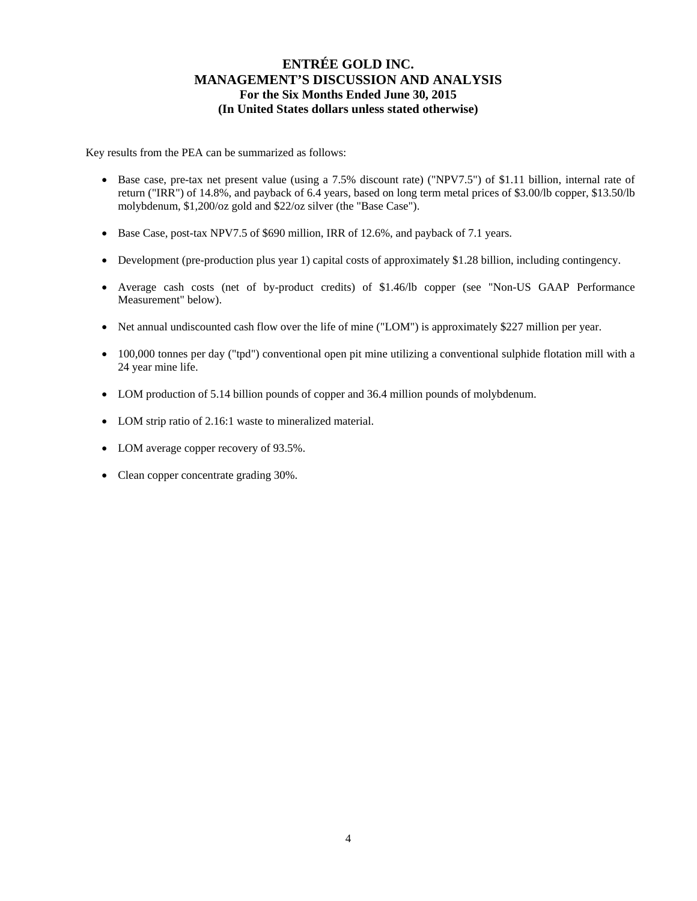Key results from the PEA can be summarized as follows:

- Base case, pre-tax net present value (using a 7.5% discount rate) ("NPV7.5") of \$1.11 billion, internal rate of return ("IRR") of 14.8%, and payback of 6.4 years, based on long term metal prices of \$3.00/lb copper, \$13.50/lb molybdenum, \$1,200/oz gold and \$22/oz silver (the "Base Case").
- Base Case, post-tax NPV7.5 of \$690 million, IRR of 12.6%, and payback of 7.1 years.
- Development (pre-production plus year 1) capital costs of approximately \$1.28 billion, including contingency.
- Average cash costs (net of by-product credits) of \$1.46/lb copper (see "Non-US GAAP Performance Measurement" below).
- Net annual undiscounted cash flow over the life of mine ("LOM") is approximately \$227 million per year.
- 100,000 tonnes per day ("tpd") conventional open pit mine utilizing a conventional sulphide flotation mill with a 24 year mine life.
- LOM production of 5.14 billion pounds of copper and 36.4 million pounds of molybdenum.
- LOM strip ratio of 2.16:1 waste to mineralized material.
- LOM average copper recovery of 93.5%.
- Clean copper concentrate grading 30%.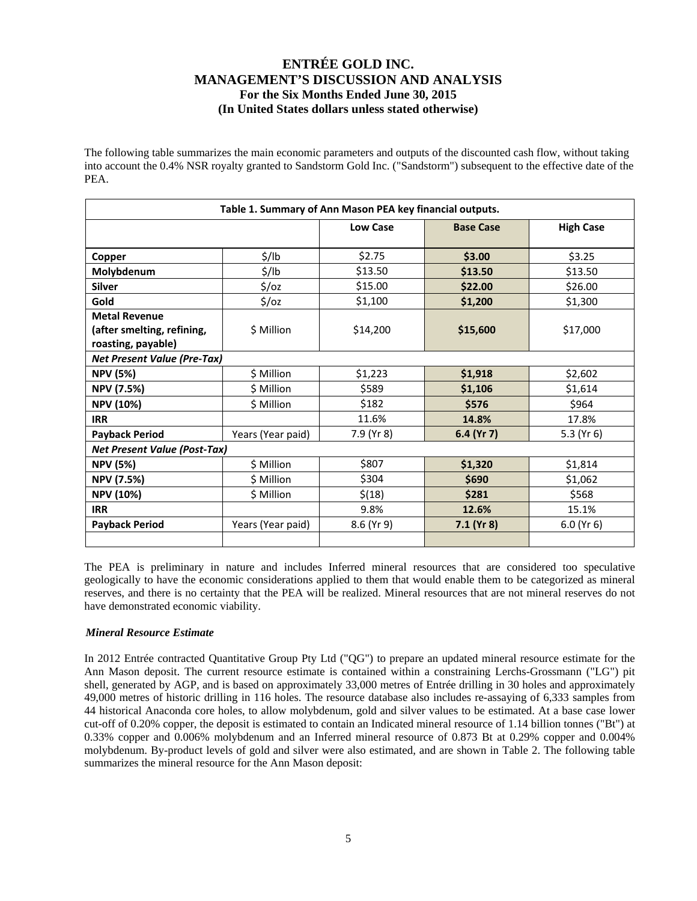The following table summarizes the main economic parameters and outputs of the discounted cash flow, without taking into account the 0.4% NSR royalty granted to Sandstorm Gold Inc. ("Sandstorm") subsequent to the effective date of the PEA.

| Table 1. Summary of Ann Mason PEA key financial outputs. |                   |                 |                  |                  |  |  |  |  |  |  |
|----------------------------------------------------------|-------------------|-----------------|------------------|------------------|--|--|--|--|--|--|
|                                                          |                   | <b>Low Case</b> | <b>Base Case</b> | <b>High Case</b> |  |  |  |  |  |  |
|                                                          |                   |                 |                  |                  |  |  |  |  |  |  |
| Copper                                                   | $\frac{1}{2}$ /lb | \$2.75          | \$3.00           | \$3.25           |  |  |  |  |  |  |
| Molybdenum                                               | $\frac{1}{2}$ /lb | \$13.50         | \$13.50          | \$13.50          |  |  |  |  |  |  |
| <b>Silver</b>                                            | $\frac{2}{3}$ /0Z | \$15.00         | \$22.00          | \$26.00          |  |  |  |  |  |  |
| Gold                                                     | $\frac{2}{3}$ /0Z | \$1,100         | \$1,200          | \$1,300          |  |  |  |  |  |  |
| <b>Metal Revenue</b>                                     |                   |                 |                  |                  |  |  |  |  |  |  |
| (after smelting, refining,                               | \$ Million        | \$14,200        | \$15,600         | \$17,000         |  |  |  |  |  |  |
| roasting, payable)                                       |                   |                 |                  |                  |  |  |  |  |  |  |
| <b>Net Present Value (Pre-Tax)</b>                       |                   |                 |                  |                  |  |  |  |  |  |  |
| <b>NPV (5%)</b>                                          | \$ Million        | \$1,223         | \$1,918          | \$2,602          |  |  |  |  |  |  |
| <b>NPV (7.5%)</b>                                        | \$ Million        | \$589           | \$1,106          | \$1,614          |  |  |  |  |  |  |
| <b>NPV (10%)</b>                                         | \$ Million        | \$182           | \$576            | \$964            |  |  |  |  |  |  |
| <b>IRR</b>                                               |                   | 11.6%           | 14.8%            | 17.8%            |  |  |  |  |  |  |
| <b>Payback Period</b>                                    | Years (Year paid) | 7.9 (Yr 8)      | 6.4 (Yr 7)       | 5.3 ( $Yr 6$ )   |  |  |  |  |  |  |
| <b>Net Present Value (Post-Tax)</b>                      |                   |                 |                  |                  |  |  |  |  |  |  |
| <b>NPV (5%)</b>                                          | \$ Million        | \$807           | \$1,320          | \$1,814          |  |  |  |  |  |  |
| <b>NPV (7.5%)</b>                                        | \$ Million        | \$304           | \$690            | \$1,062          |  |  |  |  |  |  |
| <b>NPV (10%)</b>                                         | \$ Million        | \$(18)          | \$281            | \$568            |  |  |  |  |  |  |
| <b>IRR</b>                                               |                   | 9.8%            | 12.6%            | 15.1%            |  |  |  |  |  |  |
| <b>Payback Period</b>                                    | Years (Year paid) | 8.6 (Yr 9)      | $7.1$ (Yr 8)     | $6.0$ (Yr $6$ )  |  |  |  |  |  |  |
|                                                          |                   |                 |                  |                  |  |  |  |  |  |  |

The PEA is preliminary in nature and includes Inferred mineral resources that are considered too speculative geologically to have the economic considerations applied to them that would enable them to be categorized as mineral reserves, and there is no certainty that the PEA will be realized. Mineral resources that are not mineral reserves do not have demonstrated economic viability.

#### *Mineral Resource Estimate*

In 2012 Entrée contracted Quantitative Group Pty Ltd ("QG") to prepare an updated mineral resource estimate for the Ann Mason deposit. The current resource estimate is contained within a constraining Lerchs-Grossmann ("LG") pit shell, generated by AGP, and is based on approximately 33,000 metres of Entrée drilling in 30 holes and approximately 49,000 metres of historic drilling in 116 holes. The resource database also includes re-assaying of 6,333 samples from 44 historical Anaconda core holes, to allow molybdenum, gold and silver values to be estimated. At a base case lower cut-off of 0.20% copper, the deposit is estimated to contain an Indicated mineral resource of 1.14 billion tonnes ("Bt") at 0.33% copper and 0.006% molybdenum and an Inferred mineral resource of 0.873 Bt at 0.29% copper and 0.004% molybdenum. By-product levels of gold and silver were also estimated, and are shown in Table 2. The following table summarizes the mineral resource for the Ann Mason deposit: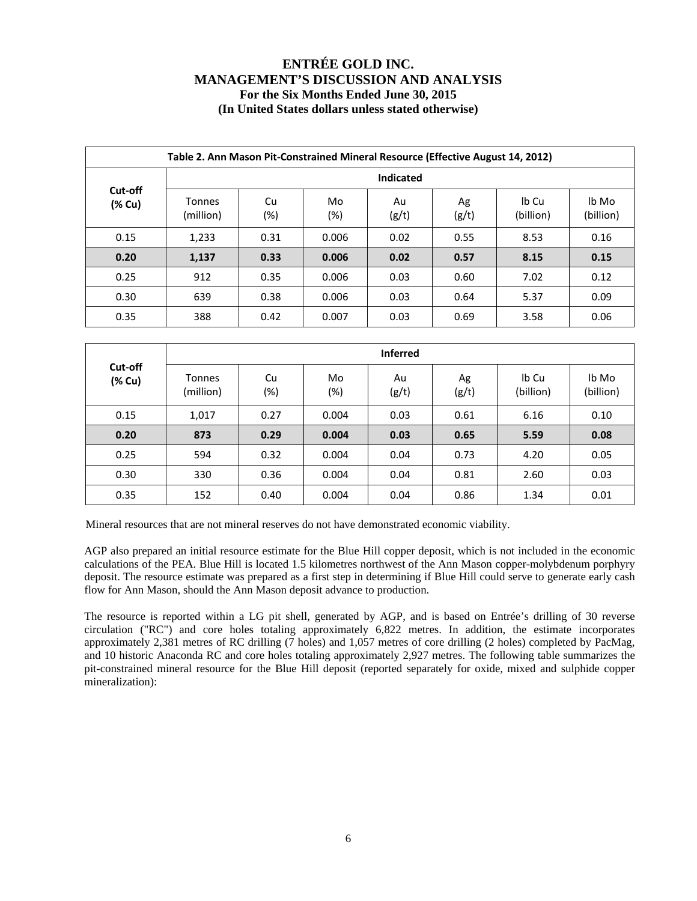|        | Table 2. Ann Mason Pit-Constrained Mineral Resource (Effective August 14, 2012) |                                       |           |             |             |                    |                    |  |  |  |  |  |  |
|--------|---------------------------------------------------------------------------------|---------------------------------------|-----------|-------------|-------------|--------------------|--------------------|--|--|--|--|--|--|
|        | Indicated<br>Cut-off                                                            |                                       |           |             |             |                    |                    |  |  |  |  |  |  |
| (% Cu) | <b>Tonnes</b><br>(million)                                                      | Cu<br>(%)                             | Mo<br>(%) | Au<br>(g/t) | Ag<br>(g/t) | lb Cu<br>(billion) | lb Mo<br>(billion) |  |  |  |  |  |  |
| 0.15   | 1,233                                                                           | 0.31<br>0.006<br>0.02<br>8.53<br>0.55 |           |             |             |                    |                    |  |  |  |  |  |  |
| 0.20   | 1,137                                                                           | 0.33                                  | 0.006     | 0.02        | 0.57        | 8.15               | 0.15               |  |  |  |  |  |  |
| 0.25   | 912                                                                             | 0.35                                  | 0.006     | 0.03        | 0.60        | 7.02               | 0.12               |  |  |  |  |  |  |
| 0.30   | 639                                                                             | 0.38                                  | 0.006     | 0.03        | 0.64        | 5.37               | 0.09               |  |  |  |  |  |  |
| 0.35   | 388                                                                             | 0.42                                  | 0.007     | 0.03        | 0.69        | 3.58               | 0.06               |  |  |  |  |  |  |

|                   |                     |              |           | <b>Inferred</b> |             |                    |                    |
|-------------------|---------------------|--------------|-----------|-----------------|-------------|--------------------|--------------------|
| Cut-off<br>(% Cu) | Tonnes<br>(million) | Cu<br>$(\%)$ | Mo<br>(%) | Au<br>(g/t)     | Ag<br>(g/t) | Ib Cu<br>(billion) | lb Mo<br>(billion) |
| 0.15              | 1,017               | 0.27         | 0.004     | 0.03            | 0.61        | 6.16               | 0.10               |
| 0.20              | 873                 | 0.29         | 0.004     | 0.03            | 0.65        | 5.59               | 0.08               |
| 0.25              | 594                 | 0.32         | 0.004     | 0.04            | 0.73        | 4.20               | 0.05               |
| 0.30              | 330                 | 0.36         | 0.004     | 0.04            | 0.81        | 2.60               | 0.03               |
| 0.35              | 152                 | 0.40         | 0.004     | 0.04            | 0.86        | 1.34               | 0.01               |

Mineral resources that are not mineral reserves do not have demonstrated economic viability.

AGP also prepared an initial resource estimate for the Blue Hill copper deposit, which is not included in the economic calculations of the PEA. Blue Hill is located 1.5 kilometres northwest of the Ann Mason copper-molybdenum porphyry deposit. The resource estimate was prepared as a first step in determining if Blue Hill could serve to generate early cash flow for Ann Mason, should the Ann Mason deposit advance to production.

The resource is reported within a LG pit shell, generated by AGP, and is based on Entrée's drilling of 30 reverse circulation ("RC") and core holes totaling approximately 6,822 metres. In addition, the estimate incorporates approximately 2,381 metres of RC drilling (7 holes) and 1,057 metres of core drilling (2 holes) completed by PacMag, and 10 historic Anaconda RC and core holes totaling approximately 2,927 metres. The following table summarizes the pit-constrained mineral resource for the Blue Hill deposit (reported separately for oxide, mixed and sulphide copper mineralization):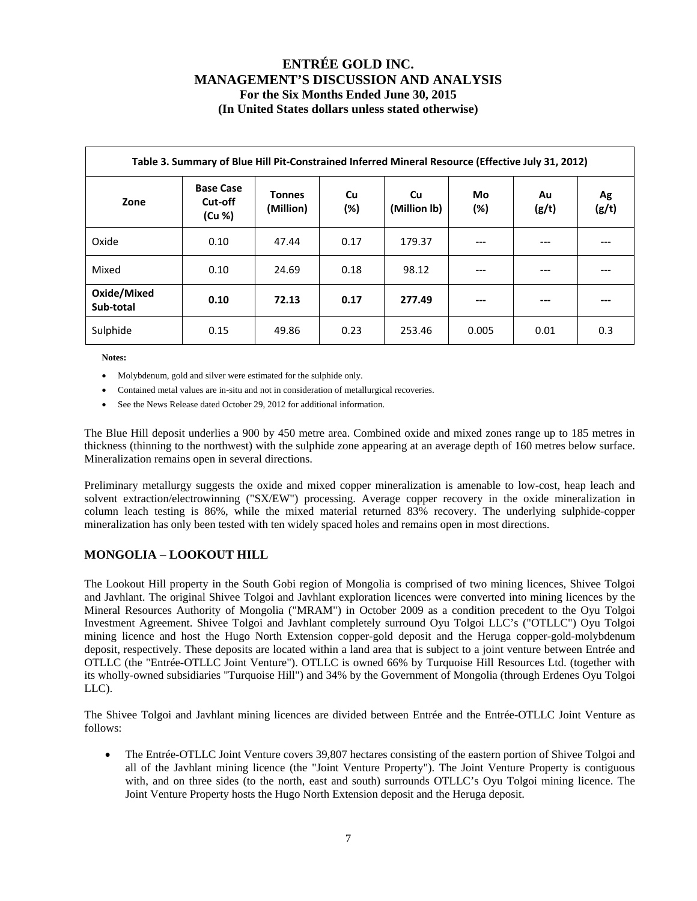| Table 3. Summary of Blue Hill Pit-Constrained Inferred Mineral Resource (Effective July 31, 2012) |                                       |                            |           |                           |              |             |             |  |  |  |  |
|---------------------------------------------------------------------------------------------------|---------------------------------------|----------------------------|-----------|---------------------------|--------------|-------------|-------------|--|--|--|--|
| Zone                                                                                              | <b>Base Case</b><br>Cut-off<br>(Cu %) | <b>Tonnes</b><br>(Million) | Cu<br>(%) | <b>Cu</b><br>(Million lb) | Mo<br>$(\%)$ | Au<br>(g/t) | Ag<br>(g/t) |  |  |  |  |
| Oxide                                                                                             | 0.10                                  | 47.44                      | 0.17      | 179.37                    | ---          | ---         |             |  |  |  |  |
| Mixed                                                                                             | 0.10                                  | 24.69                      | 0.18      | 98.12                     | $---$        | $---$       |             |  |  |  |  |
| Oxide/Mixed<br>Sub-total                                                                          | 0.10                                  | 72.13                      | 0.17      | 277.49                    | ---          | ---         |             |  |  |  |  |
| Sulphide                                                                                          | 0.15                                  | 49.86                      | 0.23      | 253.46                    | 0.005        | 0.01        | 0.3         |  |  |  |  |

**Notes:** 

- Molybdenum, gold and silver were estimated for the sulphide only.
- Contained metal values are in-situ and not in consideration of metallurgical recoveries.
- See the News Release dated October 29, 2012 for additional information.

The Blue Hill deposit underlies a 900 by 450 metre area. Combined oxide and mixed zones range up to 185 metres in thickness (thinning to the northwest) with the sulphide zone appearing at an average depth of 160 metres below surface. Mineralization remains open in several directions.

Preliminary metallurgy suggests the oxide and mixed copper mineralization is amenable to low-cost, heap leach and solvent extraction/electrowinning ("SX/EW") processing. Average copper recovery in the oxide mineralization in column leach testing is 86%, while the mixed material returned 83% recovery. The underlying sulphide-copper mineralization has only been tested with ten widely spaced holes and remains open in most directions.

### **MONGOLIA – LOOKOUT HILL**

The Lookout Hill property in the South Gobi region of Mongolia is comprised of two mining licences, Shivee Tolgoi and Javhlant. The original Shivee Tolgoi and Javhlant exploration licences were converted into mining licences by the Mineral Resources Authority of Mongolia ("MRAM") in October 2009 as a condition precedent to the Oyu Tolgoi Investment Agreement. Shivee Tolgoi and Javhlant completely surround Oyu Tolgoi LLC's ("OTLLC") Oyu Tolgoi mining licence and host the Hugo North Extension copper-gold deposit and the Heruga copper-gold-molybdenum deposit, respectively. These deposits are located within a land area that is subject to a joint venture between Entrée and OTLLC (the "Entrée-OTLLC Joint Venture"). OTLLC is owned 66% by Turquoise Hill Resources Ltd. (together with its wholly-owned subsidiaries "Turquoise Hill") and 34% by the Government of Mongolia (through Erdenes Oyu Tolgoi LLC).

The Shivee Tolgoi and Javhlant mining licences are divided between Entrée and the Entrée-OTLLC Joint Venture as follows:

 The Entrée-OTLLC Joint Venture covers 39,807 hectares consisting of the eastern portion of Shivee Tolgoi and all of the Javhlant mining licence (the "Joint Venture Property"). The Joint Venture Property is contiguous with, and on three sides (to the north, east and south) surrounds OTLLC's Oyu Tolgoi mining licence. The Joint Venture Property hosts the Hugo North Extension deposit and the Heruga deposit.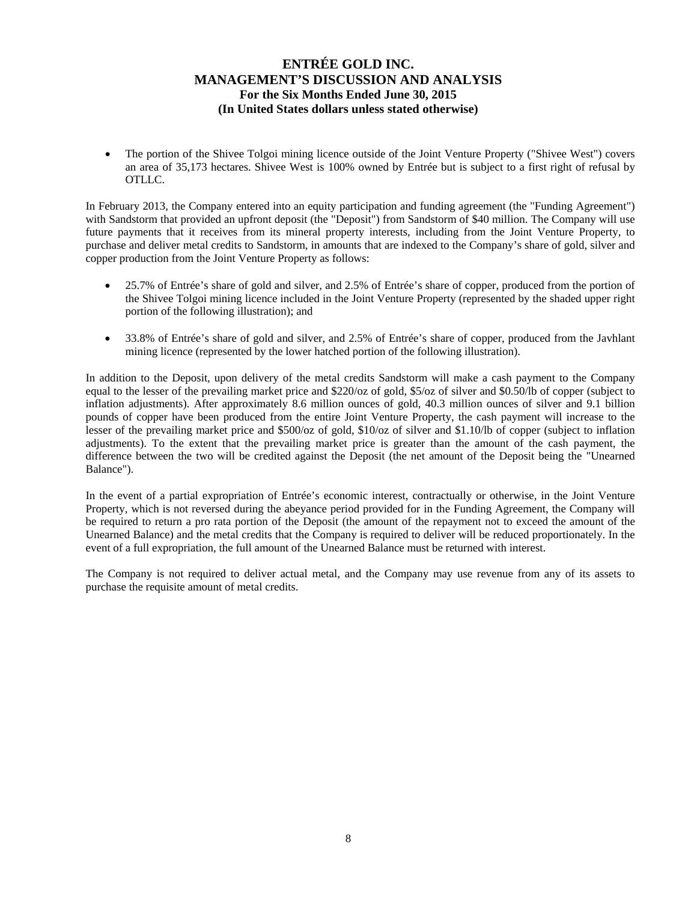The portion of the Shivee Tolgoi mining licence outside of the Joint Venture Property ("Shivee West") covers an area of 35,173 hectares. Shivee West is 100% owned by Entrée but is subject to a first right of refusal by OTLLC.

In February 2013, the Company entered into an equity participation and funding agreement (the "Funding Agreement") with Sandstorm that provided an upfront deposit (the "Deposit") from Sandstorm of \$40 million. The Company will use future payments that it receives from its mineral property interests, including from the Joint Venture Property, to purchase and deliver metal credits to Sandstorm, in amounts that are indexed to the Company's share of gold, silver and copper production from the Joint Venture Property as follows:

- 25.7% of Entrée's share of gold and silver, and 2.5% of Entrée's share of copper, produced from the portion of the Shivee Tolgoi mining licence included in the Joint Venture Property (represented by the shaded upper right portion of the following illustration); and
- 33.8% of Entrée's share of gold and silver, and 2.5% of Entrée's share of copper, produced from the Javhlant mining licence (represented by the lower hatched portion of the following illustration).

In addition to the Deposit, upon delivery of the metal credits Sandstorm will make a cash payment to the Company equal to the lesser of the prevailing market price and \$220/oz of gold, \$5/oz of silver and \$0.50/lb of copper (subject to inflation adjustments). After approximately 8.6 million ounces of gold, 40.3 million ounces of silver and 9.1 billion pounds of copper have been produced from the entire Joint Venture Property, the cash payment will increase to the lesser of the prevailing market price and \$500/oz of gold, \$10/oz of silver and \$1.10/lb of copper (subject to inflation adjustments). To the extent that the prevailing market price is greater than the amount of the cash payment, the difference between the two will be credited against the Deposit (the net amount of the Deposit being the "Unearned Balance").

In the event of a partial expropriation of Entrée's economic interest, contractually or otherwise, in the Joint Venture Property, which is not reversed during the abeyance period provided for in the Funding Agreement, the Company will be required to return a pro rata portion of the Deposit (the amount of the repayment not to exceed the amount of the Unearned Balance) and the metal credits that the Company is required to deliver will be reduced proportionately. In the event of a full expropriation, the full amount of the Unearned Balance must be returned with interest.

The Company is not required to deliver actual metal, and the Company may use revenue from any of its assets to purchase the requisite amount of metal credits.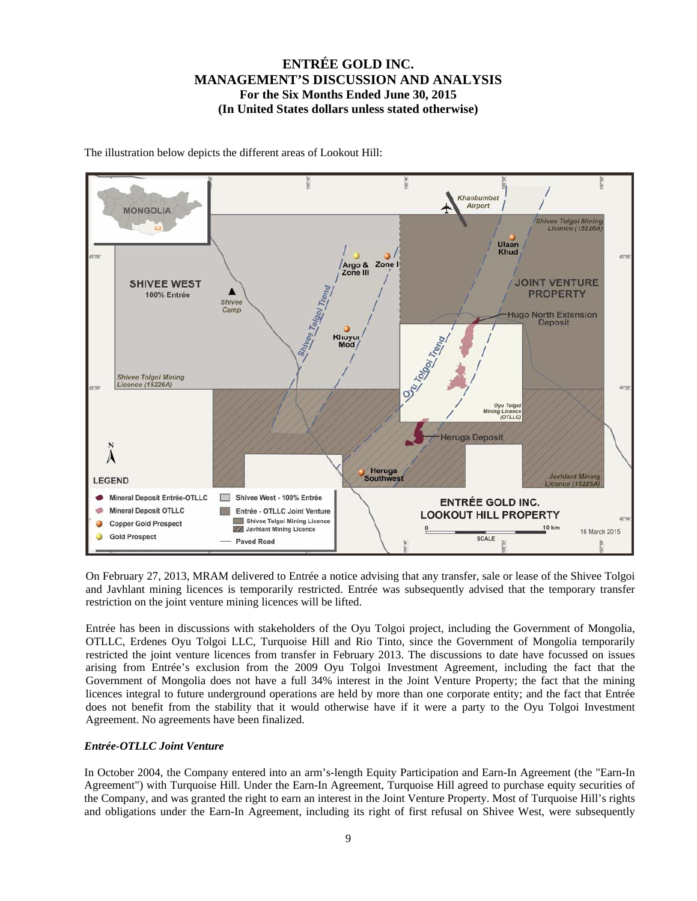

The illustration below depicts the different areas of Lookout Hill:

On February 27, 2013, MRAM delivered to Entrée a notice advising that any transfer, sale or lease of the Shivee Tolgoi and Javhlant mining licences is temporarily restricted. Entrée was subsequently advised that the temporary transfer restriction on the joint venture mining licences will be lifted.

Entrée has been in discussions with stakeholders of the Oyu Tolgoi project, including the Government of Mongolia, OTLLC, Erdenes Oyu Tolgoi LLC, Turquoise Hill and Rio Tinto, since the Government of Mongolia temporarily restricted the joint venture licences from transfer in February 2013. The discussions to date have focussed on issues arising from Entrée's exclusion from the 2009 Oyu Tolgoi Investment Agreement, including the fact that the Government of Mongolia does not have a full 34% interest in the Joint Venture Property; the fact that the mining licences integral to future underground operations are held by more than one corporate entity; and the fact that Entrée does not benefit from the stability that it would otherwise have if it were a party to the Oyu Tolgoi Investment Agreement. No agreements have been finalized.

#### *Entrée-OTLLC Joint Venture*

In October 2004, the Company entered into an arm's-length Equity Participation and Earn-In Agreement (the "Earn-In Agreement") with Turquoise Hill. Under the Earn-In Agreement, Turquoise Hill agreed to purchase equity securities of the Company, and was granted the right to earn an interest in the Joint Venture Property. Most of Turquoise Hill's rights and obligations under the Earn-In Agreement, including its right of first refusal on Shivee West, were subsequently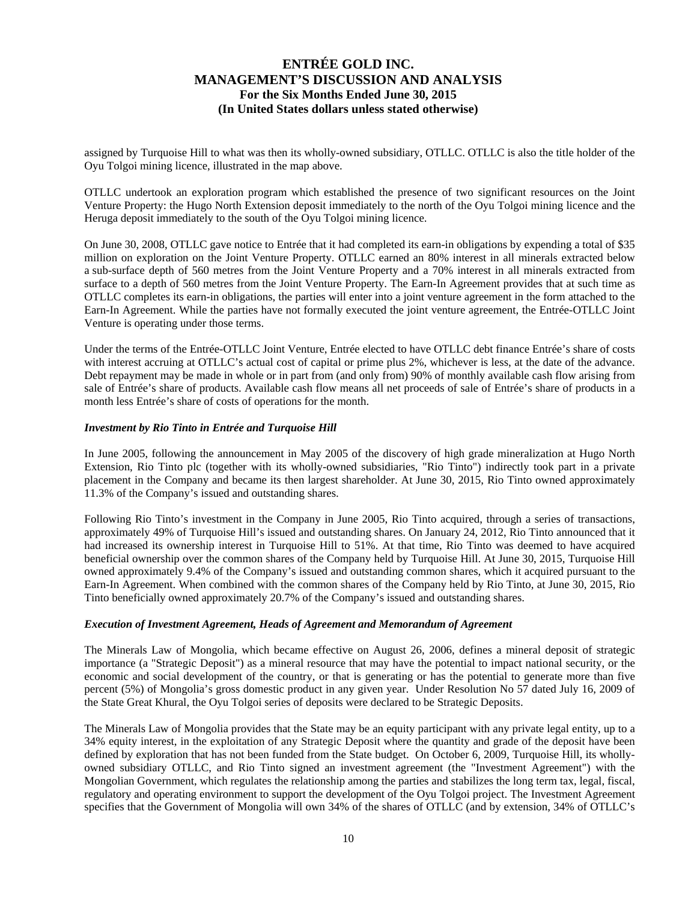assigned by Turquoise Hill to what was then its wholly-owned subsidiary, OTLLC. OTLLC is also the title holder of the Oyu Tolgoi mining licence, illustrated in the map above.

OTLLC undertook an exploration program which established the presence of two significant resources on the Joint Venture Property: the Hugo North Extension deposit immediately to the north of the Oyu Tolgoi mining licence and the Heruga deposit immediately to the south of the Oyu Tolgoi mining licence.

On June 30, 2008, OTLLC gave notice to Entrée that it had completed its earn-in obligations by expending a total of \$35 million on exploration on the Joint Venture Property. OTLLC earned an 80% interest in all minerals extracted below a sub-surface depth of 560 metres from the Joint Venture Property and a 70% interest in all minerals extracted from surface to a depth of 560 metres from the Joint Venture Property. The Earn-In Agreement provides that at such time as OTLLC completes its earn-in obligations, the parties will enter into a joint venture agreement in the form attached to the Earn-In Agreement. While the parties have not formally executed the joint venture agreement, the Entrée-OTLLC Joint Venture is operating under those terms.

Under the terms of the Entrée-OTLLC Joint Venture, Entrée elected to have OTLLC debt finance Entrée's share of costs with interest accruing at OTLLC's actual cost of capital or prime plus 2%, whichever is less, at the date of the advance. Debt repayment may be made in whole or in part from (and only from) 90% of monthly available cash flow arising from sale of Entrée's share of products. Available cash flow means all net proceeds of sale of Entrée's share of products in a month less Entrée's share of costs of operations for the month.

#### *Investment by Rio Tinto in Entrée and Turquoise Hill*

In June 2005, following the announcement in May 2005 of the discovery of high grade mineralization at Hugo North Extension, Rio Tinto plc (together with its wholly-owned subsidiaries, "Rio Tinto") indirectly took part in a private placement in the Company and became its then largest shareholder. At June 30, 2015, Rio Tinto owned approximately 11.3% of the Company's issued and outstanding shares.

Following Rio Tinto's investment in the Company in June 2005, Rio Tinto acquired, through a series of transactions, approximately 49% of Turquoise Hill's issued and outstanding shares. On January 24, 2012, Rio Tinto announced that it had increased its ownership interest in Turquoise Hill to 51%. At that time, Rio Tinto was deemed to have acquired beneficial ownership over the common shares of the Company held by Turquoise Hill. At June 30, 2015, Turquoise Hill owned approximately 9.4% of the Company's issued and outstanding common shares, which it acquired pursuant to the Earn-In Agreement. When combined with the common shares of the Company held by Rio Tinto, at June 30, 2015, Rio Tinto beneficially owned approximately 20.7% of the Company's issued and outstanding shares.

#### *Execution of Investment Agreement, Heads of Agreement and Memorandum of Agreement*

The Minerals Law of Mongolia, which became effective on August 26, 2006, defines a mineral deposit of strategic importance (a "Strategic Deposit") as a mineral resource that may have the potential to impact national security, or the economic and social development of the country, or that is generating or has the potential to generate more than five percent (5%) of Mongolia's gross domestic product in any given year. Under Resolution No 57 dated July 16, 2009 of the State Great Khural, the Oyu Tolgoi series of deposits were declared to be Strategic Deposits.

The Minerals Law of Mongolia provides that the State may be an equity participant with any private legal entity, up to a 34% equity interest, in the exploitation of any Strategic Deposit where the quantity and grade of the deposit have been defined by exploration that has not been funded from the State budget. On October 6, 2009, Turquoise Hill, its whollyowned subsidiary OTLLC, and Rio Tinto signed an investment agreement (the "Investment Agreement") with the Mongolian Government, which regulates the relationship among the parties and stabilizes the long term tax, legal, fiscal, regulatory and operating environment to support the development of the Oyu Tolgoi project. The Investment Agreement specifies that the Government of Mongolia will own 34% of the shares of OTLLC (and by extension, 34% of OTLLC's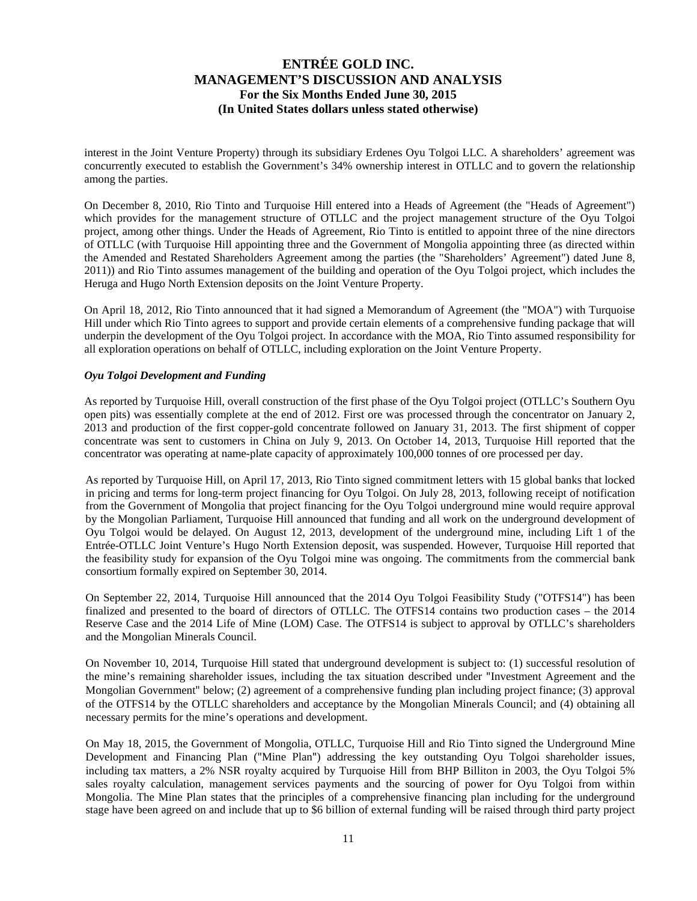interest in the Joint Venture Property) through its subsidiary Erdenes Oyu Tolgoi LLC. A shareholders' agreement was concurrently executed to establish the Government's 34% ownership interest in OTLLC and to govern the relationship among the parties.

On December 8, 2010, Rio Tinto and Turquoise Hill entered into a Heads of Agreement (the "Heads of Agreement") which provides for the management structure of OTLLC and the project management structure of the Oyu Tolgoi project, among other things. Under the Heads of Agreement, Rio Tinto is entitled to appoint three of the nine directors of OTLLC (with Turquoise Hill appointing three and the Government of Mongolia appointing three (as directed within the Amended and Restated Shareholders Agreement among the parties (the "Shareholders' Agreement") dated June 8, 2011)) and Rio Tinto assumes management of the building and operation of the Oyu Tolgoi project, which includes the Heruga and Hugo North Extension deposits on the Joint Venture Property.

On April 18, 2012, Rio Tinto announced that it had signed a Memorandum of Agreement (the "MOA") with Turquoise Hill under which Rio Tinto agrees to support and provide certain elements of a comprehensive funding package that will underpin the development of the Oyu Tolgoi project. In accordance with the MOA, Rio Tinto assumed responsibility for all exploration operations on behalf of OTLLC, including exploration on the Joint Venture Property.

#### *Oyu Tolgoi Development and Funding*

As reported by Turquoise Hill, overall construction of the first phase of the Oyu Tolgoi project (OTLLC's Southern Oyu open pits) was essentially complete at the end of 2012. First ore was processed through the concentrator on January 2, 2013 and production of the first copper-gold concentrate followed on January 31, 2013. The first shipment of copper concentrate was sent to customers in China on July 9, 2013. On October 14, 2013, Turquoise Hill reported that the concentrator was operating at name-plate capacity of approximately 100,000 tonnes of ore processed per day.

As reported by Turquoise Hill, on April 17, 2013, Rio Tinto signed commitment letters with 15 global banks that locked in pricing and terms for long-term project financing for Oyu Tolgoi. On July 28, 2013, following receipt of notification from the Government of Mongolia that project financing for the Oyu Tolgoi underground mine would require approval by the Mongolian Parliament, Turquoise Hill announced that funding and all work on the underground development of Oyu Tolgoi would be delayed. On August 12, 2013, development of the underground mine, including Lift 1 of the Entrée-OTLLC Joint Venture's Hugo North Extension deposit, was suspended. However, Turquoise Hill reported that the feasibility study for expansion of the Oyu Tolgoi mine was ongoing. The commitments from the commercial bank consortium formally expired on September 30, 2014.

On September 22, 2014, Turquoise Hill announced that the 2014 Oyu Tolgoi Feasibility Study ("OTFS14") has been finalized and presented to the board of directors of OTLLC. The OTFS14 contains two production cases – the 2014 Reserve Case and the 2014 Life of Mine (LOM) Case. The OTFS14 is subject to approval by OTLLC's shareholders and the Mongolian Minerals Council.

On November 10, 2014, Turquoise Hill stated that underground development is subject to: (1) successful resolution of the mine's remaining shareholder issues, including the tax situation described under "Investment Agreement and the Mongolian Government" below; (2) agreement of a comprehensive funding plan including project finance; (3) approval of the OTFS14 by the OTLLC shareholders and acceptance by the Mongolian Minerals Council; and (4) obtaining all necessary permits for the mine's operations and development.

On May 18, 2015, the Government of Mongolia, OTLLC, Turquoise Hill and Rio Tinto signed the Underground Mine Development and Financing Plan ("Mine Plan") addressing the key outstanding Oyu Tolgoi shareholder issues, including tax matters, a 2% NSR royalty acquired by Turquoise Hill from BHP Billiton in 2003, the Oyu Tolgoi 5% sales royalty calculation, management services payments and the sourcing of power for Oyu Tolgoi from within Mongolia. The Mine Plan states that the principles of a comprehensive financing plan including for the underground stage have been agreed on and include that up to \$6 billion of external funding will be raised through third party project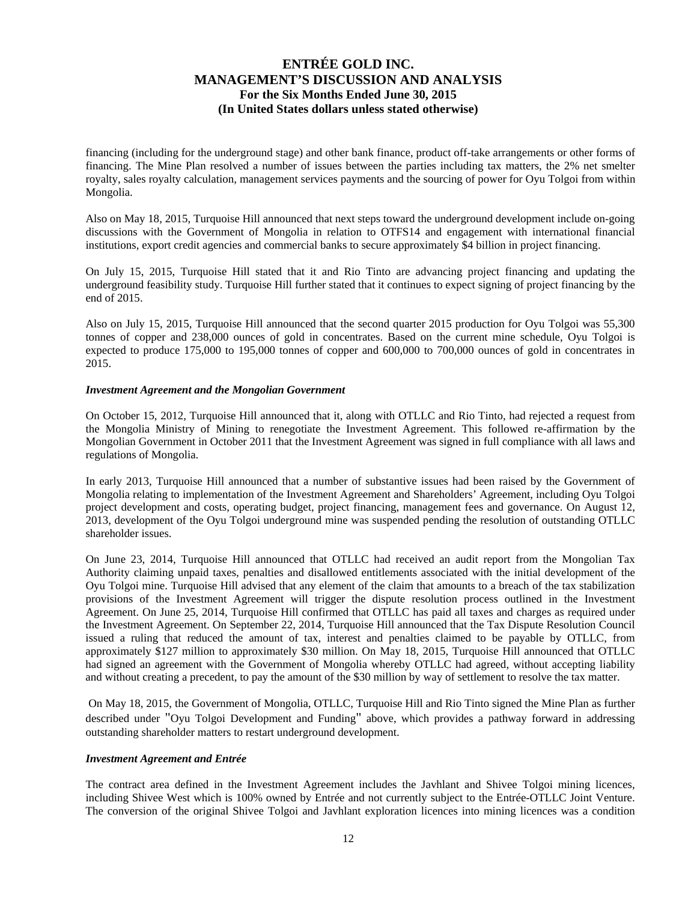financing (including for the underground stage) and other bank finance, product off-take arrangements or other forms of financing. The Mine Plan resolved a number of issues between the parties including tax matters, the 2% net smelter royalty, sales royalty calculation, management services payments and the sourcing of power for Oyu Tolgoi from within Mongolia.

Also on May 18, 2015, Turquoise Hill announced that next steps toward the underground development include on-going discussions with the Government of Mongolia in relation to OTFS14 and engagement with international financial institutions, export credit agencies and commercial banks to secure approximately \$4 billion in project financing.

On July 15, 2015, Turquoise Hill stated that it and Rio Tinto are advancing project financing and updating the underground feasibility study. Turquoise Hill further stated that it continues to expect signing of project financing by the end of 2015.

Also on July 15, 2015, Turquoise Hill announced that the second quarter 2015 production for Oyu Tolgoi was 55,300 tonnes of copper and 238,000 ounces of gold in concentrates. Based on the current mine schedule, Oyu Tolgoi is expected to produce 175,000 to 195,000 tonnes of copper and 600,000 to 700,000 ounces of gold in concentrates in 2015.

#### *Investment Agreement and the Mongolian Government*

On October 15, 2012, Turquoise Hill announced that it, along with OTLLC and Rio Tinto, had rejected a request from the Mongolia Ministry of Mining to renegotiate the Investment Agreement. This followed re-affirmation by the Mongolian Government in October 2011 that the Investment Agreement was signed in full compliance with all laws and regulations of Mongolia.

In early 2013, Turquoise Hill announced that a number of substantive issues had been raised by the Government of Mongolia relating to implementation of the Investment Agreement and Shareholders' Agreement, including Oyu Tolgoi project development and costs, operating budget, project financing, management fees and governance. On August 12, 2013, development of the Oyu Tolgoi underground mine was suspended pending the resolution of outstanding OTLLC shareholder issues.

On June 23, 2014, Turquoise Hill announced that OTLLC had received an audit report from the Mongolian Tax Authority claiming unpaid taxes, penalties and disallowed entitlements associated with the initial development of the Oyu Tolgoi mine. Turquoise Hill advised that any element of the claim that amounts to a breach of the tax stabilization provisions of the Investment Agreement will trigger the dispute resolution process outlined in the Investment Agreement. On June 25, 2014, Turquoise Hill confirmed that OTLLC has paid all taxes and charges as required under the Investment Agreement. On September 22, 2014, Turquoise Hill announced that the Tax Dispute Resolution Council issued a ruling that reduced the amount of tax, interest and penalties claimed to be payable by OTLLC, from approximately \$127 million to approximately \$30 million. On May 18, 2015, Turquoise Hill announced that OTLLC had signed an agreement with the Government of Mongolia whereby OTLLC had agreed, without accepting liability and without creating a precedent, to pay the amount of the \$30 million by way of settlement to resolve the tax matter.

 On May 18, 2015, the Government of Mongolia, OTLLC, Turquoise Hill and Rio Tinto signed the Mine Plan as further described under "Oyu Tolgoi Development and Funding" above, which provides a pathway forward in addressing outstanding shareholder matters to restart underground development.

#### *Investment Agreement and Entrée*

The contract area defined in the Investment Agreement includes the Javhlant and Shivee Tolgoi mining licences, including Shivee West which is 100% owned by Entrée and not currently subject to the Entrée-OTLLC Joint Venture. The conversion of the original Shivee Tolgoi and Javhlant exploration licences into mining licences was a condition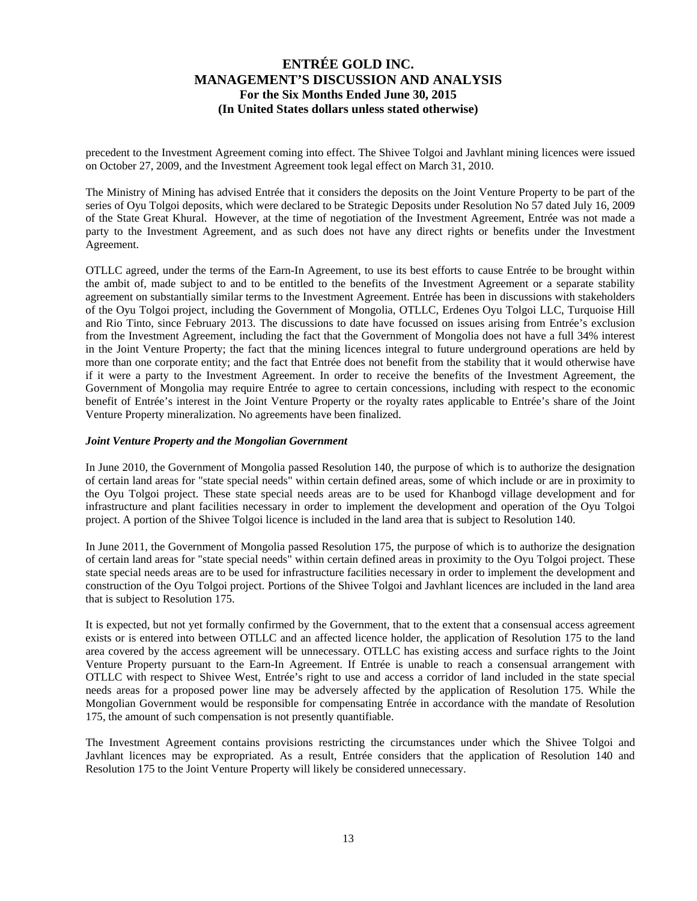precedent to the Investment Agreement coming into effect. The Shivee Tolgoi and Javhlant mining licences were issued on October 27, 2009, and the Investment Agreement took legal effect on March 31, 2010.

The Ministry of Mining has advised Entrée that it considers the deposits on the Joint Venture Property to be part of the series of Oyu Tolgoi deposits, which were declared to be Strategic Deposits under Resolution No 57 dated July 16, 2009 of the State Great Khural. However, at the time of negotiation of the Investment Agreement, Entrée was not made a party to the Investment Agreement, and as such does not have any direct rights or benefits under the Investment Agreement.

OTLLC agreed, under the terms of the Earn-In Agreement, to use its best efforts to cause Entrée to be brought within the ambit of, made subject to and to be entitled to the benefits of the Investment Agreement or a separate stability agreement on substantially similar terms to the Investment Agreement. Entrée has been in discussions with stakeholders of the Oyu Tolgoi project, including the Government of Mongolia, OTLLC, Erdenes Oyu Tolgoi LLC, Turquoise Hill and Rio Tinto, since February 2013. The discussions to date have focussed on issues arising from Entrée's exclusion from the Investment Agreement, including the fact that the Government of Mongolia does not have a full 34% interest in the Joint Venture Property; the fact that the mining licences integral to future underground operations are held by more than one corporate entity; and the fact that Entrée does not benefit from the stability that it would otherwise have if it were a party to the Investment Agreement. In order to receive the benefits of the Investment Agreement, the Government of Mongolia may require Entrée to agree to certain concessions, including with respect to the economic benefit of Entrée's interest in the Joint Venture Property or the royalty rates applicable to Entrée's share of the Joint Venture Property mineralization. No agreements have been finalized.

#### *Joint Venture Property and the Mongolian Government*

In June 2010, the Government of Mongolia passed Resolution 140, the purpose of which is to authorize the designation of certain land areas for "state special needs" within certain defined areas, some of which include or are in proximity to the Oyu Tolgoi project. These state special needs areas are to be used for Khanbogd village development and for infrastructure and plant facilities necessary in order to implement the development and operation of the Oyu Tolgoi project. A portion of the Shivee Tolgoi licence is included in the land area that is subject to Resolution 140.

In June 2011, the Government of Mongolia passed Resolution 175, the purpose of which is to authorize the designation of certain land areas for "state special needs" within certain defined areas in proximity to the Oyu Tolgoi project. These state special needs areas are to be used for infrastructure facilities necessary in order to implement the development and construction of the Oyu Tolgoi project. Portions of the Shivee Tolgoi and Javhlant licences are included in the land area that is subject to Resolution 175.

It is expected, but not yet formally confirmed by the Government, that to the extent that a consensual access agreement exists or is entered into between OTLLC and an affected licence holder, the application of Resolution 175 to the land area covered by the access agreement will be unnecessary. OTLLC has existing access and surface rights to the Joint Venture Property pursuant to the Earn-In Agreement. If Entrée is unable to reach a consensual arrangement with OTLLC with respect to Shivee West, Entrée's right to use and access a corridor of land included in the state special needs areas for a proposed power line may be adversely affected by the application of Resolution 175. While the Mongolian Government would be responsible for compensating Entrée in accordance with the mandate of Resolution 175, the amount of such compensation is not presently quantifiable.

The Investment Agreement contains provisions restricting the circumstances under which the Shivee Tolgoi and Javhlant licences may be expropriated. As a result, Entrée considers that the application of Resolution 140 and Resolution 175 to the Joint Venture Property will likely be considered unnecessary.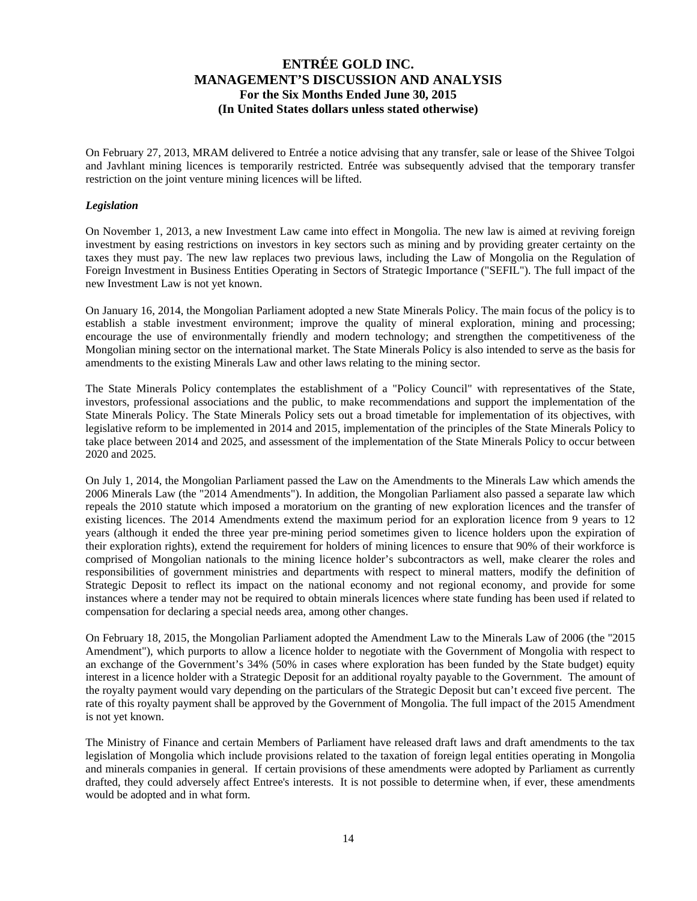On February 27, 2013, MRAM delivered to Entrée a notice advising that any transfer, sale or lease of the Shivee Tolgoi and Javhlant mining licences is temporarily restricted. Entrée was subsequently advised that the temporary transfer restriction on the joint venture mining licences will be lifted.

#### *Legislation*

On November 1, 2013, a new Investment Law came into effect in Mongolia. The new law is aimed at reviving foreign investment by easing restrictions on investors in key sectors such as mining and by providing greater certainty on the taxes they must pay. The new law replaces two previous laws, including the Law of Mongolia on the Regulation of Foreign Investment in Business Entities Operating in Sectors of Strategic Importance ("SEFIL"). The full impact of the new Investment Law is not yet known.

On January 16, 2014, the Mongolian Parliament adopted a new State Minerals Policy. The main focus of the policy is to establish a stable investment environment; improve the quality of mineral exploration, mining and processing; encourage the use of environmentally friendly and modern technology; and strengthen the competitiveness of the Mongolian mining sector on the international market. The State Minerals Policy is also intended to serve as the basis for amendments to the existing Minerals Law and other laws relating to the mining sector.

The State Minerals Policy contemplates the establishment of a "Policy Council" with representatives of the State, investors, professional associations and the public, to make recommendations and support the implementation of the State Minerals Policy. The State Minerals Policy sets out a broad timetable for implementation of its objectives, with legislative reform to be implemented in 2014 and 2015, implementation of the principles of the State Minerals Policy to take place between 2014 and 2025, and assessment of the implementation of the State Minerals Policy to occur between 2020 and 2025.

On July 1, 2014, the Mongolian Parliament passed the Law on the Amendments to the Minerals Law which amends the 2006 Minerals Law (the "2014 Amendments"). In addition, the Mongolian Parliament also passed a separate law which repeals the 2010 statute which imposed a moratorium on the granting of new exploration licences and the transfer of existing licences. The 2014 Amendments extend the maximum period for an exploration licence from 9 years to 12 years (although it ended the three year pre-mining period sometimes given to licence holders upon the expiration of their exploration rights), extend the requirement for holders of mining licences to ensure that 90% of their workforce is comprised of Mongolian nationals to the mining licence holder's subcontractors as well, make clearer the roles and responsibilities of government ministries and departments with respect to mineral matters, modify the definition of Strategic Deposit to reflect its impact on the national economy and not regional economy, and provide for some instances where a tender may not be required to obtain minerals licences where state funding has been used if related to compensation for declaring a special needs area, among other changes.

On February 18, 2015, the Mongolian Parliament adopted the Amendment Law to the Minerals Law of 2006 (the "2015 Amendment"), which purports to allow a licence holder to negotiate with the Government of Mongolia with respect to an exchange of the Government's 34% (50% in cases where exploration has been funded by the State budget) equity interest in a licence holder with a Strategic Deposit for an additional royalty payable to the Government. The amount of the royalty payment would vary depending on the particulars of the Strategic Deposit but can't exceed five percent. The rate of this royalty payment shall be approved by the Government of Mongolia. The full impact of the 2015 Amendment is not yet known.

The Ministry of Finance and certain Members of Parliament have released draft laws and draft amendments to the tax legislation of Mongolia which include provisions related to the taxation of foreign legal entities operating in Mongolia and minerals companies in general. If certain provisions of these amendments were adopted by Parliament as currently drafted, they could adversely affect Entree's interests. It is not possible to determine when, if ever, these amendments would be adopted and in what form.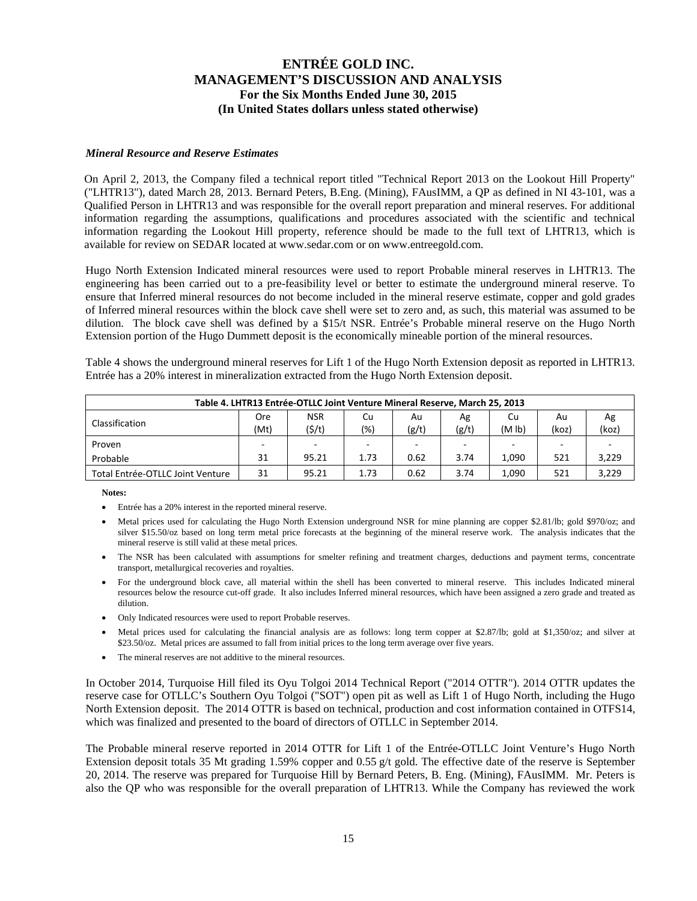#### *Mineral Resource and Reserve Estimates*

On April 2, 2013, the Company filed a technical report titled "Technical Report 2013 on the Lookout Hill Property" ("LHTR13"), dated March 28, 2013. Bernard Peters, B.Eng. (Mining), FAusIMM, a QP as defined in NI 43-101, was a Qualified Person in LHTR13 and was responsible for the overall report preparation and mineral reserves. For additional information regarding the assumptions, qualifications and procedures associated with the scientific and technical information regarding the Lookout Hill property, reference should be made to the full text of LHTR13, which is available for review on SEDAR located at www.sedar.com or on www.entreegold.com.

Hugo North Extension Indicated mineral resources were used to report Probable mineral reserves in LHTR13. The engineering has been carried out to a pre-feasibility level or better to estimate the underground mineral reserve. To ensure that Inferred mineral resources do not become included in the mineral reserve estimate, copper and gold grades of Inferred mineral resources within the block cave shell were set to zero and, as such, this material was assumed to be dilution. The block cave shell was defined by a \$15/t NSR. Entrée's Probable mineral reserve on the Hugo North Extension portion of the Hugo Dummett deposit is the economically mineable portion of the mineral resources.

Table 4 shows the underground mineral reserves for Lift 1 of the Hugo North Extension deposit as reported in LHTR13. Entrée has a 20% interest in mineralization extracted from the Hugo North Extension deposit.

| Table 4. LHTR13 Entrée-OTLLC Joint Venture Mineral Reserve, March 25, 2013                           |     |            |                          |      |      |       |     |       |  |  |  |
|------------------------------------------------------------------------------------------------------|-----|------------|--------------------------|------|------|-------|-----|-------|--|--|--|
|                                                                                                      | Ore | <b>NSR</b> | Cu                       | Au   | Ag   | Cu    | Au  | Ag    |  |  |  |
| Classification<br>(5/t)<br>(g/t)<br>(koz)<br>(g/t)<br>(Mt)<br>$(\% )$<br>(M <sub>lb</sub> )<br>(koz) |     |            |                          |      |      |       |     |       |  |  |  |
| Proven                                                                                               |     | $\sim$     | $\overline{\phantom{a}}$ |      |      |       |     |       |  |  |  |
| Probable                                                                                             | 31  | 95.21      | 1.73                     | 0.62 | 3.74 | 1.090 | 521 | 3,229 |  |  |  |
| Total Entrée-OTLLC Joint Venture                                                                     | 31  | 95.21      | 1.73                     | 0.62 | 3.74 | 1.090 | 521 | 3,229 |  |  |  |

**Notes:** 

- Entrée has a 20% interest in the reported mineral reserve.
- Metal prices used for calculating the Hugo North Extension underground NSR for mine planning are copper \$2.81/lb; gold \$970/oz; and silver \$15.50/oz based on long term metal price forecasts at the beginning of the mineral reserve work. The analysis indicates that the mineral reserve is still valid at these metal prices.
- The NSR has been calculated with assumptions for smelter refining and treatment charges, deductions and payment terms, concentrate transport, metallurgical recoveries and royalties.
- For the underground block cave, all material within the shell has been converted to mineral reserve. This includes Indicated mineral resources below the resource cut-off grade. It also includes Inferred mineral resources, which have been assigned a zero grade and treated as dilution.
- Only Indicated resources were used to report Probable reserves.
- Metal prices used for calculating the financial analysis are as follows: long term copper at \$2.87/lb; gold at \$1,350/oz; and silver at \$23.50/oz. Metal prices are assumed to fall from initial prices to the long term average over five years.
- The mineral reserves are not additive to the mineral resources.

In October 2014, Turquoise Hill filed its Oyu Tolgoi 2014 Technical Report ("2014 OTTR"). 2014 OTTR updates the reserve case for OTLLC's Southern Oyu Tolgoi ("SOT") open pit as well as Lift 1 of Hugo North, including the Hugo North Extension deposit. The 2014 OTTR is based on technical, production and cost information contained in OTFS14, which was finalized and presented to the board of directors of OTLLC in September 2014.

The Probable mineral reserve reported in 2014 OTTR for Lift 1 of the Entrée-OTLLC Joint Venture's Hugo North Extension deposit totals 35 Mt grading 1.59% copper and 0.55 g/t gold. The effective date of the reserve is September 20, 2014. The reserve was prepared for Turquoise Hill by Bernard Peters, B. Eng. (Mining), FAusIMM. Mr. Peters is also the QP who was responsible for the overall preparation of LHTR13. While the Company has reviewed the work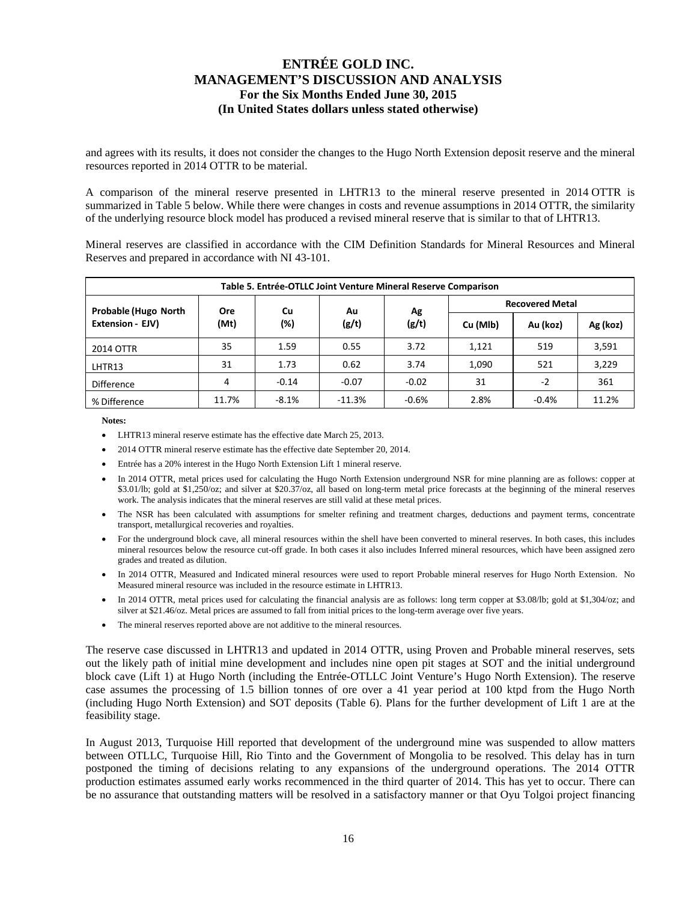and agrees with its results, it does not consider the changes to the Hugo North Extension deposit reserve and the mineral resources reported in 2014 OTTR to be material.

A comparison of the mineral reserve presented in LHTR13 to the mineral reserve presented in 2014 OTTR is summarized in Table 5 below. While there were changes in costs and revenue assumptions in 2014 OTTR, the similarity of the underlying resource block model has produced a revised mineral reserve that is similar to that of LHTR13.

Mineral reserves are classified in accordance with the CIM Definition Standards for Mineral Resources and Mineral Reserves and prepared in accordance with NI 43-101.

| Table 5. Entrée-OTLLC Joint Venture Mineral Reserve Comparison                        |                                                         |         |          |         |          |          |          |  |  |  |  |  |
|---------------------------------------------------------------------------------------|---------------------------------------------------------|---------|----------|---------|----------|----------|----------|--|--|--|--|--|
| <b>Recovered Metal</b><br><b>Probable (Hugo North</b><br>Cu<br><b>Ore</b><br>Ag<br>Au |                                                         |         |          |         |          |          |          |  |  |  |  |  |
| Extension - EJV)                                                                      | (Mt)                                                    | (%)     | (g/t)    | (g/t)   | Cu (Mlb) | Au (koz) | Ag (koz) |  |  |  |  |  |
| 2014 OTTR                                                                             | 35                                                      | 1.59    | 0.55     | 3.72    | 1,121    | 519      | 3,591    |  |  |  |  |  |
| LHTR13                                                                                | 31                                                      | 1.73    | 0.62     | 3.74    | 1,090    | 521      | 3,229    |  |  |  |  |  |
| Difference                                                                            | 31<br>361<br>$-0.07$<br>$-0.02$<br>4<br>$-2$<br>$-0.14$ |         |          |         |          |          |          |  |  |  |  |  |
| % Difference                                                                          | 11.7%                                                   | $-8.1%$ | $-11.3%$ | $-0.6%$ | 2.8%     | $-0.4%$  | 11.2%    |  |  |  |  |  |

**Notes:** 

- LHTR13 mineral reserve estimate has the effective date March 25, 2013.
- 2014 OTTR mineral reserve estimate has the effective date September 20, 2014.
- Entrée has a 20% interest in the Hugo North Extension Lift 1 mineral reserve.
- In 2014 OTTR, metal prices used for calculating the Hugo North Extension underground NSR for mine planning are as follows: copper at \$3.01/lb; gold at \$1,250/oz; and silver at \$20.37/oz, all based on long-term metal price forecasts at the beginning of the mineral reserves work. The analysis indicates that the mineral reserves are still valid at these metal prices.
- The NSR has been calculated with assumptions for smelter refining and treatment charges, deductions and payment terms, concentrate transport, metallurgical recoveries and royalties.
- For the underground block cave, all mineral resources within the shell have been converted to mineral reserves. In both cases, this includes mineral resources below the resource cut-off grade. In both cases it also includes Inferred mineral resources, which have been assigned zero grades and treated as dilution.
- In 2014 OTTR, Measured and Indicated mineral resources were used to report Probable mineral reserves for Hugo North Extension. No Measured mineral resource was included in the resource estimate in LHTR13.
- In 2014 OTTR, metal prices used for calculating the financial analysis are as follows: long term copper at \$3.08/lb; gold at \$1,304/oz; and silver at \$21.46/oz. Metal prices are assumed to fall from initial prices to the long-term average over five years.
- The mineral reserves reported above are not additive to the mineral resources.

The reserve case discussed in LHTR13 and updated in 2014 OTTR, using Proven and Probable mineral reserves, sets out the likely path of initial mine development and includes nine open pit stages at SOT and the initial underground block cave (Lift 1) at Hugo North (including the Entrée-OTLLC Joint Venture's Hugo North Extension). The reserve case assumes the processing of 1.5 billion tonnes of ore over a 41 year period at 100 ktpd from the Hugo North (including Hugo North Extension) and SOT deposits (Table 6). Plans for the further development of Lift 1 are at the feasibility stage.

In August 2013, Turquoise Hill reported that development of the underground mine was suspended to allow matters between OTLLC, Turquoise Hill, Rio Tinto and the Government of Mongolia to be resolved. This delay has in turn postponed the timing of decisions relating to any expansions of the underground operations. The 2014 OTTR production estimates assumed early works recommenced in the third quarter of 2014. This has yet to occur. There can be no assurance that outstanding matters will be resolved in a satisfactory manner or that Oyu Tolgoi project financing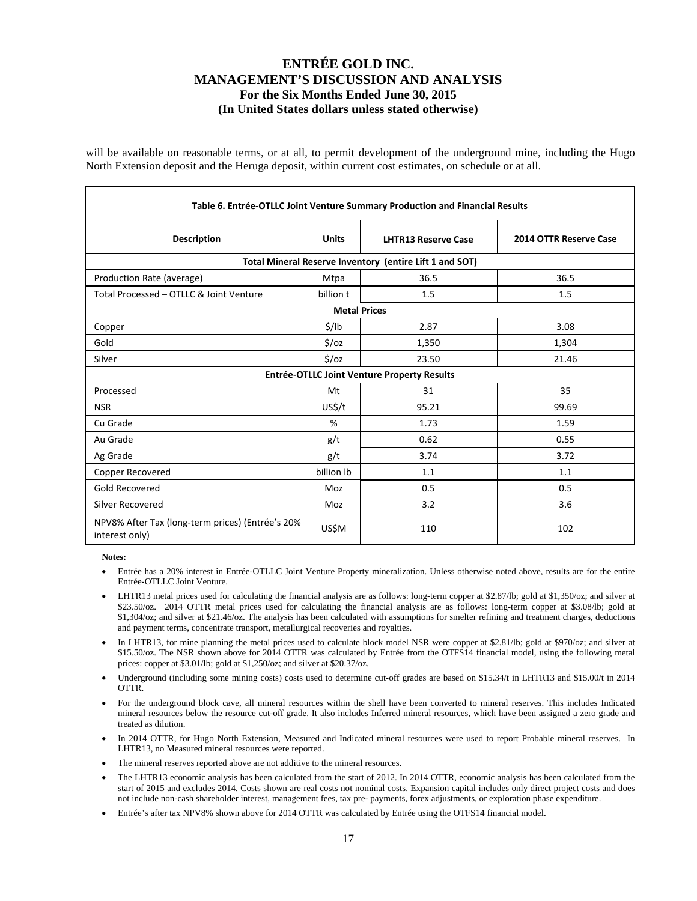will be available on reasonable terms, or at all, to permit development of the underground mine, including the Hugo North Extension deposit and the Heruga deposit, within current cost estimates, on schedule or at all.

| Table 6. Entrée-OTLLC Joint Venture Summary Production and Financial Results |                   |                                             |                        |  |  |  |  |  |  |  |  |
|------------------------------------------------------------------------------|-------------------|---------------------------------------------|------------------------|--|--|--|--|--|--|--|--|
| <b>Description</b>                                                           | <b>Units</b>      | <b>LHTR13 Reserve Case</b>                  | 2014 OTTR Reserve Case |  |  |  |  |  |  |  |  |
| Total Mineral Reserve Inventory (entire Lift 1 and SOT)                      |                   |                                             |                        |  |  |  |  |  |  |  |  |
| Production Rate (average)                                                    | Mtpa              | 36.5                                        | 36.5                   |  |  |  |  |  |  |  |  |
| Total Processed - OTLLC & Joint Venture                                      | billion t         | 1.5                                         | 1.5                    |  |  |  |  |  |  |  |  |
| <b>Metal Prices</b>                                                          |                   |                                             |                        |  |  |  |  |  |  |  |  |
| Copper                                                                       | $\frac{1}{2}$ /lb | 2.87                                        | 3.08                   |  |  |  |  |  |  |  |  |
| Gold                                                                         | \$/oz             | 1,350                                       | 1,304                  |  |  |  |  |  |  |  |  |
| Silver                                                                       | \$/oz             | 23.50                                       | 21.46                  |  |  |  |  |  |  |  |  |
|                                                                              |                   | Entrée-OTLLC Joint Venture Property Results |                        |  |  |  |  |  |  |  |  |
| Processed                                                                    | Mt                | 31                                          | 35                     |  |  |  |  |  |  |  |  |
| <b>NSR</b>                                                                   | US\$/t            | 95.21                                       | 99.69                  |  |  |  |  |  |  |  |  |
| Cu Grade                                                                     | %                 | 1.73                                        | 1.59                   |  |  |  |  |  |  |  |  |
| Au Grade                                                                     | g/t               | 0.62                                        | 0.55                   |  |  |  |  |  |  |  |  |
| Ag Grade                                                                     | g/t               | 3.74                                        | 3.72                   |  |  |  |  |  |  |  |  |
| Copper Recovered                                                             | billion lb        | 1.1                                         | 1.1                    |  |  |  |  |  |  |  |  |
| Gold Recovered                                                               | Moz               | 0.5                                         | 0.5                    |  |  |  |  |  |  |  |  |
| Silver Recovered                                                             | Moz               | 3.2                                         | 3.6                    |  |  |  |  |  |  |  |  |
| NPV8% After Tax (long-term prices) (Entrée's 20%<br>interest only)           | US\$M             | 110                                         | 102                    |  |  |  |  |  |  |  |  |

**Notes:** 

- Entrée has a 20% interest in Entrée-OTLLC Joint Venture Property mineralization. Unless otherwise noted above, results are for the entire Entrée-OTLLC Joint Venture.
- LHTR13 metal prices used for calculating the financial analysis are as follows: long-term copper at \$2.87/lb; gold at \$1,350/oz; and silver at \$23.50/oz. 2014 OTTR metal prices used for calculating the financial analysis are as follows: long-term copper at \$3.08/lb; gold at \$1,304/oz; and silver at \$21.46/oz. The analysis has been calculated with assumptions for smelter refining and treatment charges, deductions and payment terms, concentrate transport, metallurgical recoveries and royalties.
- In LHTR13, for mine planning the metal prices used to calculate block model NSR were copper at \$2.81/lb; gold at \$970/oz; and silver at \$15.50/oz. The NSR shown above for 2014 OTTR was calculated by Entrée from the OTFS14 financial model, using the following metal prices: copper at \$3.01/lb; gold at \$1,250/oz; and silver at \$20.37/oz.
- Underground (including some mining costs) costs used to determine cut-off grades are based on \$15.34/t in LHTR13 and \$15.00/t in 2014 OTTR.
- For the underground block cave, all mineral resources within the shell have been converted to mineral reserves. This includes Indicated mineral resources below the resource cut-off grade. It also includes Inferred mineral resources, which have been assigned a zero grade and treated as dilution.
- In 2014 OTTR, for Hugo North Extension, Measured and Indicated mineral resources were used to report Probable mineral reserves. In LHTR13, no Measured mineral resources were reported.
- The mineral reserves reported above are not additive to the mineral resources.
- The LHTR13 economic analysis has been calculated from the start of 2012. In 2014 OTTR, economic analysis has been calculated from the start of 2015 and excludes 2014. Costs shown are real costs not nominal costs. Expansion capital includes only direct project costs and does not include non-cash shareholder interest, management fees, tax pre- payments, forex adjustments, or exploration phase expenditure.
- Entrée's after tax NPV8% shown above for 2014 OTTR was calculated by Entrée using the OTFS14 financial model.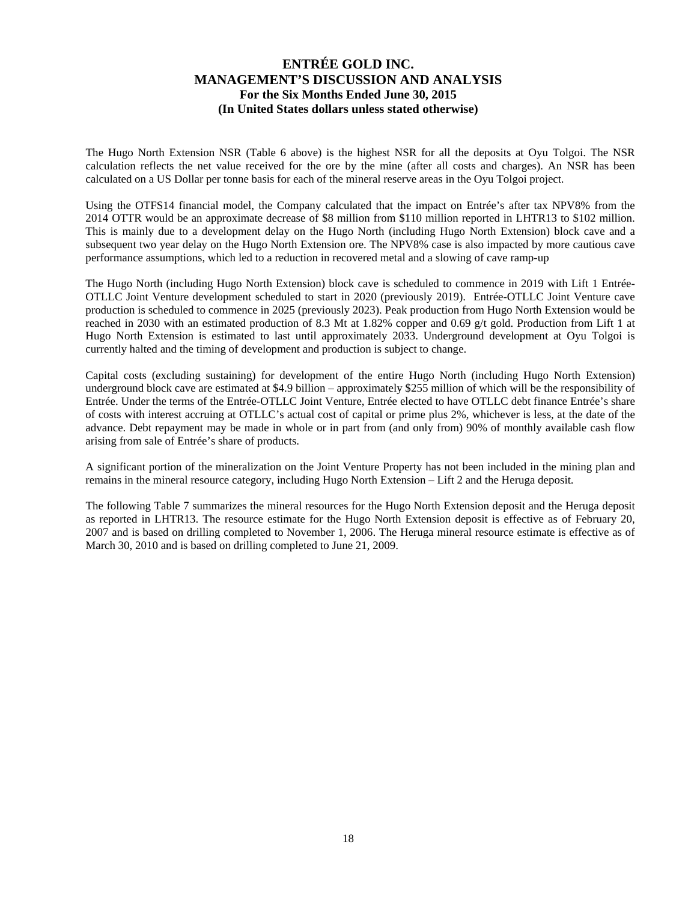The Hugo North Extension NSR (Table 6 above) is the highest NSR for all the deposits at Oyu Tolgoi. The NSR calculation reflects the net value received for the ore by the mine (after all costs and charges). An NSR has been calculated on a US Dollar per tonne basis for each of the mineral reserve areas in the Oyu Tolgoi project.

Using the OTFS14 financial model, the Company calculated that the impact on Entrée's after tax NPV8% from the 2014 OTTR would be an approximate decrease of \$8 million from \$110 million reported in LHTR13 to \$102 million. This is mainly due to a development delay on the Hugo North (including Hugo North Extension) block cave and a subsequent two year delay on the Hugo North Extension ore. The NPV8% case is also impacted by more cautious cave performance assumptions, which led to a reduction in recovered metal and a slowing of cave ramp-up

The Hugo North (including Hugo North Extension) block cave is scheduled to commence in 2019 with Lift 1 Entrée-OTLLC Joint Venture development scheduled to start in 2020 (previously 2019). Entrée-OTLLC Joint Venture cave production is scheduled to commence in 2025 (previously 2023). Peak production from Hugo North Extension would be reached in 2030 with an estimated production of 8.3 Mt at 1.82% copper and 0.69 g/t gold. Production from Lift 1 at Hugo North Extension is estimated to last until approximately 2033. Underground development at Oyu Tolgoi is currently halted and the timing of development and production is subject to change.

Capital costs (excluding sustaining) for development of the entire Hugo North (including Hugo North Extension) underground block cave are estimated at \$4.9 billion – approximately \$255 million of which will be the responsibility of Entrée. Under the terms of the Entrée-OTLLC Joint Venture, Entrée elected to have OTLLC debt finance Entrée's share of costs with interest accruing at OTLLC's actual cost of capital or prime plus 2%, whichever is less, at the date of the advance. Debt repayment may be made in whole or in part from (and only from) 90% of monthly available cash flow arising from sale of Entrée's share of products.

A significant portion of the mineralization on the Joint Venture Property has not been included in the mining plan and remains in the mineral resource category, including Hugo North Extension – Lift 2 and the Heruga deposit.

The following Table 7 summarizes the mineral resources for the Hugo North Extension deposit and the Heruga deposit as reported in LHTR13. The resource estimate for the Hugo North Extension deposit is effective as of February 20, 2007 and is based on drilling completed to November 1, 2006. The Heruga mineral resource estimate is effective as of March 30, 2010 and is based on drilling completed to June 21, 2009.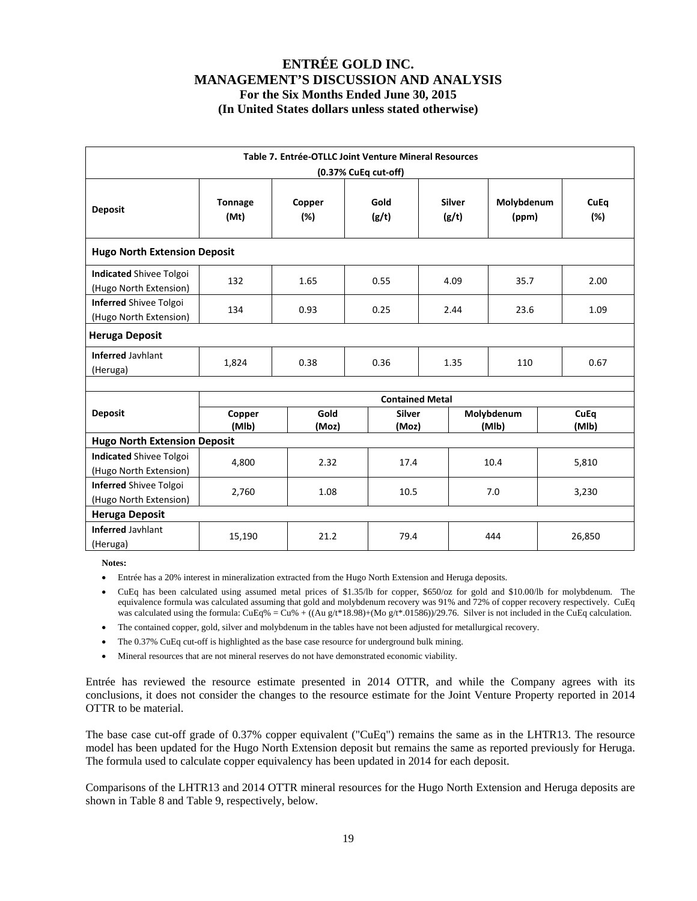| Table 7. Entrée-OTLLC Joint Venture Mineral Resources    |                                                                                                                             |               |                        |  |      |                     |  |               |  |  |  |  |
|----------------------------------------------------------|-----------------------------------------------------------------------------------------------------------------------------|---------------|------------------------|--|------|---------------------|--|---------------|--|--|--|--|
| (0.37% CuEq cut-off)                                     |                                                                                                                             |               |                        |  |      |                     |  |               |  |  |  |  |
| <b>Deposit</b>                                           | Gold<br><b>Silver</b><br>Molybdenum<br>CuEq<br><b>Tonnage</b><br>Copper<br>(Mt)<br>(%)<br>(g/t)<br>(g/t)<br>(ppm)<br>$(\%)$ |               |                        |  |      |                     |  |               |  |  |  |  |
| <b>Hugo North Extension Deposit</b>                      |                                                                                                                             |               |                        |  |      |                     |  |               |  |  |  |  |
| <b>Indicated Shivee Tolgoi</b><br>(Hugo North Extension) | 132                                                                                                                         | 1.65          | 0.55                   |  | 4.09 | 35.7                |  | 2.00          |  |  |  |  |
| Inferred Shivee Tolgoi<br>(Hugo North Extension)         | 134<br>0.93<br>0.25<br>2.44<br>23.6<br>1.09                                                                                 |               |                        |  |      |                     |  |               |  |  |  |  |
| <b>Heruga Deposit</b>                                    |                                                                                                                             |               |                        |  |      |                     |  |               |  |  |  |  |
| <b>Inferred Jayhlant</b><br>(Heruga)                     | 1,824                                                                                                                       | 0.38          | 0.36                   |  | 1.35 | 110                 |  | 0.67          |  |  |  |  |
|                                                          |                                                                                                                             |               |                        |  |      |                     |  |               |  |  |  |  |
|                                                          |                                                                                                                             |               | <b>Contained Metal</b> |  |      |                     |  |               |  |  |  |  |
| <b>Deposit</b>                                           | Copper<br>(MIb)                                                                                                             | Gold<br>(Moz) | <b>Silver</b><br>(Moz) |  |      | Molybdenum<br>(MIb) |  | CuEq<br>(MIb) |  |  |  |  |
| <b>Hugo North Extension Deposit</b>                      |                                                                                                                             |               |                        |  |      |                     |  |               |  |  |  |  |
| <b>Indicated Shivee Tolgoi</b><br>(Hugo North Extension) | 4,800                                                                                                                       | 2.32          | 17.4                   |  |      | 10.4                |  | 5,810         |  |  |  |  |
| <b>Inferred Shivee Tolgoi</b><br>(Hugo North Extension)  | 2,760<br>1.08<br>10.5<br>7.0<br>3,230                                                                                       |               |                        |  |      |                     |  |               |  |  |  |  |
| <b>Heruga Deposit</b>                                    |                                                                                                                             |               |                        |  |      |                     |  |               |  |  |  |  |
| <b>Inferred Javhlant</b><br>(Heruga)                     | 15,190                                                                                                                      | 21.2          | 79.4                   |  |      | 444                 |  | 26,850        |  |  |  |  |

**Notes:** 

Entrée has a 20% interest in mineralization extracted from the Hugo North Extension and Heruga deposits.

- CuEq has been calculated using assumed metal prices of \$1.35/lb for copper, \$650/oz for gold and \$10.00/lb for molybdenum. The equivalence formula was calculated assuming that gold and molybdenum recovery was 91% and 72% of copper recovery respectively. CuEq was calculated using the formula:  $CuEq\% = Cu\% + ((Au g/t*18.98)+(Mo g/t*.01586))/29.76$ . Silver is not included in the CuEq calculation.
- The contained copper, gold, silver and molybdenum in the tables have not been adjusted for metallurgical recovery.
- The 0.37% CuEq cut-off is highlighted as the base case resource for underground bulk mining.
- Mineral resources that are not mineral reserves do not have demonstrated economic viability.

Entrée has reviewed the resource estimate presented in 2014 OTTR, and while the Company agrees with its conclusions, it does not consider the changes to the resource estimate for the Joint Venture Property reported in 2014 OTTR to be material.

The base case cut-off grade of 0.37% copper equivalent ("CuEq") remains the same as in the LHTR13. The resource model has been updated for the Hugo North Extension deposit but remains the same as reported previously for Heruga. The formula used to calculate copper equivalency has been updated in 2014 for each deposit.

Comparisons of the LHTR13 and 2014 OTTR mineral resources for the Hugo North Extension and Heruga deposits are shown in Table 8 and Table 9, respectively, below.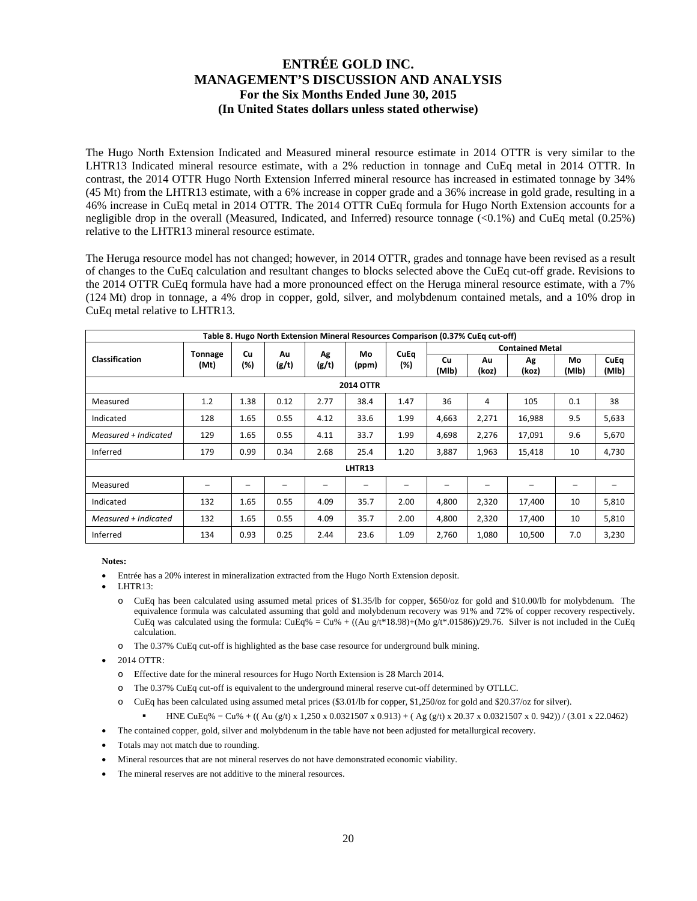The Hugo North Extension Indicated and Measured mineral resource estimate in 2014 OTTR is very similar to the LHTR13 Indicated mineral resource estimate, with a 2% reduction in tonnage and CuEq metal in 2014 OTTR. In contrast, the 2014 OTTR Hugo North Extension Inferred mineral resource has increased in estimated tonnage by 34% (45 Mt) from the LHTR13 estimate, with a 6% increase in copper grade and a 36% increase in gold grade, resulting in a 46% increase in CuEq metal in 2014 OTTR. The 2014 OTTR CuEq formula for Hugo North Extension accounts for a negligible drop in the overall (Measured, Indicated, and Inferred) resource tonnage  $(<0.1\%)$  and CuEq metal  $(0.25\%)$ relative to the LHTR13 mineral resource estimate.

The Heruga resource model has not changed; however, in 2014 OTTR, grades and tonnage have been revised as a result of changes to the CuEq calculation and resultant changes to blocks selected above the CuEq cut-off grade. Revisions to the 2014 OTTR CuEq formula have had a more pronounced effect on the Heruga mineral resource estimate, with a 7% (124 Mt) drop in tonnage, a 4% drop in copper, gold, silver, and molybdenum contained metals, and a 10% drop in CuEq metal relative to LHTR13.

| Table 8. Hugo North Extension Mineral Resources Comparison (0.37% CuEq cut-off) |                                               |      |             |             |             |             |                        |       |        |                          |       |  |
|---------------------------------------------------------------------------------|-----------------------------------------------|------|-------------|-------------|-------------|-------------|------------------------|-------|--------|--------------------------|-------|--|
|                                                                                 | <b>Tonnage</b>                                | Cu   | Au          | Ag          | Mo          | <b>CuEq</b> | <b>Contained Metal</b> |       |        |                          |       |  |
| <b>Classification</b>                                                           | (%)<br>(g/t)<br>(%)<br>(g/t)<br>(Mt)<br>(ppm) |      | Cu<br>(MIb) | Au<br>(koz) | Ag<br>(koz) | Mo<br>(MIb) | <b>CuEq</b><br>(MIb)   |       |        |                          |       |  |
| <b>2014 OTTR</b>                                                                |                                               |      |             |             |             |             |                        |       |        |                          |       |  |
| Measured                                                                        | 1.2                                           | 1.38 | 0.12        | 2.77        | 38.4        | 1.47        | 36                     | 4     | 105    | 0.1                      | 38    |  |
| Indicated                                                                       | 128                                           | 1.65 | 0.55        | 4.12        | 33.6        | 1.99        | 4,663                  | 2,271 | 16,988 | 9.5                      | 5,633 |  |
| Measured + Indicated                                                            | 129                                           | 1.65 | 0.55        | 4.11        | 33.7        | 1.99        | 4,698                  | 2,276 | 17,091 | 9.6                      | 5,670 |  |
| Inferred                                                                        | 179                                           | 0.99 | 0.34        | 2.68        | 25.4        | 1.20        | 3,887                  | 1,963 | 15,418 | 10                       | 4,730 |  |
|                                                                                 |                                               |      |             |             | LHTR13      |             |                        |       |        |                          |       |  |
| Measured                                                                        |                                               |      |             |             | -           |             |                        |       |        | $\overline{\phantom{0}}$ |       |  |
| Indicated                                                                       | 132                                           | 1.65 | 0.55        | 4.09        | 35.7        | 2.00        | 4,800                  | 2,320 | 17,400 | 10                       | 5,810 |  |
| Measured + Indicated                                                            | 132                                           | 1.65 | 0.55        | 4.09        | 35.7        | 2.00        | 4,800                  | 2,320 | 17,400 | 10                       | 5,810 |  |
| Inferred                                                                        | 134                                           | 0.93 | 0.25        | 2.44        | 23.6        | 1.09        | 2,760                  | 1,080 | 10,500 | 7.0                      | 3,230 |  |

**Notes:** 

- Entrée has a 20% interest in mineralization extracted from the Hugo North Extension deposit.
- LHTR13:
	- o CuEq has been calculated using assumed metal prices of \$1.35/lb for copper, \$650/oz for gold and \$10.00/lb for molybdenum. The equivalence formula was calculated assuming that gold and molybdenum recovery was 91% and 72% of copper recovery respectively. CuEq was calculated using the formula:  $CuEq\% = Cu\% + ((Au g/t*18.98)+(Mo g/t*.01586))/29.76$ . Silver is not included in the CuEq calculation.
	- o The 0.37% CuEq cut-off is highlighted as the base case resource for underground bulk mining.
- 2014 OTTR:
	- o Effective date for the mineral resources for Hugo North Extension is 28 March 2014.
	- o The 0.37% CuEq cut-off is equivalent to the underground mineral reserve cut-off determined by OTLLC.
	- o CuEq has been calculated using assumed metal prices (\$3.01/lb for copper, \$1,250/oz for gold and \$20.37/oz for silver).
		- HNE CuEq% = Cu% + ((Au (g/t) x 1,250 x 0.0321507 x 0.913) + (Ag (g/t) x 20.37 x 0.0321507 x 0.942)) / (3.01 x 22.0462)
- The contained copper, gold, silver and molybdenum in the table have not been adjusted for metallurgical recovery.
- Totals may not match due to rounding.
- Mineral resources that are not mineral reserves do not have demonstrated economic viability.
- The mineral reserves are not additive to the mineral resources.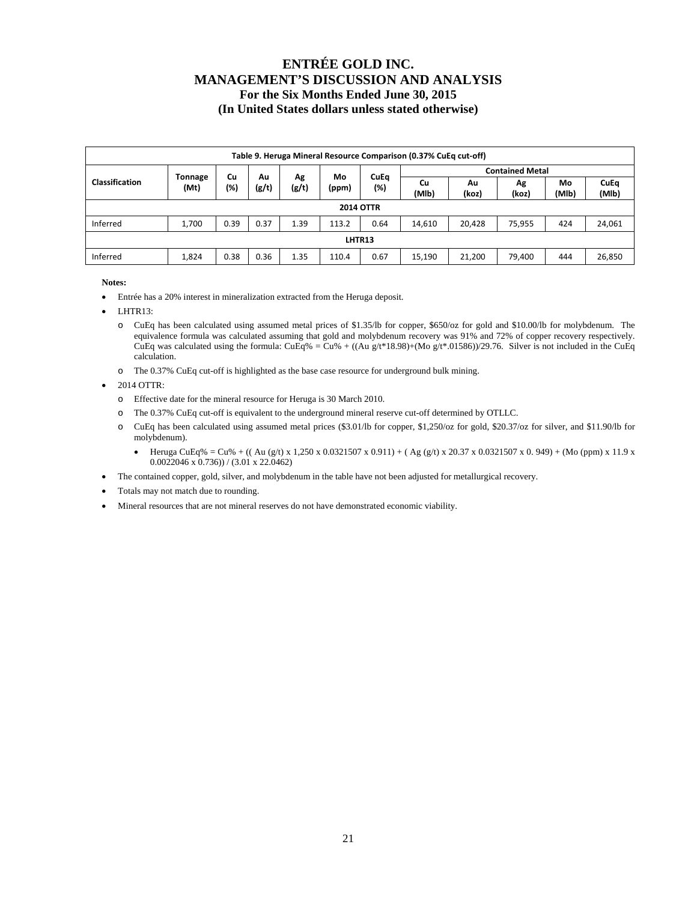| Table 9. Heruga Mineral Resource Comparison (0.37% CuEq cut-off) |                                                                                               |      |       |             |       |                    |             |             |             |             |                      |  |
|------------------------------------------------------------------|-----------------------------------------------------------------------------------------------|------|-------|-------------|-------|--------------------|-------------|-------------|-------------|-------------|----------------------|--|
| <b>Contained Metal</b><br>Mo<br>Cu<br>Au                         |                                                                                               |      |       |             |       |                    |             |             |             |             |                      |  |
| <b>Classification</b>                                            | Tonnage<br>(Mt)                                                                               | (%)  | (g/t) | Αg<br>(g/t) | (ppm) | <b>CuEq</b><br>(%) | Cu<br>(MIb) | Au<br>(koz) | Ag<br>(koz) | Mo<br>(MIb) | <b>CuEq</b><br>(MIb) |  |
|                                                                  | <b>2014 OTTR</b>                                                                              |      |       |             |       |                    |             |             |             |             |                      |  |
| Inferred                                                         | 1,700                                                                                         | 0.39 | 0.37  | 1.39        | 113.2 | 0.64               | 14,610      | 20,428      | 75,955      | 424         | 24,061               |  |
| LHTR13                                                           |                                                                                               |      |       |             |       |                    |             |             |             |             |                      |  |
| Inferred                                                         | 0.36<br>26,850<br>0.38<br>1.35<br>0.67<br>21,200<br>79.400<br>444<br>1,824<br>15,190<br>110.4 |      |       |             |       |                    |             |             |             |             |                      |  |

**Notes:** 

- Entrée has a 20% interest in mineralization extracted from the Heruga deposit.
- LHTR13:
	- o CuEq has been calculated using assumed metal prices of \$1.35/lb for copper, \$650/oz for gold and \$10.00/lb for molybdenum. The equivalence formula was calculated assuming that gold and molybdenum recovery was 91% and 72% of copper recovery respectively. CuEq was calculated using the formula: CuEq% = Cu% + ((Au g/t\*18.98)+(Mo g/t\*.01586))/29.76. Silver is not included in the CuEq calculation.
	- o The 0.37% CuEq cut-off is highlighted as the base case resource for underground bulk mining.

2014 OTTR:

- o Effective date for the mineral resource for Heruga is 30 March 2010.
- o The 0.37% CuEq cut-off is equivalent to the underground mineral reserve cut-off determined by OTLLC.
- o CuEq has been calculated using assumed metal prices (\$3.01/lb for copper, \$1,250/oz for gold, \$20.37/oz for silver, and \$11.90/lb for molybdenum).
	- $\bullet$  Heruga CuEq% = Cu% + ((Au (g/t) x 1,250 x 0.0321507 x 0.911) + (Ag (g/t) x 20.37 x 0.0321507 x 0.949) + (Mo (ppm) x 11.9 x 0.0022046 x 0.736)) / (3.01 x 22.0462)
- The contained copper, gold, silver, and molybdenum in the table have not been adjusted for metallurgical recovery.
- Totals may not match due to rounding.
- Mineral resources that are not mineral reserves do not have demonstrated economic viability.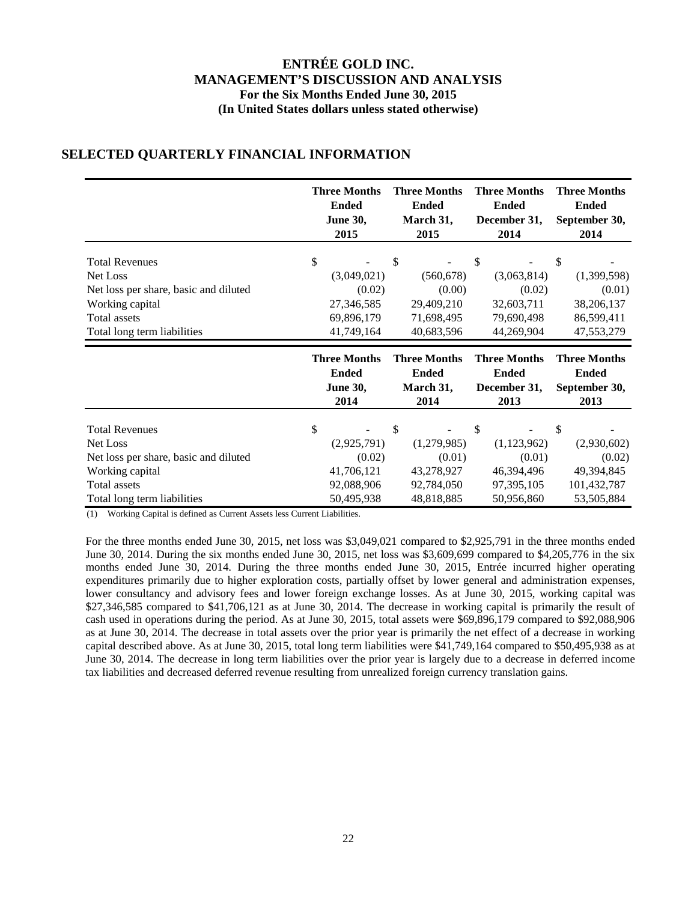|                                       | <b>Three Months</b> | <b>Three Months</b> | <b>Three Months</b> | <b>Three Months</b> |
|---------------------------------------|---------------------|---------------------|---------------------|---------------------|
|                                       | <b>Ended</b>        | <b>Ended</b>        | <b>Ended</b>        | <b>Ended</b>        |
|                                       | <b>June 30,</b>     | March 31,           | December 31,        | September 30,       |
|                                       | 2015                | 2015                | 2014                | 2014                |
| <b>Total Revenues</b>                 | \$                  | \$                  | \$                  | \$                  |
| Net Loss                              | (3,049,021)         | (560, 678)          | (3,063,814)         | (1,399,598)         |
| Net loss per share, basic and diluted | (0.02)              | (0.00)              | (0.02)              | (0.01)              |
| Working capital                       | 27,346,585          | 29,409,210          | 32,603,711          | 38,206,137          |
| Total assets                          | 69,896,179          | 71,698,495          | 79,690,498          | 86,599,411          |
| Total long term liabilities           | 41,749,164          | 40,683,596          | 44,269,904          | 47,553,279          |
|                                       | <b>Three Months</b> | <b>Three Months</b> | <b>Three Months</b> | <b>Three Months</b> |
|                                       | <b>Ended</b>        | <b>Ended</b>        | <b>Ended</b>        | <b>Ended</b>        |
|                                       | <b>June 30,</b>     | March 31,           | December 31,        | September 30,       |
|                                       | 2014                | 2014                | 2013                | 2013                |
| <b>Total Revenues</b>                 | \$                  | \$                  | \$                  | \$                  |

### **SELECTED QUARTERLY FINANCIAL INFORMATION**

(1) Working Capital is defined as Current Assets less Current Liabilities.

For the three months ended June 30, 2015, net loss was \$3,049,021 compared to \$2,925,791 in the three months ended June 30, 2014. During the six months ended June 30, 2015, net loss was \$3,609,699 compared to \$4,205,776 in the six months ended June 30, 2014. During the three months ended June 30, 2015, Entrée incurred higher operating expenditures primarily due to higher exploration costs, partially offset by lower general and administration expenses, lower consultancy and advisory fees and lower foreign exchange losses. As at June 30, 2015, working capital was \$27,346,585 compared to \$41,706,121 as at June 30, 2014. The decrease in working capital is primarily the result of cash used in operations during the period. As at June 30, 2015, total assets were \$69,896,179 compared to \$92,088,906 as at June 30, 2014. The decrease in total assets over the prior year is primarily the net effect of a decrease in working capital described above. As at June 30, 2015, total long term liabilities were \$41,749,164 compared to \$50,495,938 as at June 30, 2014. The decrease in long term liabilities over the prior year is largely due to a decrease in deferred income tax liabilities and decreased deferred revenue resulting from unrealized foreign currency translation gains.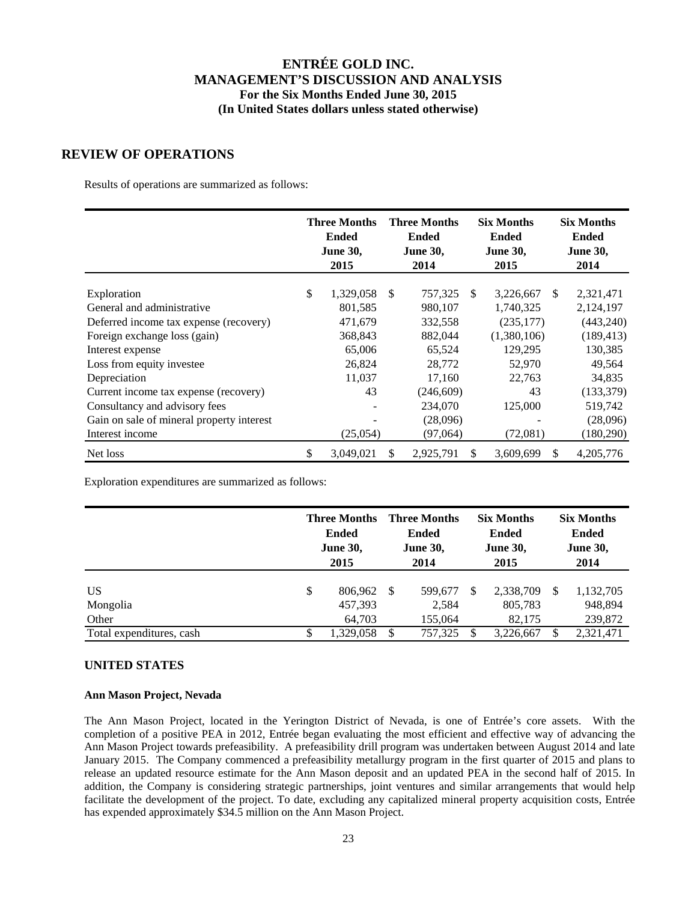### **REVIEW OF OPERATIONS**

Results of operations are summarized as follows:

|                                           |     | <b>Three Months</b><br><b>Ended</b><br><b>June 30,</b><br>2015 |               | <b>Three Months</b><br><b>Ended</b><br><b>June 30,</b><br>2014 |               | <b>Six Months</b><br><b>Ended</b><br><b>June 30,</b><br>2015 |               | <b>Six Months</b><br><b>Ended</b><br><b>June 30,</b><br>2014 |
|-------------------------------------------|-----|----------------------------------------------------------------|---------------|----------------------------------------------------------------|---------------|--------------------------------------------------------------|---------------|--------------------------------------------------------------|
| Exploration                               | \$. | 1,329,058                                                      | <sup>\$</sup> | 757,325                                                        | <sup>\$</sup> | 3,226,667                                                    | <sup>\$</sup> | 2,321,471                                                    |
| General and administrative                |     | 801,585                                                        |               | 980,107                                                        |               | 1,740,325                                                    |               | 2,124,197                                                    |
| Deferred income tax expense (recovery)    |     | 471,679                                                        |               | 332,558                                                        |               | (235, 177)                                                   |               | (443, 240)                                                   |
| Foreign exchange loss (gain)              |     | 368,843                                                        |               | 882,044                                                        |               | (1,380,106)                                                  |               | (189, 413)                                                   |
| Interest expense                          |     | 65,006                                                         |               | 65,524                                                         |               | 129,295                                                      |               | 130,385                                                      |
| Loss from equity investee                 |     | 26,824                                                         |               | 28,772                                                         |               | 52,970                                                       |               | 49,564                                                       |
| Depreciation                              |     | 11,037                                                         |               | 17,160                                                         |               | 22,763                                                       |               | 34,835                                                       |
| Current income tax expense (recovery)     |     | 43                                                             |               | (246, 609)                                                     |               | 43                                                           |               | (133, 379)                                                   |
| Consultancy and advisory fees             |     |                                                                |               | 234,070                                                        |               | 125,000                                                      |               | 519,742                                                      |
| Gain on sale of mineral property interest |     |                                                                |               | (28,096)                                                       |               |                                                              |               | (28,096)                                                     |
| Interest income                           |     | (25,054)                                                       |               | (97,064)                                                       |               | (72,081)                                                     |               | (180, 290)                                                   |
| Net loss                                  | \$  | 3,049,021                                                      | \$            | 2,925,791                                                      | \$.           | 3,609,699                                                    | \$.           | 4, 205, 776                                                  |

Exploration expenditures are summarized as follows:

|                          | <b>Three Months</b><br><b>Ended</b><br><b>June 30,</b><br>2015 |               | <b>Three Months</b><br><b>Ended</b><br><b>June 30,</b><br>2014 |               | <b>Six Months</b><br><b>Ended</b><br><b>June 30,</b><br>2015 |    | <b>Six Months</b><br><b>Ended</b><br><b>June 30,</b><br>2014 |  |
|--------------------------|----------------------------------------------------------------|---------------|----------------------------------------------------------------|---------------|--------------------------------------------------------------|----|--------------------------------------------------------------|--|
| US<br>Mongolia           | \$<br>806,962 \$<br>457,393                                    |               | 599,677<br>2,584                                               | <sup>\$</sup> | 2,338,709<br>805,783                                         | -S | 1,132,705<br>948,894                                         |  |
| Other                    | 64.703                                                         |               | 155.064                                                        |               | 82,175                                                       |    | 239,872                                                      |  |
| Total expenditures, cash | \$<br>1.329.058                                                | <sup>\$</sup> | 757.325                                                        | \$.           | 3,226,667                                                    | S  | 2,321,471                                                    |  |

### **UNITED STATES**

#### **Ann Mason Project, Nevada**

The Ann Mason Project, located in the Yerington District of Nevada, is one of Entrée's core assets. With the completion of a positive PEA in 2012, Entrée began evaluating the most efficient and effective way of advancing the Ann Mason Project towards prefeasibility. A prefeasibility drill program was undertaken between August 2014 and late January 2015. The Company commenced a prefeasibility metallurgy program in the first quarter of 2015 and plans to release an updated resource estimate for the Ann Mason deposit and an updated PEA in the second half of 2015. In addition, the Company is considering strategic partnerships, joint ventures and similar arrangements that would help facilitate the development of the project. To date, excluding any capitalized mineral property acquisition costs, Entrée has expended approximately \$34.5 million on the Ann Mason Project.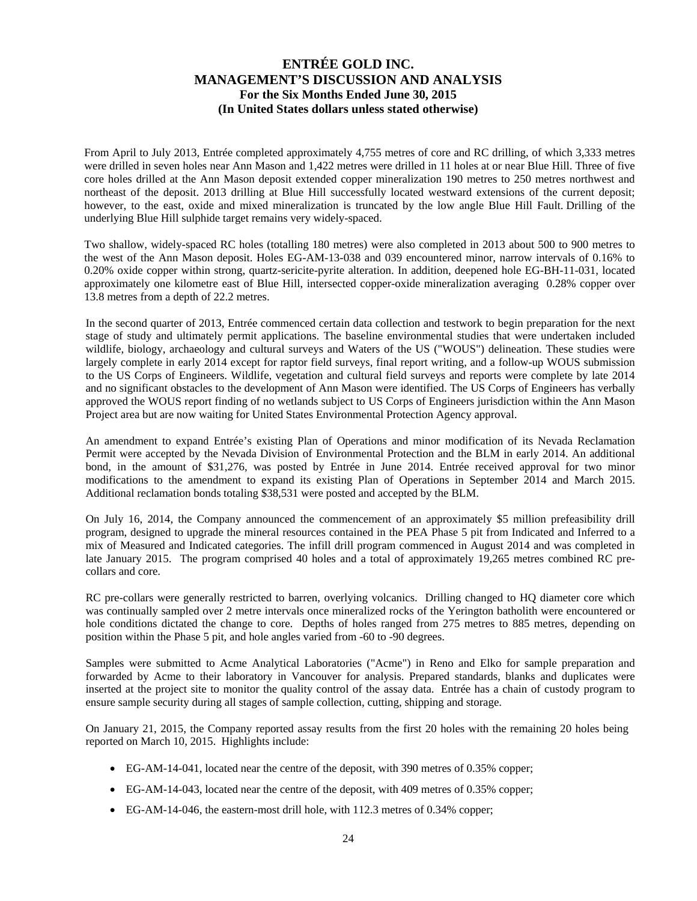From April to July 2013, Entrée completed approximately 4,755 metres of core and RC drilling, of which 3,333 metres were drilled in seven holes near Ann Mason and 1,422 metres were drilled in 11 holes at or near Blue Hill. Three of five core holes drilled at the Ann Mason deposit extended copper mineralization 190 metres to 250 metres northwest and northeast of the deposit. 2013 drilling at Blue Hill successfully located westward extensions of the current deposit; however, to the east, oxide and mixed mineralization is truncated by the low angle Blue Hill Fault. Drilling of the underlying Blue Hill sulphide target remains very widely-spaced.

Two shallow, widely-spaced RC holes (totalling 180 metres) were also completed in 2013 about 500 to 900 metres to the west of the Ann Mason deposit. Holes EG-AM-13-038 and 039 encountered minor, narrow intervals of 0.16% to 0.20% oxide copper within strong, quartz-sericite-pyrite alteration. In addition, deepened hole EG-BH-11-031, located approximately one kilometre east of Blue Hill, intersected copper-oxide mineralization averaging 0.28% copper over 13.8 metres from a depth of 22.2 metres.

In the second quarter of 2013, Entrée commenced certain data collection and testwork to begin preparation for the next stage of study and ultimately permit applications. The baseline environmental studies that were undertaken included wildlife, biology, archaeology and cultural surveys and Waters of the US ("WOUS") delineation. These studies were largely complete in early 2014 except for raptor field surveys, final report writing, and a follow-up WOUS submission to the US Corps of Engineers. Wildlife, vegetation and cultural field surveys and reports were complete by late 2014 and no significant obstacles to the development of Ann Mason were identified. The US Corps of Engineers has verbally approved the WOUS report finding of no wetlands subject to US Corps of Engineers jurisdiction within the Ann Mason Project area but are now waiting for United States Environmental Protection Agency approval.

An amendment to expand Entrée's existing Plan of Operations and minor modification of its Nevada Reclamation Permit were accepted by the Nevada Division of Environmental Protection and the BLM in early 2014. An additional bond, in the amount of \$31,276, was posted by Entrée in June 2014. Entrée received approval for two minor modifications to the amendment to expand its existing Plan of Operations in September 2014 and March 2015. Additional reclamation bonds totaling \$38,531 were posted and accepted by the BLM.

On July 16, 2014, the Company announced the commencement of an approximately \$5 million prefeasibility drill program, designed to upgrade the mineral resources contained in the PEA Phase 5 pit from Indicated and Inferred to a mix of Measured and Indicated categories. The infill drill program commenced in August 2014 and was completed in late January 2015. The program comprised 40 holes and a total of approximately 19,265 metres combined RC precollars and core.

RC pre-collars were generally restricted to barren, overlying volcanics. Drilling changed to HQ diameter core which was continually sampled over 2 metre intervals once mineralized rocks of the Yerington batholith were encountered or hole conditions dictated the change to core. Depths of holes ranged from 275 metres to 885 metres, depending on position within the Phase 5 pit, and hole angles varied from -60 to -90 degrees.

Samples were submitted to Acme Analytical Laboratories ("Acme") in Reno and Elko for sample preparation and forwarded by Acme to their laboratory in Vancouver for analysis. Prepared standards, blanks and duplicates were inserted at the project site to monitor the quality control of the assay data. Entrée has a chain of custody program to ensure sample security during all stages of sample collection, cutting, shipping and storage.

On January 21, 2015, the Company reported assay results from the first 20 holes with the remaining 20 holes being reported on March 10, 2015. Highlights include:

- EG-AM-14-041, located near the centre of the deposit, with 390 metres of 0.35% copper;
- EG-AM-14-043, located near the centre of the deposit, with 409 metres of 0.35% copper;
- EG-AM-14-046, the eastern-most drill hole, with 112.3 metres of 0.34% copper;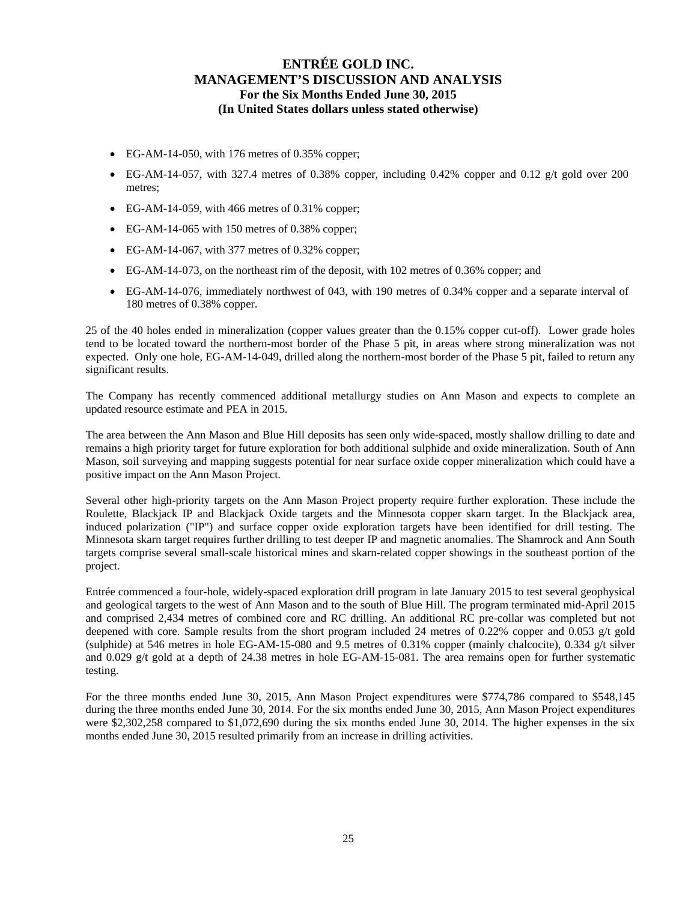- EG-AM-14-050, with 176 metres of 0.35% copper;
- $\bullet$  EG-AM-14-057, with 327.4 metres of 0.38% copper, including 0.42% copper and 0.12 g/t gold over 200 metres;
- EG-AM-14-059, with 466 metres of 0.31% copper;
- EG-AM-14-065 with 150 metres of 0.38% copper;
- EG-AM-14-067, with 377 metres of 0.32% copper;
- EG-AM-14-073, on the northeast rim of the deposit, with 102 metres of 0.36% copper; and
- EG-AM-14-076, immediately northwest of 043, with 190 metres of 0.34% copper and a separate interval of 180 metres of 0.38% copper.

25 of the 40 holes ended in mineralization (copper values greater than the 0.15% copper cut-off). Lower grade holes tend to be located toward the northern-most border of the Phase 5 pit, in areas where strong mineralization was not expected. Only one hole, EG-AM-14-049, drilled along the northern-most border of the Phase 5 pit, failed to return any significant results.

The Company has recently commenced additional metallurgy studies on Ann Mason and expects to complete an updated resource estimate and PEA in 2015.

The area between the Ann Mason and Blue Hill deposits has seen only wide-spaced, mostly shallow drilling to date and remains a high priority target for future exploration for both additional sulphide and oxide mineralization. South of Ann Mason, soil surveying and mapping suggests potential for near surface oxide copper mineralization which could have a positive impact on the Ann Mason Project.

Several other high-priority targets on the Ann Mason Project property require further exploration. These include the Roulette, Blackjack IP and Blackjack Oxide targets and the Minnesota copper skarn target. In the Blackjack area, induced polarization ("IP") and surface copper oxide exploration targets have been identified for drill testing. The Minnesota skarn target requires further drilling to test deeper IP and magnetic anomalies. The Shamrock and Ann South targets comprise several small-scale historical mines and skarn-related copper showings in the southeast portion of the project.

Entrée commenced a four-hole, widely-spaced exploration drill program in late January 2015 to test several geophysical and geological targets to the west of Ann Mason and to the south of Blue Hill. The program terminated mid-April 2015 and comprised 2,434 metres of combined core and RC drilling. An additional RC pre-collar was completed but not deepened with core. Sample results from the short program included 24 metres of 0.22% copper and 0.053 g/t gold (sulphide) at 546 metres in hole EG-AM-15-080 and 9.5 metres of 0.31% copper (mainly chalcocite), 0.334 g/t silver and 0.029 g/t gold at a depth of 24.38 metres in hole EG-AM-15-081. The area remains open for further systematic testing.

For the three months ended June 30, 2015, Ann Mason Project expenditures were \$774,786 compared to \$548,145 during the three months ended June 30, 2014. For the six months ended June 30, 2015, Ann Mason Project expenditures were \$2,302,258 compared to \$1,072,690 during the six months ended June 30, 2014. The higher expenses in the six months ended June 30, 2015 resulted primarily from an increase in drilling activities.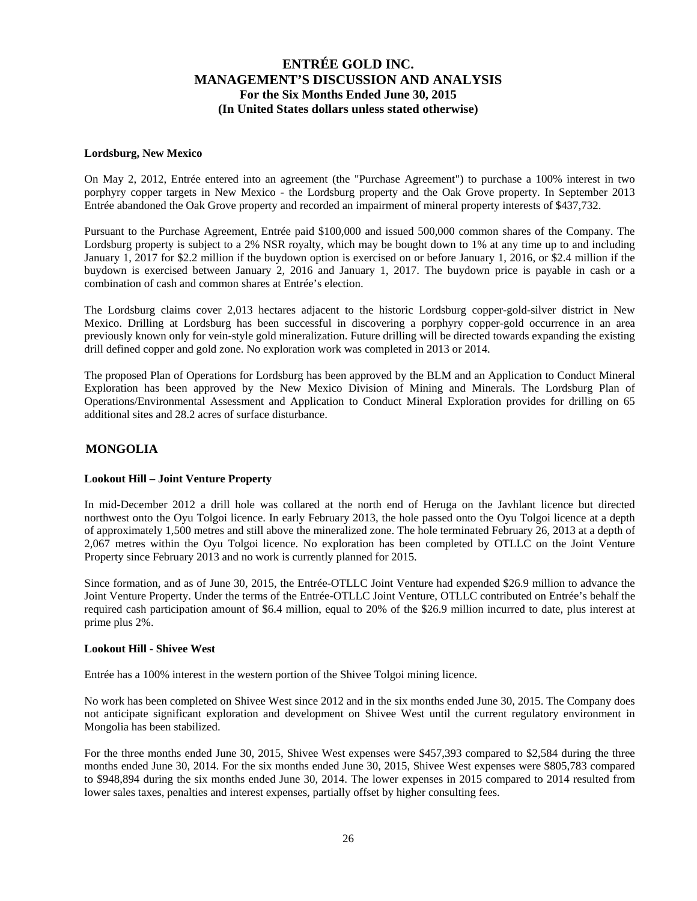#### **Lordsburg, New Mexico**

On May 2, 2012, Entrée entered into an agreement (the "Purchase Agreement") to purchase a 100% interest in two porphyry copper targets in New Mexico - the Lordsburg property and the Oak Grove property. In September 2013 Entrée abandoned the Oak Grove property and recorded an impairment of mineral property interests of \$437,732.

Pursuant to the Purchase Agreement, Entrée paid \$100,000 and issued 500,000 common shares of the Company. The Lordsburg property is subject to a 2% NSR royalty, which may be bought down to 1% at any time up to and including January 1, 2017 for \$2.2 million if the buydown option is exercised on or before January 1, 2016, or \$2.4 million if the buydown is exercised between January 2, 2016 and January 1, 2017. The buydown price is payable in cash or a combination of cash and common shares at Entrée's election.

The Lordsburg claims cover 2,013 hectares adjacent to the historic Lordsburg copper-gold-silver district in New Mexico. Drilling at Lordsburg has been successful in discovering a porphyry copper-gold occurrence in an area previously known only for vein-style gold mineralization. Future drilling will be directed towards expanding the existing drill defined copper and gold zone. No exploration work was completed in 2013 or 2014.

The proposed Plan of Operations for Lordsburg has been approved by the BLM and an Application to Conduct Mineral Exploration has been approved by the New Mexico Division of Mining and Minerals. The Lordsburg Plan of Operations/Environmental Assessment and Application to Conduct Mineral Exploration provides for drilling on 65 additional sites and 28.2 acres of surface disturbance.

#### **MONGOLIA**

#### **Lookout Hill – Joint Venture Property**

In mid-December 2012 a drill hole was collared at the north end of Heruga on the Javhlant licence but directed northwest onto the Oyu Tolgoi licence. In early February 2013, the hole passed onto the Oyu Tolgoi licence at a depth of approximately 1,500 metres and still above the mineralized zone. The hole terminated February 26, 2013 at a depth of 2,067 metres within the Oyu Tolgoi licence. No exploration has been completed by OTLLC on the Joint Venture Property since February 2013 and no work is currently planned for 2015.

Since formation, and as of June 30, 2015, the Entrée-OTLLC Joint Venture had expended \$26.9 million to advance the Joint Venture Property. Under the terms of the Entrée-OTLLC Joint Venture, OTLLC contributed on Entrée's behalf the required cash participation amount of \$6.4 million, equal to 20% of the \$26.9 million incurred to date, plus interest at prime plus 2%.

#### **Lookout Hill - Shivee West**

Entrée has a 100% interest in the western portion of the Shivee Tolgoi mining licence.

No work has been completed on Shivee West since 2012 and in the six months ended June 30, 2015. The Company does not anticipate significant exploration and development on Shivee West until the current regulatory environment in Mongolia has been stabilized.

For the three months ended June 30, 2015, Shivee West expenses were \$457,393 compared to \$2,584 during the three months ended June 30, 2014. For the six months ended June 30, 2015, Shivee West expenses were \$805,783 compared to \$948,894 during the six months ended June 30, 2014. The lower expenses in 2015 compared to 2014 resulted from lower sales taxes, penalties and interest expenses, partially offset by higher consulting fees.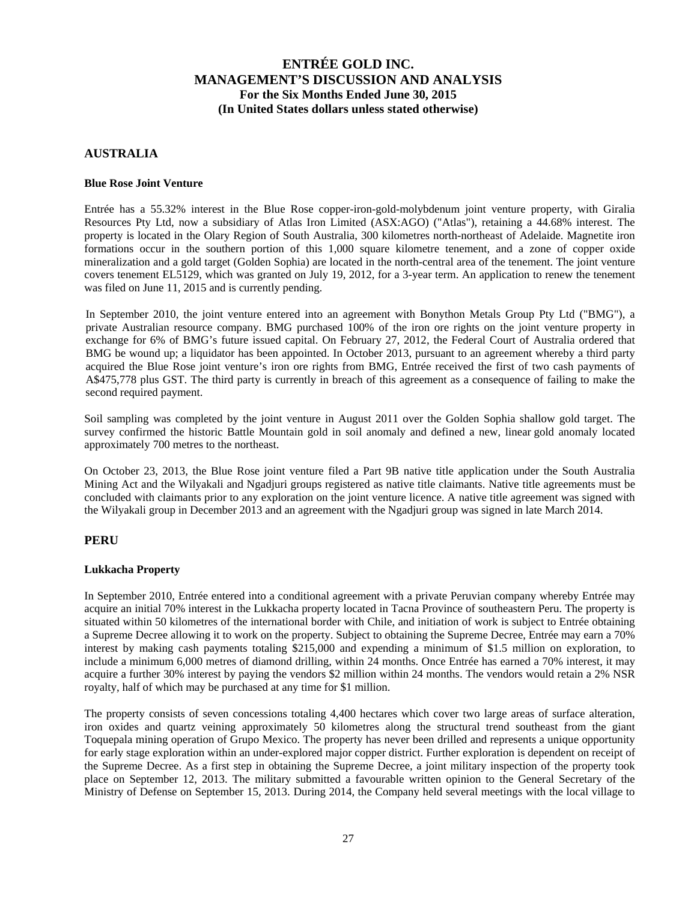#### **AUSTRALIA**

#### **Blue Rose Joint Venture**

Entrée has a 55.32% interest in the Blue Rose copper-iron-gold-molybdenum joint venture property, with Giralia Resources Pty Ltd, now a subsidiary of Atlas Iron Limited (ASX:AGO) ("Atlas"), retaining a 44.68% interest. The property is located in the Olary Region of South Australia, 300 kilometres north-northeast of Adelaide. Magnetite iron formations occur in the southern portion of this 1,000 square kilometre tenement, and a zone of copper oxide mineralization and a gold target (Golden Sophia) are located in the north-central area of the tenement. The joint venture covers tenement EL5129, which was granted on July 19, 2012, for a 3-year term. An application to renew the tenement was filed on June 11, 2015 and is currently pending.

In September 2010, the joint venture entered into an agreement with Bonython Metals Group Pty Ltd ("BMG"), a private Australian resource company. BMG purchased 100% of the iron ore rights on the joint venture property in exchange for 6% of BMG's future issued capital. On February 27, 2012, the Federal Court of Australia ordered that BMG be wound up; a liquidator has been appointed. In October 2013, pursuant to an agreement whereby a third party acquired the Blue Rose joint venture's iron ore rights from BMG, Entrée received the first of two cash payments of A\$475,778 plus GST. The third party is currently in breach of this agreement as a consequence of failing to make the second required payment.

Soil sampling was completed by the joint venture in August 2011 over the Golden Sophia shallow gold target. The survey confirmed the historic Battle Mountain gold in soil anomaly and defined a new, linear gold anomaly located approximately 700 metres to the northeast.

On October 23, 2013, the Blue Rose joint venture filed a Part 9B native title application under the South Australia Mining Act and the Wilyakali and Ngadjuri groups registered as native title claimants. Native title agreements must be concluded with claimants prior to any exploration on the joint venture licence. A native title agreement was signed with the Wilyakali group in December 2013 and an agreement with the Ngadjuri group was signed in late March 2014.

#### **PERU**

#### **Lukkacha Property**

In September 2010, Entrée entered into a conditional agreement with a private Peruvian company whereby Entrée may acquire an initial 70% interest in the Lukkacha property located in Tacna Province of southeastern Peru. The property is situated within 50 kilometres of the international border with Chile, and initiation of work is subject to Entrée obtaining a Supreme Decree allowing it to work on the property. Subject to obtaining the Supreme Decree, Entrée may earn a 70% interest by making cash payments totaling \$215,000 and expending a minimum of \$1.5 million on exploration, to include a minimum 6,000 metres of diamond drilling, within 24 months. Once Entrée has earned a 70% interest, it may acquire a further 30% interest by paying the vendors \$2 million within 24 months. The vendors would retain a 2% NSR royalty, half of which may be purchased at any time for \$1 million.

The property consists of seven concessions totaling 4,400 hectares which cover two large areas of surface alteration, iron oxides and quartz veining approximately 50 kilometres along the structural trend southeast from the giant Toquepala mining operation of Grupo Mexico. The property has never been drilled and represents a unique opportunity for early stage exploration within an under-explored major copper district. Further exploration is dependent on receipt of the Supreme Decree. As a first step in obtaining the Supreme Decree, a joint military inspection of the property took place on September 12, 2013. The military submitted a favourable written opinion to the General Secretary of the Ministry of Defense on September 15, 2013. During 2014, the Company held several meetings with the local village to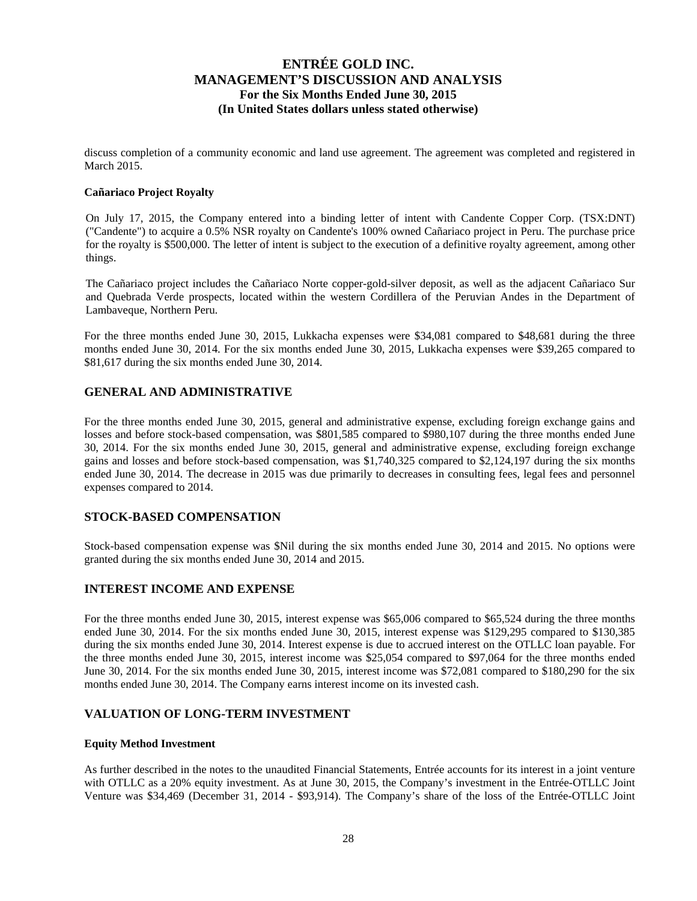discuss completion of a community economic and land use agreement. The agreement was completed and registered in March 2015.

#### **Cañariaco Project Royalty**

On July 17, 2015, the Company entered into a binding letter of intent with Candente Copper Corp. (TSX:DNT) ("Candente") to acquire a 0.5% NSR royalty on Candente's 100% owned Cañariaco project in Peru. The purchase price for the royalty is \$500,000. The letter of intent is subject to the execution of a definitive royalty agreement, among other things.

The Cañariaco project includes the Cañariaco Norte copper-gold-silver deposit, as well as the adjacent Cañariaco Sur and Quebrada Verde prospects, located within the western Cordillera of the Peruvian Andes in the Department of Lambaveque, Northern Peru.

For the three months ended June 30, 2015, Lukkacha expenses were \$34,081 compared to \$48,681 during the three months ended June 30, 2014. For the six months ended June 30, 2015, Lukkacha expenses were \$39,265 compared to \$81,617 during the six months ended June 30, 2014.

### **GENERAL AND ADMINISTRATIVE**

For the three months ended June 30, 2015, general and administrative expense, excluding foreign exchange gains and losses and before stock-based compensation, was \$801,585 compared to \$980,107 during the three months ended June 30, 2014. For the six months ended June 30, 2015, general and administrative expense, excluding foreign exchange gains and losses and before stock-based compensation, was \$1,740,325 compared to \$2,124,197 during the six months ended June 30, 2014. The decrease in 2015 was due primarily to decreases in consulting fees, legal fees and personnel expenses compared to 2014.

#### **STOCK-BASED COMPENSATION**

Stock-based compensation expense was \$Nil during the six months ended June 30, 2014 and 2015. No options were granted during the six months ended June 30, 2014 and 2015.

#### **INTEREST INCOME AND EXPENSE**

For the three months ended June 30, 2015, interest expense was \$65,006 compared to \$65,524 during the three months ended June 30, 2014. For the six months ended June 30, 2015, interest expense was \$129,295 compared to \$130,385 during the six months ended June 30, 2014. Interest expense is due to accrued interest on the OTLLC loan payable. For the three months ended June 30, 2015, interest income was \$25,054 compared to \$97,064 for the three months ended June 30, 2014. For the six months ended June 30, 2015, interest income was \$72,081 compared to \$180,290 for the six months ended June 30, 2014. The Company earns interest income on its invested cash.

#### **VALUATION OF LONG-TERM INVESTMENT**

#### **Equity Method Investment**

As further described in the notes to the unaudited Financial Statements, Entrée accounts for its interest in a joint venture with OTLLC as a 20% equity investment. As at June 30, 2015, the Company's investment in the Entrée-OTLLC Joint Venture was \$34,469 (December 31, 2014 - \$93,914). The Company's share of the loss of the Entrée-OTLLC Joint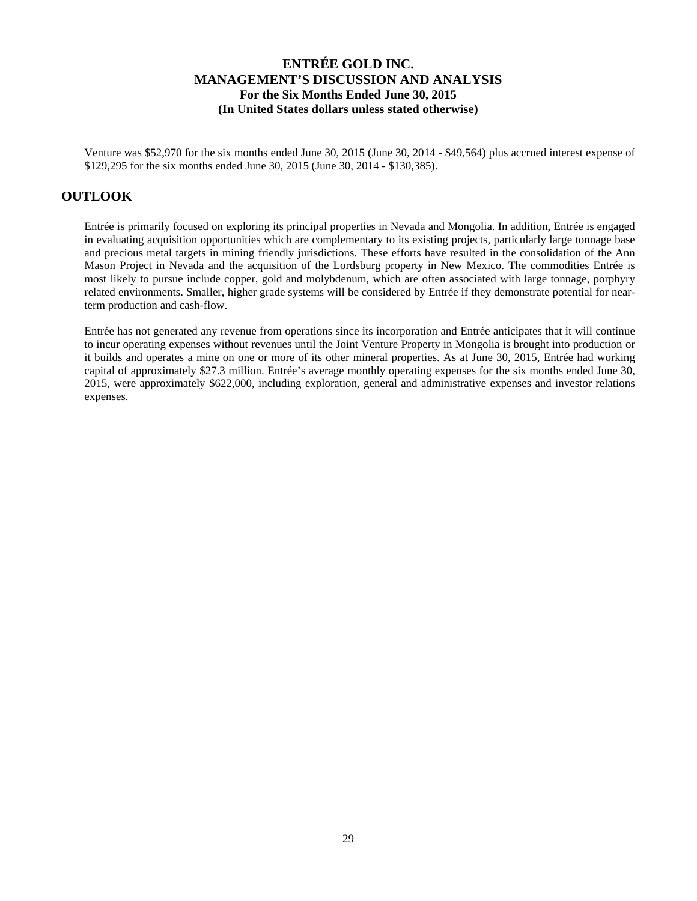Venture was \$52,970 for the six months ended June 30, 2015 (June 30, 2014 - \$49,564) plus accrued interest expense of \$129,295 for the six months ended June 30, 2015 (June 30, 2014 - \$130,385).

# **OUTLOOK**

Entrée is primarily focused on exploring its principal properties in Nevada and Mongolia. In addition, Entrée is engaged in evaluating acquisition opportunities which are complementary to its existing projects, particularly large tonnage base and precious metal targets in mining friendly jurisdictions. These efforts have resulted in the consolidation of the Ann Mason Project in Nevada and the acquisition of the Lordsburg property in New Mexico. The commodities Entrée is most likely to pursue include copper, gold and molybdenum, which are often associated with large tonnage, porphyry related environments. Smaller, higher grade systems will be considered by Entrée if they demonstrate potential for nearterm production and cash-flow.

Entrée has not generated any revenue from operations since its incorporation and Entrée anticipates that it will continue to incur operating expenses without revenues until the Joint Venture Property in Mongolia is brought into production or it builds and operates a mine on one or more of its other mineral properties. As at June 30, 2015, Entrée had working capital of approximately \$27.3 million. Entrée's average monthly operating expenses for the six months ended June 30, 2015, were approximately \$622,000, including exploration, general and administrative expenses and investor relations expenses.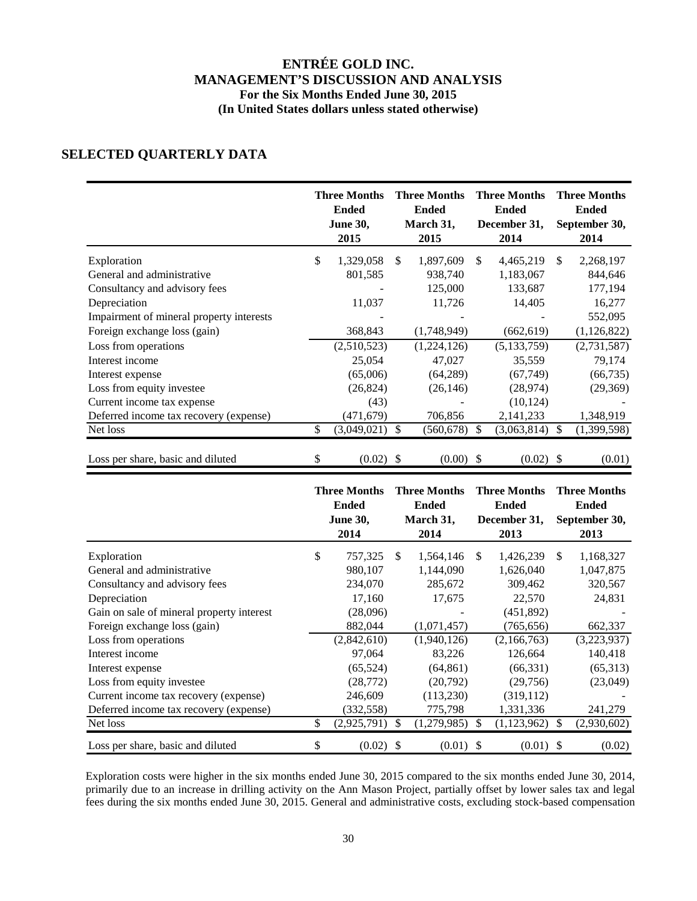# **SELECTED QUARTERLY DATA**

|                                          | <b>Three Months</b><br><b>Ended</b><br><b>June 30,</b><br>2015 | <b>Three Months</b><br><b>Ended</b><br>March 31,<br>2015 |             | <b>Three Months</b><br><b>Ended</b><br>December 31,<br>2014 |               | <b>Three Months</b><br><b>Ended</b><br>September 30,<br>2014 |               |
|------------------------------------------|----------------------------------------------------------------|----------------------------------------------------------|-------------|-------------------------------------------------------------|---------------|--------------------------------------------------------------|---------------|
| Exploration                              | \$<br>1,329,058                                                | \$.                                                      | 1,897,609   | \$                                                          | 4,465,219     | \$.                                                          | 2,268,197     |
| General and administrative               | 801,585                                                        |                                                          | 938,740     |                                                             | 1,183,067     |                                                              | 844,646       |
| Consultancy and advisory fees            |                                                                |                                                          | 125,000     |                                                             | 133,687       |                                                              | 177,194       |
| Depreciation                             | 11,037                                                         |                                                          | 11,726      |                                                             | 14,405        |                                                              | 16,277        |
| Impairment of mineral property interests |                                                                |                                                          |             |                                                             |               |                                                              | 552,095       |
| Foreign exchange loss (gain)             | 368,843                                                        |                                                          | (1,748,949) |                                                             | (662, 619)    |                                                              | (1, 126, 822) |
| Loss from operations                     | (2,510,523)                                                    |                                                          | (1,224,126) |                                                             | (5, 133, 759) |                                                              | (2,731,587)   |
| Interest income                          | 25,054                                                         |                                                          | 47,027      |                                                             | 35,559        |                                                              | 79,174        |
| Interest expense                         | (65,006)                                                       |                                                          | (64, 289)   |                                                             | (67, 749)     |                                                              | (66, 735)     |
| Loss from equity investee                | (26, 824)                                                      |                                                          | (26, 146)   |                                                             | (28, 974)     |                                                              | (29,369)      |
| Current income tax expense               | (43)                                                           |                                                          |             |                                                             | (10, 124)     |                                                              |               |
| Deferred income tax recovery (expense)   | (471, 679)                                                     |                                                          | 706,856     |                                                             | 2,141,233     |                                                              | 1,348,919     |
| Net loss                                 | \$<br>(3,049,021)                                              | <sup>\$</sup>                                            | (560, 678)  | <sup>\$</sup>                                               | (3,063,814)   | <sup>\$</sup>                                                | (1,399,598)   |
| Loss per share, basic and diluted        | \$<br>$(0.02)$ \$                                              |                                                          | $(0.00)$ \$ |                                                             | $(0.02)$ \$   |                                                              | (0.01)        |

|                                           | <b>Three Months</b><br><b>Ended</b><br><b>June 30,</b><br>2014 |     | <b>Three Months</b><br><b>Ended</b><br>March 31,<br>2014 |               | <b>Three Months</b><br><b>Ended</b><br>December 31,<br>2013 |               | <b>Three Months</b><br><b>Ended</b><br>September 30,<br>2013 |
|-------------------------------------------|----------------------------------------------------------------|-----|----------------------------------------------------------|---------------|-------------------------------------------------------------|---------------|--------------------------------------------------------------|
| Exploration                               | \$<br>757,325                                                  | \$. | 1,564,146                                                | \$.           | 1,426,239                                                   | \$.           | 1,168,327                                                    |
| General and administrative                | 980,107                                                        |     | 1,144,090                                                |               | 1,626,040                                                   |               | 1,047,875                                                    |
| Consultancy and advisory fees             | 234,070                                                        |     | 285,672                                                  |               | 309,462                                                     |               | 320,567                                                      |
| Depreciation                              | 17,160                                                         |     | 17,675                                                   |               | 22,570                                                      |               | 24,831                                                       |
| Gain on sale of mineral property interest | (28,096)                                                       |     |                                                          |               | (451,892)                                                   |               |                                                              |
| Foreign exchange loss (gain)              | 882,044                                                        |     | (1,071,457)                                              |               | (765, 656)                                                  |               | 662,337                                                      |
| Loss from operations                      | (2,842,610)                                                    |     | (1,940,126)                                              |               | (2,166,763)                                                 |               | (3,223,937)                                                  |
| Interest income                           | 97,064                                                         |     | 83,226                                                   |               | 126,664                                                     |               | 140,418                                                      |
| Interest expense                          | (65, 524)                                                      |     | (64, 861)                                                |               | (66, 331)                                                   |               | (65,313)                                                     |
| Loss from equity investee                 | (28, 772)                                                      |     | (20,792)                                                 |               | (29,756)                                                    |               | (23,049)                                                     |
| Current income tax recovery (expense)     | 246,609                                                        |     | (113, 230)                                               |               | (319, 112)                                                  |               |                                                              |
| Deferred income tax recovery (expense)    | (332, 558)                                                     |     | 775,798                                                  |               | 1,331,336                                                   |               | 241,279                                                      |
| Net loss                                  | \$<br>(2,925,791)                                              | S   | (1,279,985)                                              | <sup>\$</sup> | (1, 123, 962)                                               | <sup>\$</sup> | (2,930,602)                                                  |
| Loss per share, basic and diluted         | \$<br>$(0.02)$ \$                                              |     | $(0.01)$ \$                                              |               | $(0.01)$ \$                                                 |               | (0.02)                                                       |

Exploration costs were higher in the six months ended June 30, 2015 compared to the six months ended June 30, 2014, primarily due to an increase in drilling activity on the Ann Mason Project, partially offset by lower sales tax and legal fees during the six months ended June 30, 2015. General and administrative costs, excluding stock-based compensation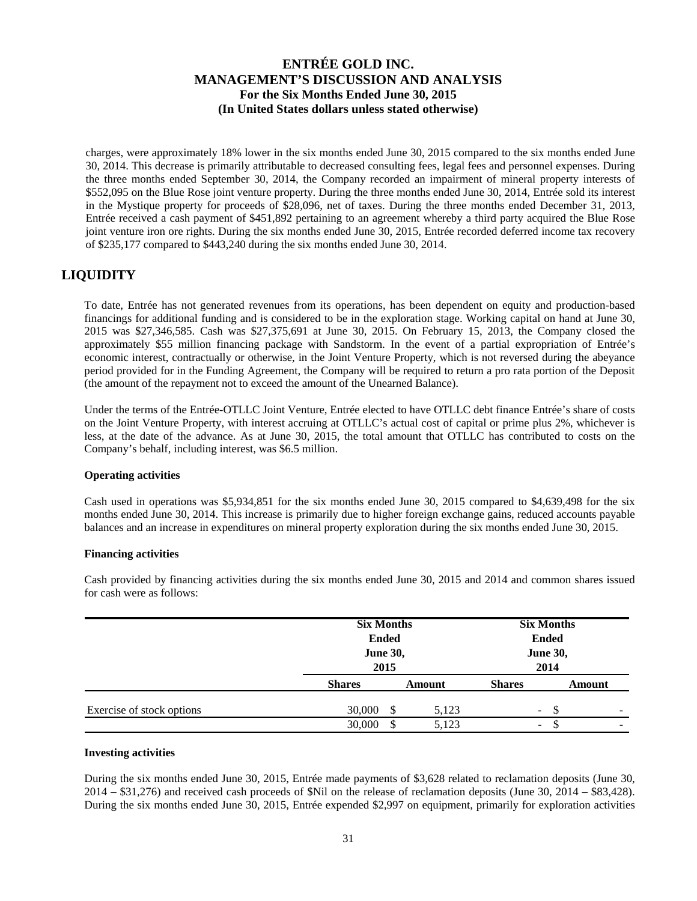charges, were approximately 18% lower in the six months ended June 30, 2015 compared to the six months ended June 30, 2014. This decrease is primarily attributable to decreased consulting fees, legal fees and personnel expenses. During the three months ended September 30, 2014, the Company recorded an impairment of mineral property interests of \$552,095 on the Blue Rose joint venture property. During the three months ended June 30, 2014, Entrée sold its interest in the Mystique property for proceeds of \$28,096, net of taxes. During the three months ended December 31, 2013, Entrée received a cash payment of \$451,892 pertaining to an agreement whereby a third party acquired the Blue Rose joint venture iron ore rights. During the six months ended June 30, 2015, Entrée recorded deferred income tax recovery of \$235,177 compared to \$443,240 during the six months ended June 30, 2014.

# **LIQUIDITY**

To date, Entrée has not generated revenues from its operations, has been dependent on equity and production-based financings for additional funding and is considered to be in the exploration stage. Working capital on hand at June 30, 2015 was \$27,346,585. Cash was \$27,375,691 at June 30, 2015. On February 15, 2013, the Company closed the approximately \$55 million financing package with Sandstorm. In the event of a partial expropriation of Entrée's economic interest, contractually or otherwise, in the Joint Venture Property, which is not reversed during the abeyance period provided for in the Funding Agreement, the Company will be required to return a pro rata portion of the Deposit (the amount of the repayment not to exceed the amount of the Unearned Balance).

Under the terms of the Entrée-OTLLC Joint Venture, Entrée elected to have OTLLC debt finance Entrée's share of costs on the Joint Venture Property, with interest accruing at OTLLC's actual cost of capital or prime plus 2%, whichever is less, at the date of the advance. As at June 30, 2015, the total amount that OTLLC has contributed to costs on the Company's behalf, including interest, was \$6.5 million.

#### **Operating activities**

Cash used in operations was \$5,934,851 for the six months ended June 30, 2015 compared to \$4,639,498 for the six months ended June 30, 2014. This increase is primarily due to higher foreign exchange gains, reduced accounts payable balances and an increase in expenditures on mineral property exploration during the six months ended June 30, 2015.

#### **Financing activities**

|                           | <b>Six Months</b><br><b>Ended</b><br><b>June 30,</b><br>2015 |               | <b>Six Months</b><br><b>Ended</b><br><b>June 30,</b><br>2014 |        |  |  |
|---------------------------|--------------------------------------------------------------|---------------|--------------------------------------------------------------|--------|--|--|
|                           | <b>Shares</b>                                                | <b>Amount</b> | <b>Shares</b>                                                | Amount |  |  |
| Exercise of stock options | 30,000<br>\$                                                 | 5,123         | ۰.                                                           | S<br>۰ |  |  |
|                           | 30,000<br>\$                                                 | 5,123         | $\overline{\phantom{0}}$                                     | -      |  |  |

Cash provided by financing activities during the six months ended June 30, 2015 and 2014 and common shares issued for cash were as follows:

#### **Investing activities**

During the six months ended June 30, 2015, Entrée made payments of \$3,628 related to reclamation deposits (June 30, 2014 – \$31,276) and received cash proceeds of \$Nil on the release of reclamation deposits (June 30, 2014 – \$83,428). During the six months ended June 30, 2015, Entrée expended \$2,997 on equipment, primarily for exploration activities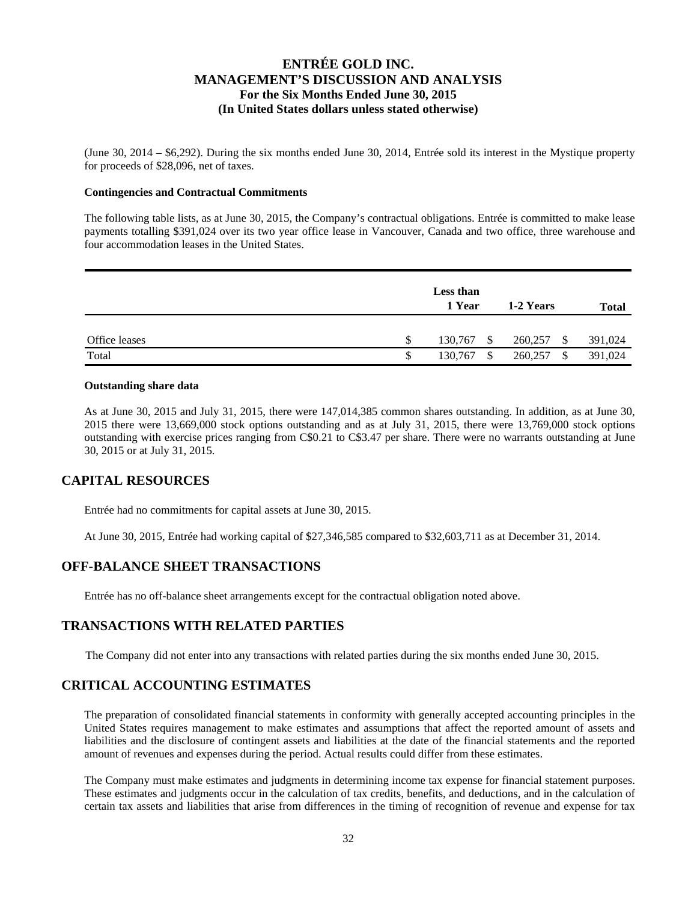(June 30, 2014 – \$6,292). During the six months ended June 30, 2014, Entrée sold its interest in the Mystique property for proceeds of \$28,096, net of taxes.

#### **Contingencies and Contractual Commitments**

The following table lists, as at June 30, 2015, the Company's contractual obligations. Entrée is committed to make lease payments totalling \$391,024 over its two year office lease in Vancouver, Canada and two office, three warehouse and four accommodation leases in the United States.

|               | <b>Less than</b><br>1 Year | 1-2 Years     | Total   |
|---------------|----------------------------|---------------|---------|
| Office leases | \$<br>130,767<br>S.        | 260,257<br>-S | 391,024 |
| Total         | \$<br>130,767<br>\$        | 260,257<br>\$ | 391,024 |

#### **Outstanding share data**

As at June 30, 2015 and July 31, 2015, there were 147,014,385 common shares outstanding. In addition, as at June 30, 2015 there were 13,669,000 stock options outstanding and as at July 31, 2015, there were 13,769,000 stock options outstanding with exercise prices ranging from C\$0.21 to C\$3.47 per share. There were no warrants outstanding at June 30, 2015 or at July 31, 2015.

### **CAPITAL RESOURCES**

Entrée had no commitments for capital assets at June 30, 2015.

At June 30, 2015, Entrée had working capital of \$27,346,585 compared to \$32,603,711 as at December 31, 2014.

#### **OFF-BALANCE SHEET TRANSACTIONS**

Entrée has no off-balance sheet arrangements except for the contractual obligation noted above.

### **TRANSACTIONS WITH RELATED PARTIES**

The Company did not enter into any transactions with related parties during the six months ended June 30, 2015.

### **CRITICAL ACCOUNTING ESTIMATES**

The preparation of consolidated financial statements in conformity with generally accepted accounting principles in the United States requires management to make estimates and assumptions that affect the reported amount of assets and liabilities and the disclosure of contingent assets and liabilities at the date of the financial statements and the reported amount of revenues and expenses during the period. Actual results could differ from these estimates.

The Company must make estimates and judgments in determining income tax expense for financial statement purposes. These estimates and judgments occur in the calculation of tax credits, benefits, and deductions, and in the calculation of certain tax assets and liabilities that arise from differences in the timing of recognition of revenue and expense for tax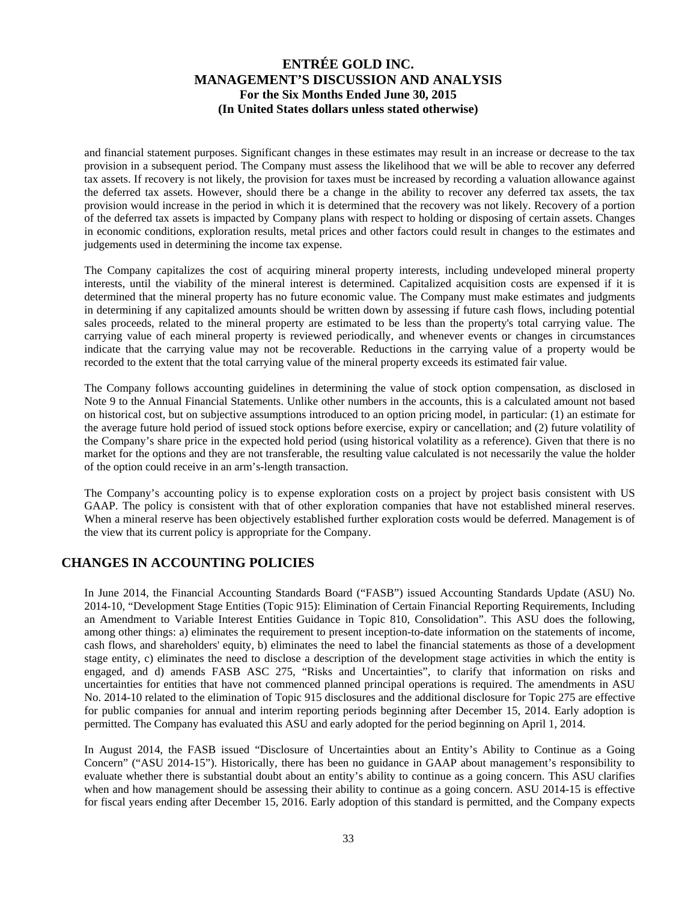and financial statement purposes. Significant changes in these estimates may result in an increase or decrease to the tax provision in a subsequent period. The Company must assess the likelihood that we will be able to recover any deferred tax assets. If recovery is not likely, the provision for taxes must be increased by recording a valuation allowance against the deferred tax assets. However, should there be a change in the ability to recover any deferred tax assets, the tax provision would increase in the period in which it is determined that the recovery was not likely. Recovery of a portion of the deferred tax assets is impacted by Company plans with respect to holding or disposing of certain assets. Changes in economic conditions, exploration results, metal prices and other factors could result in changes to the estimates and judgements used in determining the income tax expense.

The Company capitalizes the cost of acquiring mineral property interests, including undeveloped mineral property interests, until the viability of the mineral interest is determined. Capitalized acquisition costs are expensed if it is determined that the mineral property has no future economic value. The Company must make estimates and judgments in determining if any capitalized amounts should be written down by assessing if future cash flows, including potential sales proceeds, related to the mineral property are estimated to be less than the property's total carrying value. The carrying value of each mineral property is reviewed periodically, and whenever events or changes in circumstances indicate that the carrying value may not be recoverable. Reductions in the carrying value of a property would be recorded to the extent that the total carrying value of the mineral property exceeds its estimated fair value.

The Company follows accounting guidelines in determining the value of stock option compensation, as disclosed in Note 9 to the Annual Financial Statements. Unlike other numbers in the accounts, this is a calculated amount not based on historical cost, but on subjective assumptions introduced to an option pricing model, in particular: (1) an estimate for the average future hold period of issued stock options before exercise, expiry or cancellation; and (2) future volatility of the Company's share price in the expected hold period (using historical volatility as a reference). Given that there is no market for the options and they are not transferable, the resulting value calculated is not necessarily the value the holder of the option could receive in an arm's-length transaction.

The Company's accounting policy is to expense exploration costs on a project by project basis consistent with US GAAP. The policy is consistent with that of other exploration companies that have not established mineral reserves. When a mineral reserve has been objectively established further exploration costs would be deferred. Management is of the view that its current policy is appropriate for the Company.

## **CHANGES IN ACCOUNTING POLICIES**

In June 2014, the Financial Accounting Standards Board ("FASB") issued Accounting Standards Update (ASU) No. 2014-10, "Development Stage Entities (Topic 915): Elimination of Certain Financial Reporting Requirements, Including an Amendment to Variable Interest Entities Guidance in Topic 810, Consolidation". This ASU does the following, among other things: a) eliminates the requirement to present inception-to-date information on the statements of income, cash flows, and shareholders' equity, b) eliminates the need to label the financial statements as those of a development stage entity, c) eliminates the need to disclose a description of the development stage activities in which the entity is engaged, and d) amends FASB ASC 275, "Risks and Uncertainties", to clarify that information on risks and uncertainties for entities that have not commenced planned principal operations is required. The amendments in ASU No. 2014-10 related to the elimination of Topic 915 disclosures and the additional disclosure for Topic 275 are effective for public companies for annual and interim reporting periods beginning after December 15, 2014. Early adoption is permitted. The Company has evaluated this ASU and early adopted for the period beginning on April 1, 2014.

In August 2014, the FASB issued "Disclosure of Uncertainties about an Entity's Ability to Continue as a Going Concern" ("ASU 2014-15"). Historically, there has been no guidance in GAAP about management's responsibility to evaluate whether there is substantial doubt about an entity's ability to continue as a going concern. This ASU clarifies when and how management should be assessing their ability to continue as a going concern. ASU 2014-15 is effective for fiscal years ending after December 15, 2016. Early adoption of this standard is permitted, and the Company expects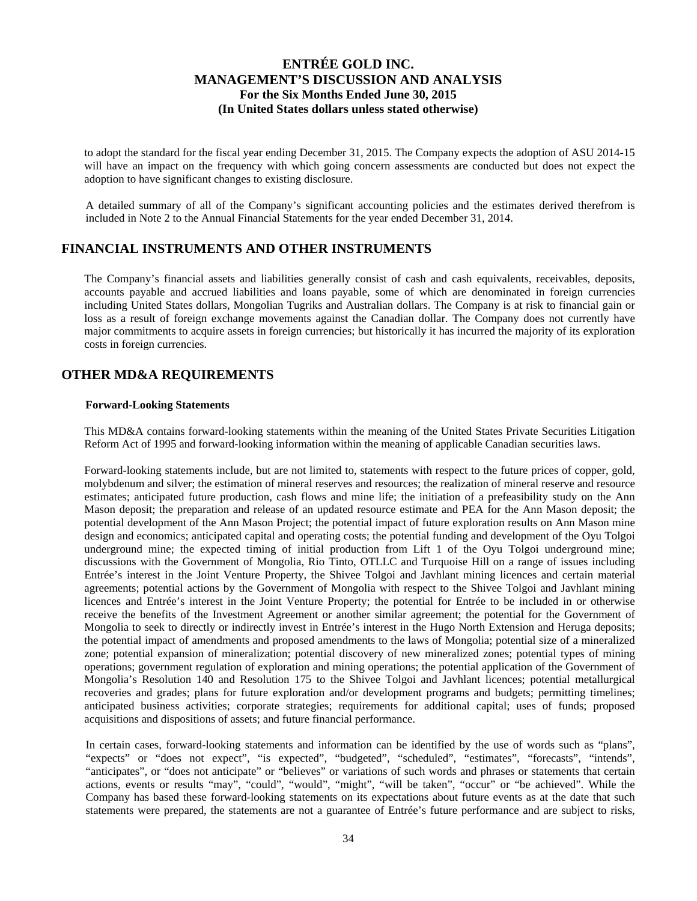to adopt the standard for the fiscal year ending December 31, 2015. The Company expects the adoption of ASU 2014-15 will have an impact on the frequency with which going concern assessments are conducted but does not expect the adoption to have significant changes to existing disclosure.

A detailed summary of all of the Company's significant accounting policies and the estimates derived therefrom is included in Note 2 to the Annual Financial Statements for the year ended December 31, 2014.

### **FINANCIAL INSTRUMENTS AND OTHER INSTRUMENTS**

The Company's financial assets and liabilities generally consist of cash and cash equivalents, receivables, deposits, accounts payable and accrued liabilities and loans payable, some of which are denominated in foreign currencies including United States dollars, Mongolian Tugriks and Australian dollars. The Company is at risk to financial gain or loss as a result of foreign exchange movements against the Canadian dollar. The Company does not currently have major commitments to acquire assets in foreign currencies; but historically it has incurred the majority of its exploration costs in foreign currencies.

## **OTHER MD&A REQUIREMENTS**

#### **Forward-Looking Statements**

This MD&A contains forward-looking statements within the meaning of the United States Private Securities Litigation Reform Act of 1995 and forward-looking information within the meaning of applicable Canadian securities laws.

Forward-looking statements include, but are not limited to, statements with respect to the future prices of copper, gold, molybdenum and silver; the estimation of mineral reserves and resources; the realization of mineral reserve and resource estimates; anticipated future production, cash flows and mine life; the initiation of a prefeasibility study on the Ann Mason deposit; the preparation and release of an updated resource estimate and PEA for the Ann Mason deposit; the potential development of the Ann Mason Project; the potential impact of future exploration results on Ann Mason mine design and economics; anticipated capital and operating costs; the potential funding and development of the Oyu Tolgoi underground mine; the expected timing of initial production from Lift 1 of the Oyu Tolgoi underground mine; discussions with the Government of Mongolia, Rio Tinto, OTLLC and Turquoise Hill on a range of issues including Entrée's interest in the Joint Venture Property, the Shivee Tolgoi and Javhlant mining licences and certain material agreements; potential actions by the Government of Mongolia with respect to the Shivee Tolgoi and Javhlant mining licences and Entrée's interest in the Joint Venture Property; the potential for Entrée to be included in or otherwise receive the benefits of the Investment Agreement or another similar agreement; the potential for the Government of Mongolia to seek to directly or indirectly invest in Entrée's interest in the Hugo North Extension and Heruga deposits; the potential impact of amendments and proposed amendments to the laws of Mongolia; potential size of a mineralized zone; potential expansion of mineralization; potential discovery of new mineralized zones; potential types of mining operations; government regulation of exploration and mining operations; the potential application of the Government of Mongolia's Resolution 140 and Resolution 175 to the Shivee Tolgoi and Javhlant licences; potential metallurgical recoveries and grades; plans for future exploration and/or development programs and budgets; permitting timelines; anticipated business activities; corporate strategies; requirements for additional capital; uses of funds; proposed acquisitions and dispositions of assets; and future financial performance.

In certain cases, forward-looking statements and information can be identified by the use of words such as "plans", "expects" or "does not expect", "is expected", "budgeted", "scheduled", "estimates", "forecasts", "intends", "anticipates", or "does not anticipate" or "believes" or variations of such words and phrases or statements that certain actions, events or results "may", "could", "would", "might", "will be taken", "occur" or "be achieved". While the Company has based these forward-looking statements on its expectations about future events as at the date that such statements were prepared, the statements are not a guarantee of Entrée's future performance and are subject to risks,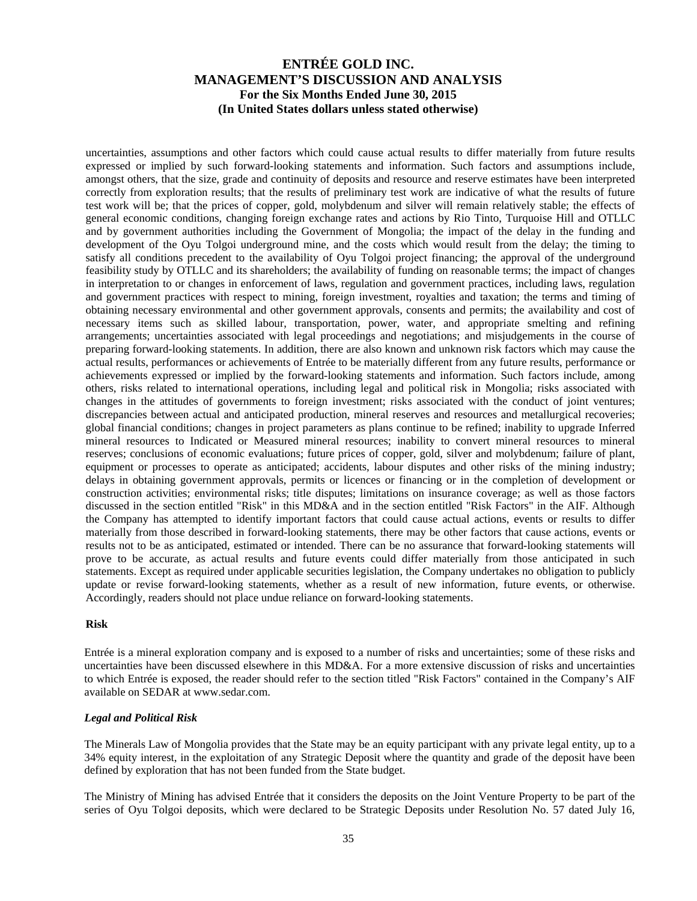uncertainties, assumptions and other factors which could cause actual results to differ materially from future results expressed or implied by such forward-looking statements and information. Such factors and assumptions include, amongst others, that the size, grade and continuity of deposits and resource and reserve estimates have been interpreted correctly from exploration results; that the results of preliminary test work are indicative of what the results of future test work will be; that the prices of copper, gold, molybdenum and silver will remain relatively stable; the effects of general economic conditions, changing foreign exchange rates and actions by Rio Tinto, Turquoise Hill and OTLLC and by government authorities including the Government of Mongolia; the impact of the delay in the funding and development of the Oyu Tolgoi underground mine, and the costs which would result from the delay; the timing to satisfy all conditions precedent to the availability of Oyu Tolgoi project financing; the approval of the underground feasibility study by OTLLC and its shareholders; the availability of funding on reasonable terms; the impact of changes in interpretation to or changes in enforcement of laws, regulation and government practices, including laws, regulation and government practices with respect to mining, foreign investment, royalties and taxation; the terms and timing of obtaining necessary environmental and other government approvals, consents and permits; the availability and cost of necessary items such as skilled labour, transportation, power, water, and appropriate smelting and refining arrangements; uncertainties associated with legal proceedings and negotiations; and misjudgements in the course of preparing forward-looking statements. In addition, there are also known and unknown risk factors which may cause the actual results, performances or achievements of Entrée to be materially different from any future results, performance or achievements expressed or implied by the forward-looking statements and information. Such factors include, among others, risks related to international operations, including legal and political risk in Mongolia; risks associated with changes in the attitudes of governments to foreign investment; risks associated with the conduct of joint ventures; discrepancies between actual and anticipated production, mineral reserves and resources and metallurgical recoveries; global financial conditions; changes in project parameters as plans continue to be refined; inability to upgrade Inferred mineral resources to Indicated or Measured mineral resources; inability to convert mineral resources to mineral reserves; conclusions of economic evaluations; future prices of copper, gold, silver and molybdenum; failure of plant, equipment or processes to operate as anticipated; accidents, labour disputes and other risks of the mining industry; delays in obtaining government approvals, permits or licences or financing or in the completion of development or construction activities; environmental risks; title disputes; limitations on insurance coverage; as well as those factors discussed in the section entitled "Risk" in this MD&A and in the section entitled "Risk Factors" in the AIF. Although the Company has attempted to identify important factors that could cause actual actions, events or results to differ materially from those described in forward-looking statements, there may be other factors that cause actions, events or results not to be as anticipated, estimated or intended. There can be no assurance that forward-looking statements will prove to be accurate, as actual results and future events could differ materially from those anticipated in such statements. Except as required under applicable securities legislation, the Company undertakes no obligation to publicly update or revise forward-looking statements, whether as a result of new information, future events, or otherwise. Accordingly, readers should not place undue reliance on forward-looking statements.

#### **Risk**

Entrée is a mineral exploration company and is exposed to a number of risks and uncertainties; some of these risks and uncertainties have been discussed elsewhere in this MD&A. For a more extensive discussion of risks and uncertainties to which Entrée is exposed, the reader should refer to the section titled "Risk Factors" contained in the Company's AIF available on SEDAR at www.sedar.com.

#### *Legal and Political Risk*

The Minerals Law of Mongolia provides that the State may be an equity participant with any private legal entity, up to a 34% equity interest, in the exploitation of any Strategic Deposit where the quantity and grade of the deposit have been defined by exploration that has not been funded from the State budget.

The Ministry of Mining has advised Entrée that it considers the deposits on the Joint Venture Property to be part of the series of Oyu Tolgoi deposits, which were declared to be Strategic Deposits under Resolution No. 57 dated July 16,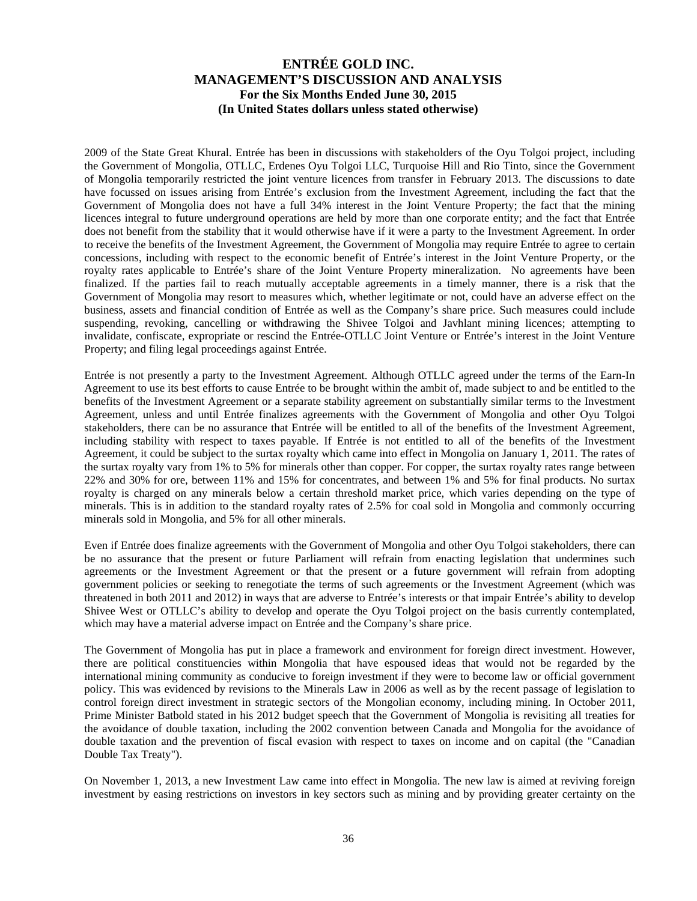2009 of the State Great Khural. Entrée has been in discussions with stakeholders of the Oyu Tolgoi project, including the Government of Mongolia, OTLLC, Erdenes Oyu Tolgoi LLC, Turquoise Hill and Rio Tinto, since the Government of Mongolia temporarily restricted the joint venture licences from transfer in February 2013. The discussions to date have focussed on issues arising from Entrée's exclusion from the Investment Agreement, including the fact that the Government of Mongolia does not have a full 34% interest in the Joint Venture Property; the fact that the mining licences integral to future underground operations are held by more than one corporate entity; and the fact that Entrée does not benefit from the stability that it would otherwise have if it were a party to the Investment Agreement. In order to receive the benefits of the Investment Agreement, the Government of Mongolia may require Entrée to agree to certain concessions, including with respect to the economic benefit of Entrée's interest in the Joint Venture Property, or the royalty rates applicable to Entrée's share of the Joint Venture Property mineralization. No agreements have been finalized. If the parties fail to reach mutually acceptable agreements in a timely manner, there is a risk that the Government of Mongolia may resort to measures which, whether legitimate or not, could have an adverse effect on the business, assets and financial condition of Entrée as well as the Company's share price. Such measures could include suspending, revoking, cancelling or withdrawing the Shivee Tolgoi and Javhlant mining licences; attempting to invalidate, confiscate, expropriate or rescind the Entrée-OTLLC Joint Venture or Entrée's interest in the Joint Venture Property; and filing legal proceedings against Entrée.

Entrée is not presently a party to the Investment Agreement. Although OTLLC agreed under the terms of the Earn-In Agreement to use its best efforts to cause Entrée to be brought within the ambit of, made subject to and be entitled to the benefits of the Investment Agreement or a separate stability agreement on substantially similar terms to the Investment Agreement, unless and until Entrée finalizes agreements with the Government of Mongolia and other Oyu Tolgoi stakeholders, there can be no assurance that Entrée will be entitled to all of the benefits of the Investment Agreement, including stability with respect to taxes payable. If Entrée is not entitled to all of the benefits of the Investment Agreement, it could be subject to the surtax royalty which came into effect in Mongolia on January 1, 2011. The rates of the surtax royalty vary from 1% to 5% for minerals other than copper. For copper, the surtax royalty rates range between 22% and 30% for ore, between 11% and 15% for concentrates, and between 1% and 5% for final products. No surtax royalty is charged on any minerals below a certain threshold market price, which varies depending on the type of minerals. This is in addition to the standard royalty rates of 2.5% for coal sold in Mongolia and commonly occurring minerals sold in Mongolia, and 5% for all other minerals.

Even if Entrée does finalize agreements with the Government of Mongolia and other Oyu Tolgoi stakeholders, there can be no assurance that the present or future Parliament will refrain from enacting legislation that undermines such agreements or the Investment Agreement or that the present or a future government will refrain from adopting government policies or seeking to renegotiate the terms of such agreements or the Investment Agreement (which was threatened in both 2011 and 2012) in ways that are adverse to Entrée's interests or that impair Entrée's ability to develop Shivee West or OTLLC's ability to develop and operate the Oyu Tolgoi project on the basis currently contemplated, which may have a material adverse impact on Entrée and the Company's share price.

The Government of Mongolia has put in place a framework and environment for foreign direct investment. However, there are political constituencies within Mongolia that have espoused ideas that would not be regarded by the international mining community as conducive to foreign investment if they were to become law or official government policy. This was evidenced by revisions to the Minerals Law in 2006 as well as by the recent passage of legislation to control foreign direct investment in strategic sectors of the Mongolian economy, including mining. In October 2011, Prime Minister Batbold stated in his 2012 budget speech that the Government of Mongolia is revisiting all treaties for the avoidance of double taxation, including the 2002 convention between Canada and Mongolia for the avoidance of double taxation and the prevention of fiscal evasion with respect to taxes on income and on capital (the "Canadian Double Tax Treaty").

On November 1, 2013, a new Investment Law came into effect in Mongolia. The new law is aimed at reviving foreign investment by easing restrictions on investors in key sectors such as mining and by providing greater certainty on the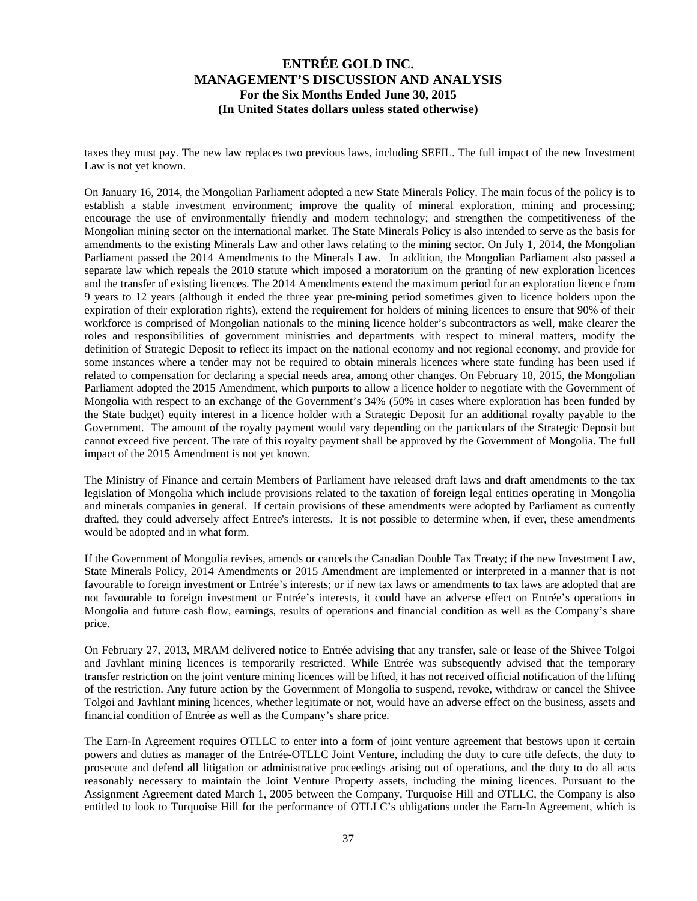taxes they must pay. The new law replaces two previous laws, including SEFIL. The full impact of the new Investment Law is not yet known.

On January 16, 2014, the Mongolian Parliament adopted a new State Minerals Policy. The main focus of the policy is to establish a stable investment environment; improve the quality of mineral exploration, mining and processing; encourage the use of environmentally friendly and modern technology; and strengthen the competitiveness of the Mongolian mining sector on the international market. The State Minerals Policy is also intended to serve as the basis for amendments to the existing Minerals Law and other laws relating to the mining sector. On July 1, 2014, the Mongolian Parliament passed the 2014 Amendments to the Minerals Law. In addition, the Mongolian Parliament also passed a separate law which repeals the 2010 statute which imposed a moratorium on the granting of new exploration licences and the transfer of existing licences. The 2014 Amendments extend the maximum period for an exploration licence from 9 years to 12 years (although it ended the three year pre-mining period sometimes given to licence holders upon the expiration of their exploration rights), extend the requirement for holders of mining licences to ensure that 90% of their workforce is comprised of Mongolian nationals to the mining licence holder's subcontractors as well, make clearer the roles and responsibilities of government ministries and departments with respect to mineral matters, modify the definition of Strategic Deposit to reflect its impact on the national economy and not regional economy, and provide for some instances where a tender may not be required to obtain minerals licences where state funding has been used if related to compensation for declaring a special needs area, among other changes. On February 18, 2015, the Mongolian Parliament adopted the 2015 Amendment, which purports to allow a licence holder to negotiate with the Government of Mongolia with respect to an exchange of the Government's 34% (50% in cases where exploration has been funded by the State budget) equity interest in a licence holder with a Strategic Deposit for an additional royalty payable to the Government. The amount of the royalty payment would vary depending on the particulars of the Strategic Deposit but cannot exceed five percent. The rate of this royalty payment shall be approved by the Government of Mongolia. The full impact of the 2015 Amendment is not yet known.

The Ministry of Finance and certain Members of Parliament have released draft laws and draft amendments to the tax legislation of Mongolia which include provisions related to the taxation of foreign legal entities operating in Mongolia and minerals companies in general. If certain provisions of these amendments were adopted by Parliament as currently drafted, they could adversely affect Entree's interests. It is not possible to determine when, if ever, these amendments would be adopted and in what form.

If the Government of Mongolia revises, amends or cancels the Canadian Double Tax Treaty; if the new Investment Law, State Minerals Policy, 2014 Amendments or 2015 Amendment are implemented or interpreted in a manner that is not favourable to foreign investment or Entrée's interests; or if new tax laws or amendments to tax laws are adopted that are not favourable to foreign investment or Entrée's interests, it could have an adverse effect on Entrée's operations in Mongolia and future cash flow, earnings, results of operations and financial condition as well as the Company's share price.

On February 27, 2013, MRAM delivered notice to Entrée advising that any transfer, sale or lease of the Shivee Tolgoi and Javhlant mining licences is temporarily restricted. While Entrée was subsequently advised that the temporary transfer restriction on the joint venture mining licences will be lifted, it has not received official notification of the lifting of the restriction. Any future action by the Government of Mongolia to suspend, revoke, withdraw or cancel the Shivee Tolgoi and Javhlant mining licences, whether legitimate or not, would have an adverse effect on the business, assets and financial condition of Entrée as well as the Company's share price.

The Earn-In Agreement requires OTLLC to enter into a form of joint venture agreement that bestows upon it certain powers and duties as manager of the Entrée-OTLLC Joint Venture, including the duty to cure title defects, the duty to prosecute and defend all litigation or administrative proceedings arising out of operations, and the duty to do all acts reasonably necessary to maintain the Joint Venture Property assets, including the mining licences. Pursuant to the Assignment Agreement dated March 1, 2005 between the Company, Turquoise Hill and OTLLC, the Company is also entitled to look to Turquoise Hill for the performance of OTLLC's obligations under the Earn-In Agreement, which is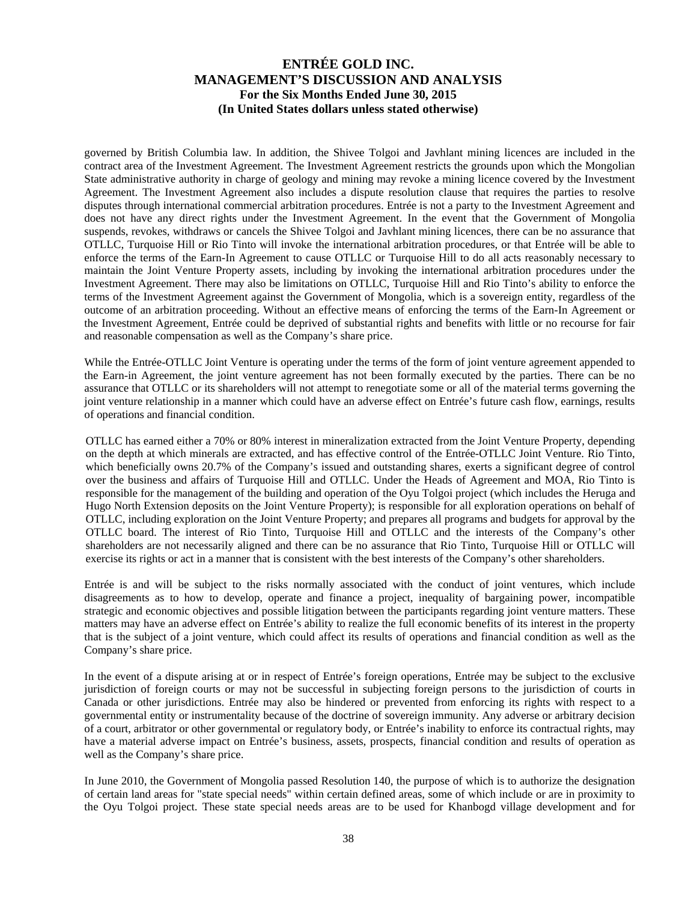governed by British Columbia law. In addition, the Shivee Tolgoi and Javhlant mining licences are included in the contract area of the Investment Agreement. The Investment Agreement restricts the grounds upon which the Mongolian State administrative authority in charge of geology and mining may revoke a mining licence covered by the Investment Agreement. The Investment Agreement also includes a dispute resolution clause that requires the parties to resolve disputes through international commercial arbitration procedures. Entrée is not a party to the Investment Agreement and does not have any direct rights under the Investment Agreement. In the event that the Government of Mongolia suspends, revokes, withdraws or cancels the Shivee Tolgoi and Javhlant mining licences, there can be no assurance that OTLLC, Turquoise Hill or Rio Tinto will invoke the international arbitration procedures, or that Entrée will be able to enforce the terms of the Earn-In Agreement to cause OTLLC or Turquoise Hill to do all acts reasonably necessary to maintain the Joint Venture Property assets, including by invoking the international arbitration procedures under the Investment Agreement. There may also be limitations on OTLLC, Turquoise Hill and Rio Tinto's ability to enforce the terms of the Investment Agreement against the Government of Mongolia, which is a sovereign entity, regardless of the outcome of an arbitration proceeding. Without an effective means of enforcing the terms of the Earn-In Agreement or the Investment Agreement, Entrée could be deprived of substantial rights and benefits with little or no recourse for fair and reasonable compensation as well as the Company's share price.

While the Entrée-OTLLC Joint Venture is operating under the terms of the form of joint venture agreement appended to the Earn-in Agreement, the joint venture agreement has not been formally executed by the parties. There can be no assurance that OTLLC or its shareholders will not attempt to renegotiate some or all of the material terms governing the joint venture relationship in a manner which could have an adverse effect on Entrée's future cash flow, earnings, results of operations and financial condition.

OTLLC has earned either a 70% or 80% interest in mineralization extracted from the Joint Venture Property, depending on the depth at which minerals are extracted, and has effective control of the Entrée-OTLLC Joint Venture. Rio Tinto, which beneficially owns 20.7% of the Company's issued and outstanding shares, exerts a significant degree of control over the business and affairs of Turquoise Hill and OTLLC. Under the Heads of Agreement and MOA, Rio Tinto is responsible for the management of the building and operation of the Oyu Tolgoi project (which includes the Heruga and Hugo North Extension deposits on the Joint Venture Property); is responsible for all exploration operations on behalf of OTLLC, including exploration on the Joint Venture Property; and prepares all programs and budgets for approval by the OTLLC board. The interest of Rio Tinto, Turquoise Hill and OTLLC and the interests of the Company's other shareholders are not necessarily aligned and there can be no assurance that Rio Tinto, Turquoise Hill or OTLLC will exercise its rights or act in a manner that is consistent with the best interests of the Company's other shareholders.

Entrée is and will be subject to the risks normally associated with the conduct of joint ventures, which include disagreements as to how to develop, operate and finance a project, inequality of bargaining power, incompatible strategic and economic objectives and possible litigation between the participants regarding joint venture matters. These matters may have an adverse effect on Entrée's ability to realize the full economic benefits of its interest in the property that is the subject of a joint venture, which could affect its results of operations and financial condition as well as the Company's share price.

In the event of a dispute arising at or in respect of Entrée's foreign operations, Entrée may be subject to the exclusive jurisdiction of foreign courts or may not be successful in subjecting foreign persons to the jurisdiction of courts in Canada or other jurisdictions. Entrée may also be hindered or prevented from enforcing its rights with respect to a governmental entity or instrumentality because of the doctrine of sovereign immunity. Any adverse or arbitrary decision of a court, arbitrator or other governmental or regulatory body, or Entrée's inability to enforce its contractual rights, may have a material adverse impact on Entrée's business, assets, prospects, financial condition and results of operation as well as the Company's share price.

In June 2010, the Government of Mongolia passed Resolution 140, the purpose of which is to authorize the designation of certain land areas for "state special needs" within certain defined areas, some of which include or are in proximity to the Oyu Tolgoi project. These state special needs areas are to be used for Khanbogd village development and for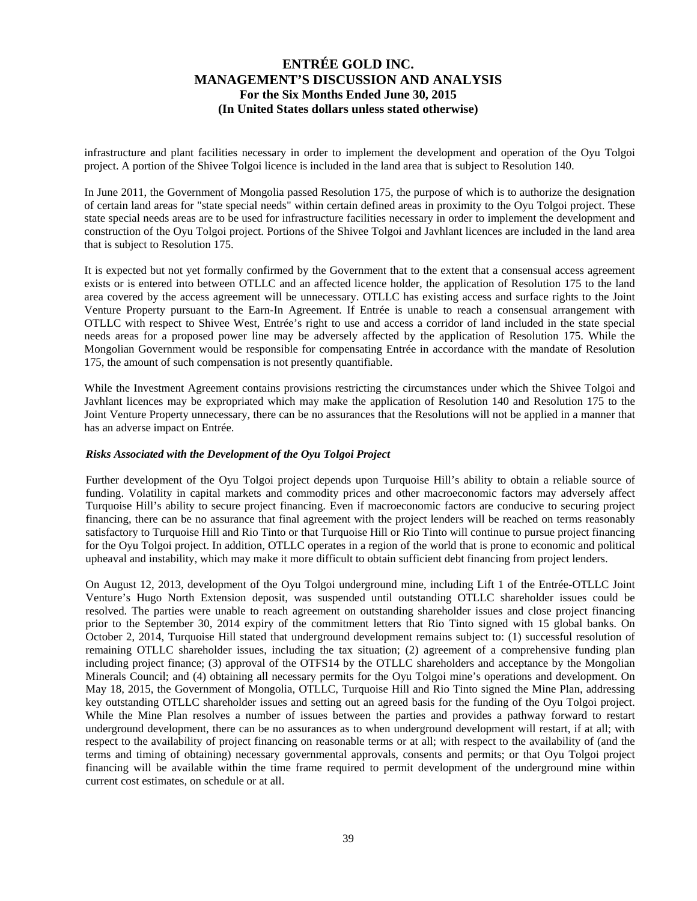infrastructure and plant facilities necessary in order to implement the development and operation of the Oyu Tolgoi project. A portion of the Shivee Tolgoi licence is included in the land area that is subject to Resolution 140.

In June 2011, the Government of Mongolia passed Resolution 175, the purpose of which is to authorize the designation of certain land areas for "state special needs" within certain defined areas in proximity to the Oyu Tolgoi project. These state special needs areas are to be used for infrastructure facilities necessary in order to implement the development and construction of the Oyu Tolgoi project. Portions of the Shivee Tolgoi and Javhlant licences are included in the land area that is subject to Resolution 175.

It is expected but not yet formally confirmed by the Government that to the extent that a consensual access agreement exists or is entered into between OTLLC and an affected licence holder, the application of Resolution 175 to the land area covered by the access agreement will be unnecessary. OTLLC has existing access and surface rights to the Joint Venture Property pursuant to the Earn-In Agreement. If Entrée is unable to reach a consensual arrangement with OTLLC with respect to Shivee West, Entrée's right to use and access a corridor of land included in the state special needs areas for a proposed power line may be adversely affected by the application of Resolution 175. While the Mongolian Government would be responsible for compensating Entrée in accordance with the mandate of Resolution 175, the amount of such compensation is not presently quantifiable.

While the Investment Agreement contains provisions restricting the circumstances under which the Shivee Tolgoi and Javhlant licences may be expropriated which may make the application of Resolution 140 and Resolution 175 to the Joint Venture Property unnecessary, there can be no assurances that the Resolutions will not be applied in a manner that has an adverse impact on Entrée.

#### *Risks Associated with the Development of the Oyu Tolgoi Project*

Further development of the Oyu Tolgoi project depends upon Turquoise Hill's ability to obtain a reliable source of funding. Volatility in capital markets and commodity prices and other macroeconomic factors may adversely affect Turquoise Hill's ability to secure project financing. Even if macroeconomic factors are conducive to securing project financing, there can be no assurance that final agreement with the project lenders will be reached on terms reasonably satisfactory to Turquoise Hill and Rio Tinto or that Turquoise Hill or Rio Tinto will continue to pursue project financing for the Oyu Tolgoi project. In addition, OTLLC operates in a region of the world that is prone to economic and political upheaval and instability, which may make it more difficult to obtain sufficient debt financing from project lenders.

On August 12, 2013, development of the Oyu Tolgoi underground mine, including Lift 1 of the Entrée-OTLLC Joint Venture's Hugo North Extension deposit, was suspended until outstanding OTLLC shareholder issues could be resolved. The parties were unable to reach agreement on outstanding shareholder issues and close project financing prior to the September 30, 2014 expiry of the commitment letters that Rio Tinto signed with 15 global banks. On October 2, 2014, Turquoise Hill stated that underground development remains subject to: (1) successful resolution of remaining OTLLC shareholder issues, including the tax situation; (2) agreement of a comprehensive funding plan including project finance; (3) approval of the OTFS14 by the OTLLC shareholders and acceptance by the Mongolian Minerals Council; and (4) obtaining all necessary permits for the Oyu Tolgoi mine's operations and development. On May 18, 2015, the Government of Mongolia, OTLLC, Turquoise Hill and Rio Tinto signed the Mine Plan, addressing key outstanding OTLLC shareholder issues and setting out an agreed basis for the funding of the Oyu Tolgoi project. While the Mine Plan resolves a number of issues between the parties and provides a pathway forward to restart underground development, there can be no assurances as to when underground development will restart, if at all; with respect to the availability of project financing on reasonable terms or at all; with respect to the availability of (and the terms and timing of obtaining) necessary governmental approvals, consents and permits; or that Oyu Tolgoi project financing will be available within the time frame required to permit development of the underground mine within current cost estimates, on schedule or at all.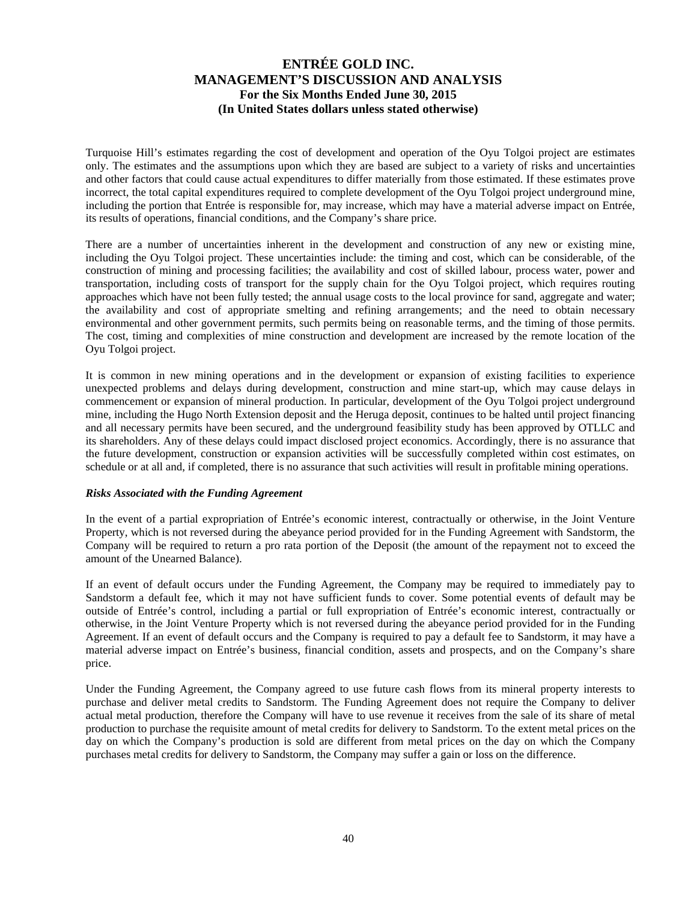Turquoise Hill's estimates regarding the cost of development and operation of the Oyu Tolgoi project are estimates only. The estimates and the assumptions upon which they are based are subject to a variety of risks and uncertainties and other factors that could cause actual expenditures to differ materially from those estimated. If these estimates prove incorrect, the total capital expenditures required to complete development of the Oyu Tolgoi project underground mine, including the portion that Entrée is responsible for, may increase, which may have a material adverse impact on Entrée, its results of operations, financial conditions, and the Company's share price.

There are a number of uncertainties inherent in the development and construction of any new or existing mine, including the Oyu Tolgoi project. These uncertainties include: the timing and cost, which can be considerable, of the construction of mining and processing facilities; the availability and cost of skilled labour, process water, power and transportation, including costs of transport for the supply chain for the Oyu Tolgoi project, which requires routing approaches which have not been fully tested; the annual usage costs to the local province for sand, aggregate and water; the availability and cost of appropriate smelting and refining arrangements; and the need to obtain necessary environmental and other government permits, such permits being on reasonable terms, and the timing of those permits. The cost, timing and complexities of mine construction and development are increased by the remote location of the Oyu Tolgoi project.

It is common in new mining operations and in the development or expansion of existing facilities to experience unexpected problems and delays during development, construction and mine start-up, which may cause delays in commencement or expansion of mineral production. In particular, development of the Oyu Tolgoi project underground mine, including the Hugo North Extension deposit and the Heruga deposit, continues to be halted until project financing and all necessary permits have been secured, and the underground feasibility study has been approved by OTLLC and its shareholders. Any of these delays could impact disclosed project economics. Accordingly, there is no assurance that the future development, construction or expansion activities will be successfully completed within cost estimates, on schedule or at all and, if completed, there is no assurance that such activities will result in profitable mining operations.

#### *Risks Associated with the Funding Agreement*

In the event of a partial expropriation of Entrée's economic interest, contractually or otherwise, in the Joint Venture Property, which is not reversed during the abeyance period provided for in the Funding Agreement with Sandstorm, the Company will be required to return a pro rata portion of the Deposit (the amount of the repayment not to exceed the amount of the Unearned Balance).

If an event of default occurs under the Funding Agreement, the Company may be required to immediately pay to Sandstorm a default fee, which it may not have sufficient funds to cover. Some potential events of default may be outside of Entrée's control, including a partial or full expropriation of Entrée's economic interest, contractually or otherwise, in the Joint Venture Property which is not reversed during the abeyance period provided for in the Funding Agreement. If an event of default occurs and the Company is required to pay a default fee to Sandstorm, it may have a material adverse impact on Entrée's business, financial condition, assets and prospects, and on the Company's share price.

Under the Funding Agreement, the Company agreed to use future cash flows from its mineral property interests to purchase and deliver metal credits to Sandstorm. The Funding Agreement does not require the Company to deliver actual metal production, therefore the Company will have to use revenue it receives from the sale of its share of metal production to purchase the requisite amount of metal credits for delivery to Sandstorm. To the extent metal prices on the day on which the Company's production is sold are different from metal prices on the day on which the Company purchases metal credits for delivery to Sandstorm, the Company may suffer a gain or loss on the difference.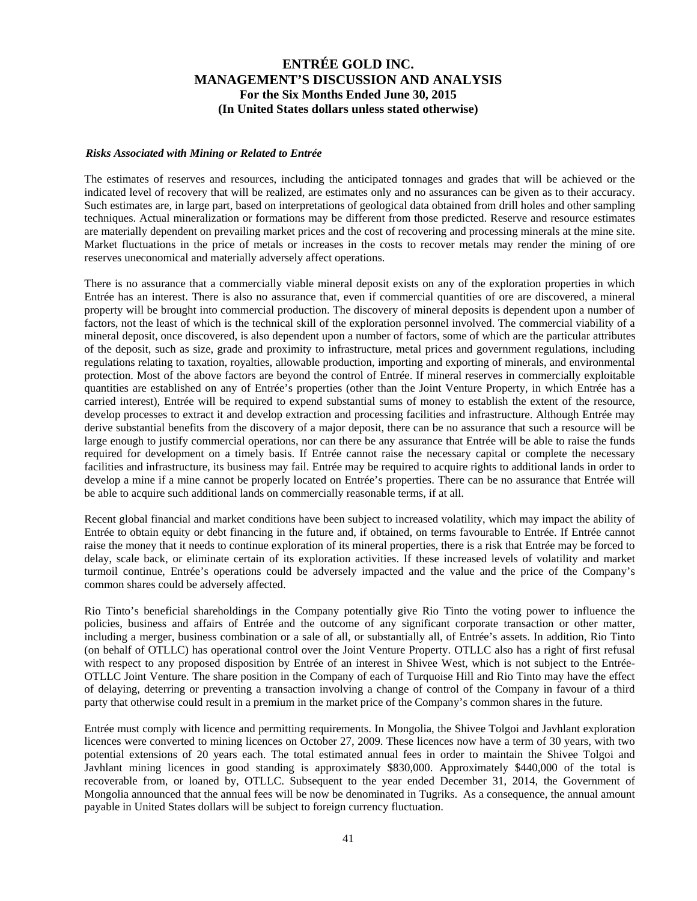#### *Risks Associated with Mining or Related to Entrée*

The estimates of reserves and resources, including the anticipated tonnages and grades that will be achieved or the indicated level of recovery that will be realized, are estimates only and no assurances can be given as to their accuracy. Such estimates are, in large part, based on interpretations of geological data obtained from drill holes and other sampling techniques. Actual mineralization or formations may be different from those predicted. Reserve and resource estimates are materially dependent on prevailing market prices and the cost of recovering and processing minerals at the mine site. Market fluctuations in the price of metals or increases in the costs to recover metals may render the mining of ore reserves uneconomical and materially adversely affect operations.

There is no assurance that a commercially viable mineral deposit exists on any of the exploration properties in which Entrée has an interest. There is also no assurance that, even if commercial quantities of ore are discovered, a mineral property will be brought into commercial production. The discovery of mineral deposits is dependent upon a number of factors, not the least of which is the technical skill of the exploration personnel involved. The commercial viability of a mineral deposit, once discovered, is also dependent upon a number of factors, some of which are the particular attributes of the deposit, such as size, grade and proximity to infrastructure, metal prices and government regulations, including regulations relating to taxation, royalties, allowable production, importing and exporting of minerals, and environmental protection. Most of the above factors are beyond the control of Entrée. If mineral reserves in commercially exploitable quantities are established on any of Entrée's properties (other than the Joint Venture Property, in which Entrée has a carried interest), Entrée will be required to expend substantial sums of money to establish the extent of the resource, develop processes to extract it and develop extraction and processing facilities and infrastructure. Although Entrée may derive substantial benefits from the discovery of a major deposit, there can be no assurance that such a resource will be large enough to justify commercial operations, nor can there be any assurance that Entrée will be able to raise the funds required for development on a timely basis. If Entrée cannot raise the necessary capital or complete the necessary facilities and infrastructure, its business may fail. Entrée may be required to acquire rights to additional lands in order to develop a mine if a mine cannot be properly located on Entrée's properties. There can be no assurance that Entrée will be able to acquire such additional lands on commercially reasonable terms, if at all.

Recent global financial and market conditions have been subject to increased volatility, which may impact the ability of Entrée to obtain equity or debt financing in the future and, if obtained, on terms favourable to Entrée. If Entrée cannot raise the money that it needs to continue exploration of its mineral properties, there is a risk that Entrée may be forced to delay, scale back, or eliminate certain of its exploration activities. If these increased levels of volatility and market turmoil continue, Entrée's operations could be adversely impacted and the value and the price of the Company's common shares could be adversely affected.

Rio Tinto's beneficial shareholdings in the Company potentially give Rio Tinto the voting power to influence the policies, business and affairs of Entrée and the outcome of any significant corporate transaction or other matter, including a merger, business combination or a sale of all, or substantially all, of Entrée's assets. In addition, Rio Tinto (on behalf of OTLLC) has operational control over the Joint Venture Property. OTLLC also has a right of first refusal with respect to any proposed disposition by Entrée of an interest in Shivee West, which is not subject to the Entrée-OTLLC Joint Venture. The share position in the Company of each of Turquoise Hill and Rio Tinto may have the effect of delaying, deterring or preventing a transaction involving a change of control of the Company in favour of a third party that otherwise could result in a premium in the market price of the Company's common shares in the future.

Entrée must comply with licence and permitting requirements. In Mongolia, the Shivee Tolgoi and Javhlant exploration licences were converted to mining licences on October 27, 2009. These licences now have a term of 30 years, with two potential extensions of 20 years each. The total estimated annual fees in order to maintain the Shivee Tolgoi and Javhlant mining licences in good standing is approximately \$830,000. Approximately \$440,000 of the total is recoverable from, or loaned by, OTLLC. Subsequent to the year ended December 31, 2014, the Government of Mongolia announced that the annual fees will be now be denominated in Tugriks. As a consequence, the annual amount payable in United States dollars will be subject to foreign currency fluctuation.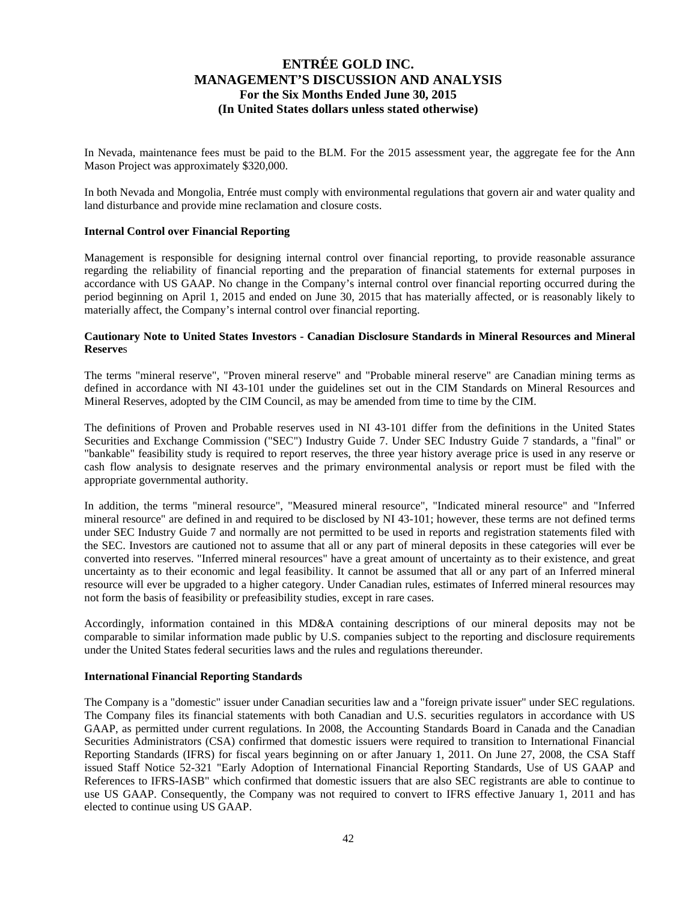In Nevada, maintenance fees must be paid to the BLM. For the 2015 assessment year, the aggregate fee for the Ann Mason Project was approximately \$320,000.

In both Nevada and Mongolia, Entrée must comply with environmental regulations that govern air and water quality and land disturbance and provide mine reclamation and closure costs.

#### **Internal Control over Financial Reporting**

Management is responsible for designing internal control over financial reporting, to provide reasonable assurance regarding the reliability of financial reporting and the preparation of financial statements for external purposes in accordance with US GAAP. No change in the Company's internal control over financial reporting occurred during the period beginning on April 1, 2015 and ended on June 30, 2015 that has materially affected, or is reasonably likely to materially affect, the Company's internal control over financial reporting.

#### **Cautionary Note to United States Investors - Canadian Disclosure Standards in Mineral Resources and Mineral Reserve**s

The terms "mineral reserve", "Proven mineral reserve" and "Probable mineral reserve" are Canadian mining terms as defined in accordance with NI 43-101 under the guidelines set out in the CIM Standards on Mineral Resources and Mineral Reserves, adopted by the CIM Council, as may be amended from time to time by the CIM.

The definitions of Proven and Probable reserves used in NI 43-101 differ from the definitions in the United States Securities and Exchange Commission ("SEC") Industry Guide 7. Under SEC Industry Guide 7 standards, a "final" or "bankable" feasibility study is required to report reserves, the three year history average price is used in any reserve or cash flow analysis to designate reserves and the primary environmental analysis or report must be filed with the appropriate governmental authority.

In addition, the terms "mineral resource", "Measured mineral resource", "Indicated mineral resource" and "Inferred mineral resource" are defined in and required to be disclosed by NI 43-101; however, these terms are not defined terms under SEC Industry Guide 7 and normally are not permitted to be used in reports and registration statements filed with the SEC. Investors are cautioned not to assume that all or any part of mineral deposits in these categories will ever be converted into reserves. "Inferred mineral resources" have a great amount of uncertainty as to their existence, and great uncertainty as to their economic and legal feasibility. It cannot be assumed that all or any part of an Inferred mineral resource will ever be upgraded to a higher category. Under Canadian rules, estimates of Inferred mineral resources may not form the basis of feasibility or prefeasibility studies, except in rare cases.

Accordingly, information contained in this MD&A containing descriptions of our mineral deposits may not be comparable to similar information made public by U.S. companies subject to the reporting and disclosure requirements under the United States federal securities laws and the rules and regulations thereunder.

#### **International Financial Reporting Standards**

The Company is a "domestic" issuer under Canadian securities law and a "foreign private issuer" under SEC regulations. The Company files its financial statements with both Canadian and U.S. securities regulators in accordance with US GAAP, as permitted under current regulations. In 2008, the Accounting Standards Board in Canada and the Canadian Securities Administrators (CSA) confirmed that domestic issuers were required to transition to International Financial Reporting Standards (IFRS) for fiscal years beginning on or after January 1, 2011. On June 27, 2008, the CSA Staff issued Staff Notice 52-321 "Early Adoption of International Financial Reporting Standards, Use of US GAAP and References to IFRS-IASB" which confirmed that domestic issuers that are also SEC registrants are able to continue to use US GAAP. Consequently, the Company was not required to convert to IFRS effective January 1, 2011 and has elected to continue using US GAAP.